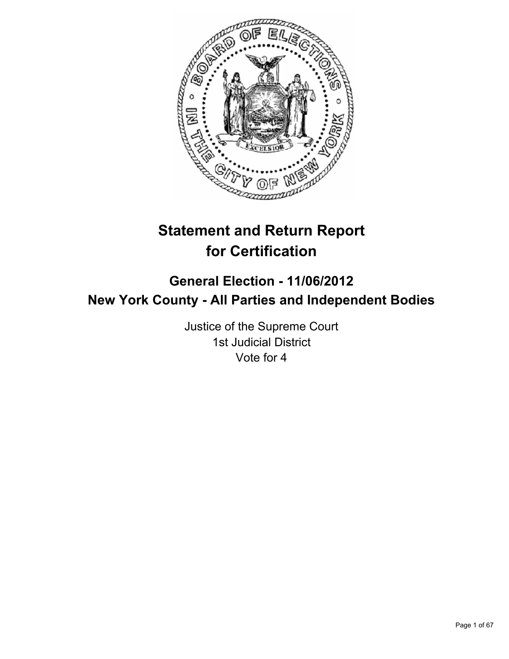

# **Statement and Return Report for Certification**

## **General Election - 11/06/2012 New York County - All Parties and Independent Bodies**

Justice of the Supreme Court 1st Judicial District Vote for 4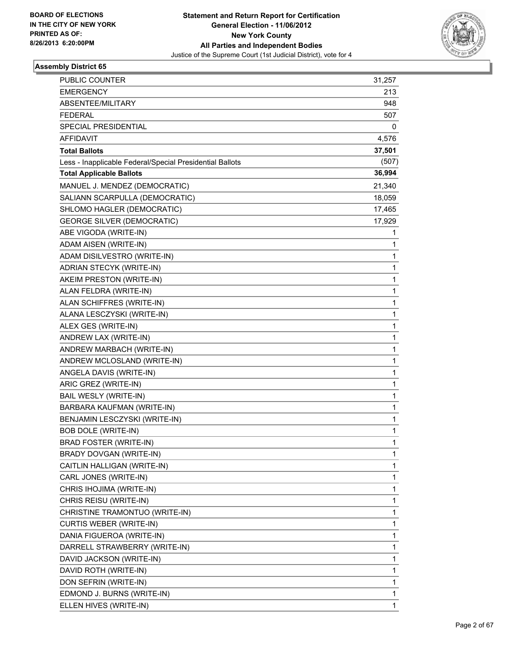

| PUBLIC COUNTER                                           | 31,257       |
|----------------------------------------------------------|--------------|
| <b>EMERGENCY</b>                                         | 213          |
| ABSENTEE/MILITARY                                        | 948          |
| <b>FEDERAL</b>                                           | 507          |
| <b>SPECIAL PRESIDENTIAL</b>                              | 0            |
| AFFIDAVIT                                                | 4,576        |
| <b>Total Ballots</b>                                     | 37,501       |
| Less - Inapplicable Federal/Special Presidential Ballots | (507)        |
| <b>Total Applicable Ballots</b>                          | 36,994       |
| MANUEL J. MENDEZ (DEMOCRATIC)                            | 21,340       |
| SALIANN SCARPULLA (DEMOCRATIC)                           | 18,059       |
| SHLOMO HAGLER (DEMOCRATIC)                               | 17,465       |
| <b>GEORGE SILVER (DEMOCRATIC)</b>                        | 17,929       |
| ABE VIGODA (WRITE-IN)                                    | 1            |
| ADAM AISEN (WRITE-IN)                                    | 1            |
| ADAM DISILVESTRO (WRITE-IN)                              | 1            |
| ADRIAN STECYK (WRITE-IN)                                 | 1            |
| AKEIM PRESTON (WRITE-IN)                                 | 1            |
| ALAN FELDRA (WRITE-IN)                                   | $\mathbf{1}$ |
| ALAN SCHIFFRES (WRITE-IN)                                | 1            |
| ALANA LESCZYSKI (WRITE-IN)                               | 1            |
| ALEX GES (WRITE-IN)                                      | 1            |
| ANDREW LAX (WRITE-IN)                                    | 1            |
| ANDREW MARBACH (WRITE-IN)                                | 1            |
| ANDREW MCLOSLAND (WRITE-IN)                              | 1            |
| ANGELA DAVIS (WRITE-IN)                                  | 1            |
| ARIC GREZ (WRITE-IN)                                     | 1            |
| BAIL WESLY (WRITE-IN)                                    | 1            |
| BARBARA KAUFMAN (WRITE-IN)                               | 1            |
| BENJAMIN LESCZYSKI (WRITE-IN)                            | 1            |
| <b>BOB DOLE (WRITE-IN)</b>                               | 1            |
| <b>BRAD FOSTER (WRITE-IN)</b>                            | 1            |
| BRADY DOVGAN (WRITE-IN)                                  | 1            |
| CAITLIN HALLIGAN (WRITE-IN)                              | 1            |
| CARL JONES (WRITE-IN)                                    | 1            |
| CHRIS IHOJIMA (WRITE-IN)                                 | 1            |
| CHRIS REISU (WRITE-IN)                                   | 1            |
| CHRISTINE TRAMONTUO (WRITE-IN)                           | 1            |
| <b>CURTIS WEBER (WRITE-IN)</b>                           | 1            |
| DANIA FIGUEROA (WRITE-IN)                                | 1            |
| DARRELL STRAWBERRY (WRITE-IN)                            | 1            |
| DAVID JACKSON (WRITE-IN)                                 | 1            |
| DAVID ROTH (WRITE-IN)                                    | 1            |
| DON SEFRIN (WRITE-IN)                                    | 1            |
| EDMOND J. BURNS (WRITE-IN)                               | 1            |
| ELLEN HIVES (WRITE-IN)                                   | 1            |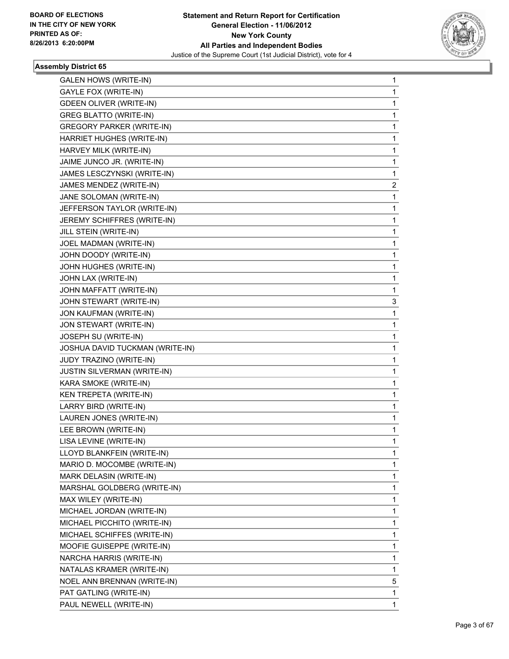

| <b>GALEN HOWS (WRITE-IN)</b>       | 1           |
|------------------------------------|-------------|
| GAYLE FOX (WRITE-IN)               | 1           |
| <b>GDEEN OLIVER (WRITE-IN)</b>     | 1           |
| <b>GREG BLATTO (WRITE-IN)</b>      | 1           |
| <b>GREGORY PARKER (WRITE-IN)</b>   | 1           |
| HARRIET HUGHES (WRITE-IN)          | 1           |
| HARVEY MILK (WRITE-IN)             | 1           |
| JAIME JUNCO JR. (WRITE-IN)         | 1           |
| JAMES LESCZYNSKI (WRITE-IN)        | 1           |
| JAMES MENDEZ (WRITE-IN)            | 2           |
| JANE SOLOMAN (WRITE-IN)            | 1           |
| JEFFERSON TAYLOR (WRITE-IN)        | 1           |
| JEREMY SCHIFFRES (WRITE-IN)        | 1           |
| JILL STEIN (WRITE-IN)              | 1           |
| JOEL MADMAN (WRITE-IN)             | 1           |
| JOHN DOODY (WRITE-IN)              | 1           |
| JOHN HUGHES (WRITE-IN)             | 1           |
| JOHN LAX (WRITE-IN)                | 1           |
| JOHN MAFFATT (WRITE-IN)            | 1           |
| JOHN STEWART (WRITE-IN)            | 3           |
| JON KAUFMAN (WRITE-IN)             | 1           |
| JON STEWART (WRITE-IN)             | 1           |
| JOSEPH SU (WRITE-IN)               | 1           |
| JOSHUA DAVID TUCKMAN (WRITE-IN)    | 1           |
| JUDY TRAZINO (WRITE-IN)            | 1           |
| <b>JUSTIN SILVERMAN (WRITE-IN)</b> | 1           |
| KARA SMOKE (WRITE-IN)              | 1           |
| KEN TREPETA (WRITE-IN)             | 1           |
| LARRY BIRD (WRITE-IN)              | 1           |
| LAUREN JONES (WRITE-IN)            | 1           |
| LEE BROWN (WRITE-IN)               | 1           |
| LISA LEVINE (WRITE-IN)             | 1           |
| LLOYD BLANKFEIN (WRITE-IN)         | 1           |
| MARIO D. MOCOMBE (WRITE-IN)        | 1           |
| MARK DELASIN (WRITE-IN)            | 1           |
| MARSHAL GOLDBERG (WRITE-IN)        | 1           |
| MAX WILEY (WRITE-IN)               | 1           |
| MICHAEL JORDAN (WRITE-IN)          | 1           |
| MICHAEL PICCHITO (WRITE-IN)        | 1           |
| MICHAEL SCHIFFES (WRITE-IN)        | 1           |
| MOOFIE GUISEPPE (WRITE-IN)         | 1           |
| NARCHA HARRIS (WRITE-IN)           | 1           |
| NATALAS KRAMER (WRITE-IN)          | 1           |
| NOEL ANN BRENNAN (WRITE-IN)        | 5           |
| PAT GATLING (WRITE-IN)             | 1           |
| PAUL NEWELL (WRITE-IN)             | $\mathbf 1$ |
|                                    |             |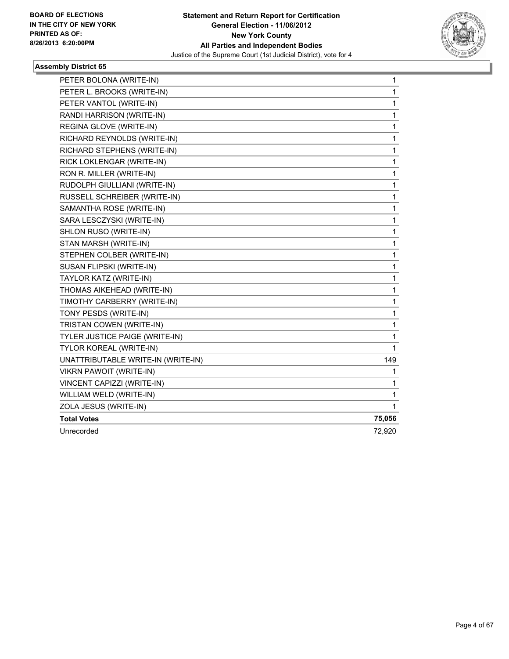

| PETER BOLONA (WRITE-IN)            | 1            |
|------------------------------------|--------------|
| PETER L. BROOKS (WRITE-IN)         | 1            |
| PETER VANTOL (WRITE-IN)            | 1            |
| RANDI HARRISON (WRITE-IN)          | 1            |
| REGINA GLOVE (WRITE-IN)            | 1            |
| RICHARD REYNOLDS (WRITE-IN)        | 1            |
| RICHARD STEPHENS (WRITE-IN)        | 1            |
| RICK LOKLENGAR (WRITE-IN)          | 1            |
| RON R. MILLER (WRITE-IN)           | 1            |
| RUDOLPH GIULLIANI (WRITE-IN)       | 1            |
| RUSSELL SCHREIBER (WRITE-IN)       | 1            |
| SAMANTHA ROSE (WRITE-IN)           | 1            |
| SARA LESCZYSKI (WRITE-IN)          | 1            |
| SHLON RUSO (WRITE-IN)              | $\mathbf{1}$ |
| STAN MARSH (WRITE-IN)              | 1            |
| STEPHEN COLBER (WRITE-IN)          | 1            |
| SUSAN FLIPSKI (WRITE-IN)           | 1            |
| TAYLOR KATZ (WRITE-IN)             | 1            |
| THOMAS AIKEHEAD (WRITE-IN)         | 1            |
| TIMOTHY CARBERRY (WRITE-IN)        | 1            |
| TONY PESDS (WRITE-IN)              | 1            |
| TRISTAN COWEN (WRITE-IN)           | 1            |
| TYLER JUSTICE PAIGE (WRITE-IN)     | 1            |
| TYLOR KOREAL (WRITE-IN)            | 1            |
| UNATTRIBUTABLE WRITE-IN (WRITE-IN) | 149          |
| <b>VIKRN PAWOIT (WRITE-IN)</b>     | 1            |
| VINCENT CAPIZZI (WRITE-IN)         | 1            |
| WILLIAM WELD (WRITE-IN)            | 1            |
| ZOLA JESUS (WRITE-IN)              | 1            |
| <b>Total Votes</b>                 | 75,056       |
| Unrecorded                         | 72,920       |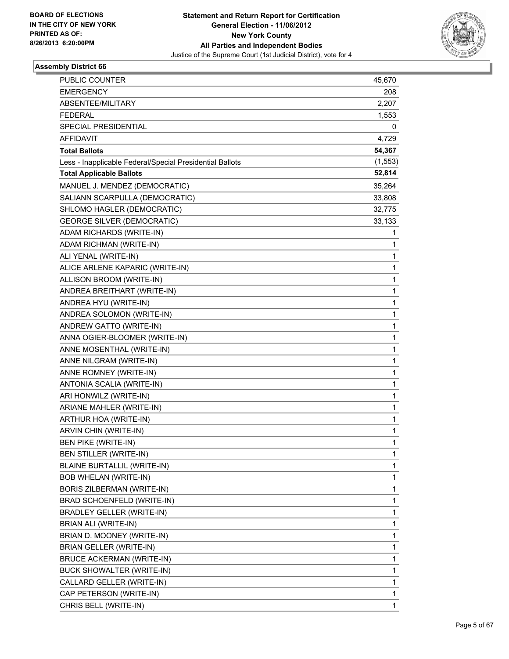

| PUBLIC COUNTER                                           | 45,670   |
|----------------------------------------------------------|----------|
| <b>EMERGENCY</b>                                         | 208      |
| ABSENTEE/MILITARY                                        | 2,207    |
| <b>FEDERAL</b>                                           | 1,553    |
| SPECIAL PRESIDENTIAL                                     | 0        |
| <b>AFFIDAVIT</b>                                         | 4,729    |
| <b>Total Ballots</b>                                     | 54,367   |
| Less - Inapplicable Federal/Special Presidential Ballots | (1, 553) |
| <b>Total Applicable Ballots</b>                          | 52,814   |
| MANUEL J. MENDEZ (DEMOCRATIC)                            | 35,264   |
| SALIANN SCARPULLA (DEMOCRATIC)                           | 33,808   |
| SHLOMO HAGLER (DEMOCRATIC)                               | 32,775   |
| <b>GEORGE SILVER (DEMOCRATIC)</b>                        | 33,133   |
| ADAM RICHARDS (WRITE-IN)                                 | 1        |
| ADAM RICHMAN (WRITE-IN)                                  | 1        |
| ALI YENAL (WRITE-IN)                                     | 1        |
| ALICE ARLENE KAPARIC (WRITE-IN)                          | 1        |
| ALLISON BROOM (WRITE-IN)                                 | 1        |
| ANDREA BREITHART (WRITE-IN)                              | 1        |
| ANDREA HYU (WRITE-IN)                                    | 1        |
| ANDREA SOLOMON (WRITE-IN)                                | 1        |
| ANDREW GATTO (WRITE-IN)                                  | 1        |
| ANNA OGIER-BLOOMER (WRITE-IN)                            | 1        |
| ANNE MOSENTHAL (WRITE-IN)                                | 1        |
| ANNE NILGRAM (WRITE-IN)                                  | 1        |
| ANNE ROMNEY (WRITE-IN)                                   | 1        |
| ANTONIA SCALIA (WRITE-IN)                                | 1        |
| ARI HONWILZ (WRITE-IN)                                   | 1        |
| ARIANE MAHLER (WRITE-IN)                                 | 1        |
| ARTHUR HOA (WRITE-IN)                                    | 1        |
| ARVIN CHIN (WRITE-IN)                                    | 1        |
| <b>BEN PIKE (WRITE-IN)</b>                               | 1        |
| BEN STILLER (WRITE-IN)                                   | 1        |
| BLAINE BURTALLIL (WRITE-IN)                              | 1        |
| <b>BOB WHELAN (WRITE-IN)</b>                             | 1        |
| BORIS ZILBERMAN (WRITE-IN)                               | 1        |
| BRAD SCHOENFELD (WRITE-IN)                               | 1        |
| <b>BRADLEY GELLER (WRITE-IN)</b>                         | 1        |
| BRIAN ALI (WRITE-IN)                                     | 1        |
| BRIAN D. MOONEY (WRITE-IN)                               | 1        |
| <b>BRIAN GELLER (WRITE-IN)</b>                           | 1        |
| <b>BRUCE ACKERMAN (WRITE-IN)</b>                         | 1        |
| BUCK SHOWALTER (WRITE-IN)                                | 1        |
| CALLARD GELLER (WRITE-IN)                                | 1        |
| CAP PETERSON (WRITE-IN)                                  | 1        |
| CHRIS BELL (WRITE-IN)                                    | 1        |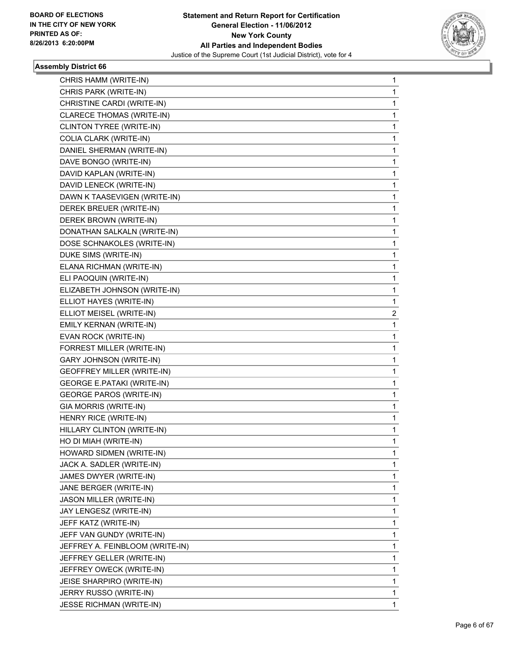

| CHRIS HAMM (WRITE-IN)             | 1 |
|-----------------------------------|---|
| CHRIS PARK (WRITE-IN)             | 1 |
| CHRISTINE CARDI (WRITE-IN)        | 1 |
| <b>CLARECE THOMAS (WRITE-IN)</b>  | 1 |
| CLINTON TYREE (WRITE-IN)          | 1 |
| COLIA CLARK (WRITE-IN)            | 1 |
| DANIEL SHERMAN (WRITE-IN)         | 1 |
| DAVE BONGO (WRITE-IN)             | 1 |
| DAVID KAPLAN (WRITE-IN)           | 1 |
| DAVID LENECK (WRITE-IN)           | 1 |
| DAWN K TAASEVIGEN (WRITE-IN)      | 1 |
| DEREK BREUER (WRITE-IN)           | 1 |
| DEREK BROWN (WRITE-IN)            | 1 |
| DONATHAN SALKALN (WRITE-IN)       | 1 |
| DOSE SCHNAKOLES (WRITE-IN)        | 1 |
| DUKE SIMS (WRITE-IN)              | 1 |
| ELANA RICHMAN (WRITE-IN)          | 1 |
| ELI PAOQUIN (WRITE-IN)            | 1 |
| ELIZABETH JOHNSON (WRITE-IN)      | 1 |
| ELLIOT HAYES (WRITE-IN)           | 1 |
| ELLIOT MEISEL (WRITE-IN)          | 2 |
| EMILY KERNAN (WRITE-IN)           | 1 |
| EVAN ROCK (WRITE-IN)              | 1 |
| FORREST MILLER (WRITE-IN)         | 1 |
| <b>GARY JOHNSON (WRITE-IN)</b>    | 1 |
| <b>GEOFFREY MILLER (WRITE-IN)</b> | 1 |
| <b>GEORGE E.PATAKI (WRITE-IN)</b> | 1 |
| <b>GEORGE PAROS (WRITE-IN)</b>    | 1 |
| GIA MORRIS (WRITE-IN)             | 1 |
| HENRY RICE (WRITE-IN)             | 1 |
| HILLARY CLINTON (WRITE-IN)        | 1 |
| HO DI MIAH (WRITE-IN)             | 1 |
| HOWARD SIDMEN (WRITE-IN)          | 1 |
| JACK A. SADLER (WRITE-IN)         | 1 |
| JAMES DWYER (WRITE-IN)            | 1 |
| JANE BERGER (WRITE-IN)            | 1 |
| JASON MILLER (WRITE-IN)           | 1 |
| JAY LENGESZ (WRITE-IN)            | 1 |
| JEFF KATZ (WRITE-IN)              | 1 |
| JEFF VAN GUNDY (WRITE-IN)         | 1 |
| JEFFREY A. FEINBLOOM (WRITE-IN)   | 1 |
| JEFFREY GELLER (WRITE-IN)         | 1 |
| JEFFREY OWECK (WRITE-IN)          | 1 |
| JEISE SHARPIRO (WRITE-IN)         | 1 |
| JERRY RUSSO (WRITE-IN)            | 1 |
| <b>JESSE RICHMAN (WRITE-IN)</b>   | 1 |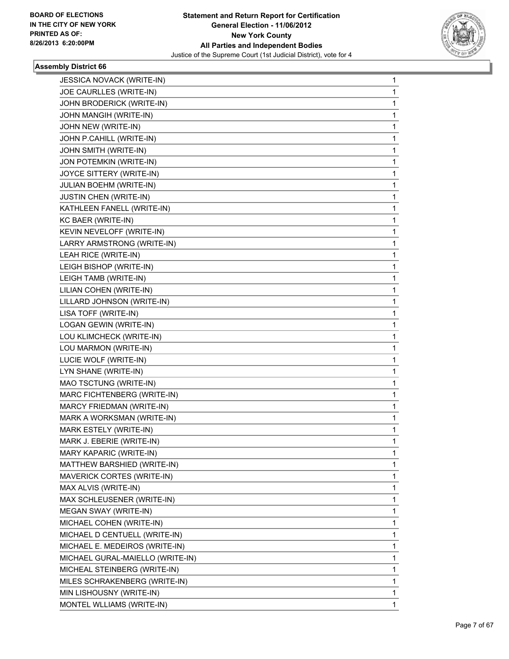

| <b>JESSICA NOVACK (WRITE-IN)</b> | 1            |
|----------------------------------|--------------|
| JOE CAURLLES (WRITE-IN)          | 1            |
| JOHN BRODERICK (WRITE-IN)        | $\mathbf{1}$ |
| JOHN MANGIH (WRITE-IN)           | 1            |
| JOHN NEW (WRITE-IN)              | 1            |
| JOHN P.CAHILL (WRITE-IN)         | 1            |
| JOHN SMITH (WRITE-IN)            | 1            |
| JON POTEMKIN (WRITE-IN)          | 1            |
| JOYCE SITTERY (WRITE-IN)         | 1            |
| JULIAN BOEHM (WRITE-IN)          | 1            |
| JUSTIN CHEN (WRITE-IN)           | 1            |
| KATHLEEN FANELL (WRITE-IN)       | 1            |
| KC BAER (WRITE-IN)               | 1            |
| KEVIN NEVELOFF (WRITE-IN)        | 1            |
| LARRY ARMSTRONG (WRITE-IN)       | 1            |
| LEAH RICE (WRITE-IN)             | 1            |
| LEIGH BISHOP (WRITE-IN)          | 1            |
| LEIGH TAMB (WRITE-IN)            | 1            |
| LILIAN COHEN (WRITE-IN)          | 1            |
| LILLARD JOHNSON (WRITE-IN)       | 1            |
| LISA TOFF (WRITE-IN)             | 1            |
| LOGAN GEWIN (WRITE-IN)           | 1            |
| LOU KLIMCHECK (WRITE-IN)         | 1            |
| LOU MARMON (WRITE-IN)            | 1            |
| LUCIE WOLF (WRITE-IN)            | 1            |
| LYN SHANE (WRITE-IN)             | 1            |
| MAO TSCTUNG (WRITE-IN)           | 1            |
| MARC FICHTENBERG (WRITE-IN)      | 1            |
| MARCY FRIEDMAN (WRITE-IN)        | 1            |
| MARK A WORKSMAN (WRITE-IN)       | 1            |
| MARK ESTELY (WRITE-IN)           | 1            |
| MARK J. EBERIE (WRITE-IN)        | 1            |
| MARY KAPARIC (WRITE-IN)          | 1            |
| MATTHEW BARSHIED (WRITE-IN)      | 1            |
| MAVERICK CORTES (WRITE-IN)       | 1            |
| MAX ALVIS (WRITE-IN)             | 1            |
| MAX SCHLEUSENER (WRITE-IN)       | 1            |
| MEGAN SWAY (WRITE-IN)            | 1            |
| MICHAEL COHEN (WRITE-IN)         | 1            |
| MICHAEL D CENTUELL (WRITE-IN)    | 1            |
| MICHAEL E. MEDEIROS (WRITE-IN)   | 1            |
| MICHAEL GURAL-MAIELLO (WRITE-IN) | 1            |
| MICHEAL STEINBERG (WRITE-IN)     | 1            |
| MILES SCHRAKENBERG (WRITE-IN)    | 1            |
| MIN LISHOUSNY (WRITE-IN)         | 1            |
| MONTEL WLLIAMS (WRITE-IN)        | 1            |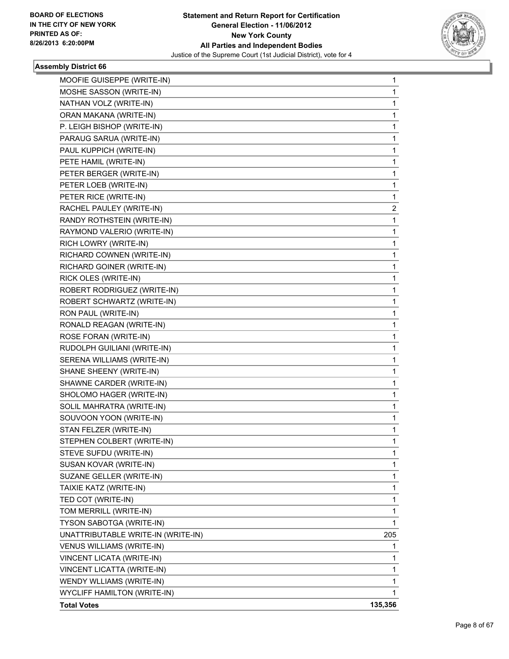

| MOOFIE GUISEPPE (WRITE-IN)         | 1       |
|------------------------------------|---------|
| MOSHE SASSON (WRITE-IN)            | 1       |
| NATHAN VOLZ (WRITE-IN)             | 1       |
| ORAN MAKANA (WRITE-IN)             | 1       |
| P. LEIGH BISHOP (WRITE-IN)         | 1       |
| PARAUG SARUA (WRITE-IN)            | 1       |
| PAUL KUPPICH (WRITE-IN)            | 1       |
| PETE HAMIL (WRITE-IN)              | 1       |
| PETER BERGER (WRITE-IN)            | 1       |
| PETER LOEB (WRITE-IN)              | 1       |
| PETER RICE (WRITE-IN)              | 1       |
| RACHEL PAULEY (WRITE-IN)           | 2       |
| RANDY ROTHSTEIN (WRITE-IN)         | 1       |
| RAYMOND VALERIO (WRITE-IN)         | 1       |
| RICH LOWRY (WRITE-IN)              | 1       |
| RICHARD COWNEN (WRITE-IN)          | 1       |
| RICHARD GOINER (WRITE-IN)          | 1       |
| RICK OLES (WRITE-IN)               | 1       |
| ROBERT RODRIGUEZ (WRITE-IN)        | 1       |
| ROBERT SCHWARTZ (WRITE-IN)         | 1       |
| RON PAUL (WRITE-IN)                | 1       |
| RONALD REAGAN (WRITE-IN)           | 1       |
| ROSE FORAN (WRITE-IN)              | 1       |
| RUDOLPH GUILIANI (WRITE-IN)        | 1       |
| SERENA WILLIAMS (WRITE-IN)         | 1       |
| SHANE SHEENY (WRITE-IN)            | 1       |
| SHAWNE CARDER (WRITE-IN)           | 1       |
| SHOLOMO HAGER (WRITE-IN)           | 1       |
| SOLIL MAHRATRA (WRITE-IN)          | 1       |
| SOUVOON YOON (WRITE-IN)            | 1       |
| STAN FELZER (WRITE-IN)             | 1       |
| STEPHEN COLBERT (WRITE-IN)         | 1       |
| STEVE SUFDU (WRITE-IN)             | 1       |
| SUSAN KOVAR (WRITE-IN)             | 1       |
| SUZANE GELLER (WRITE-IN)           | 1       |
| TAIXIE KATZ (WRITE-IN)             | 1       |
| TED COT (WRITE-IN)                 | 1       |
| TOM MERRILL (WRITE-IN)             | 1       |
| TYSON SABOTGA (WRITE-IN)           | 1       |
| UNATTRIBUTABLE WRITE-IN (WRITE-IN) | 205     |
| <b>VENUS WILLIAMS (WRITE-IN)</b>   | 1       |
| VINCENT LICATA (WRITE-IN)          | 1       |
| VINCENT LICATTA (WRITE-IN)         | 1       |
| WENDY WLLIAMS (WRITE-IN)           | 1       |
| <b>WYCLIFF HAMILTON (WRITE-IN)</b> | 1       |
| <b>Total Votes</b>                 | 135,356 |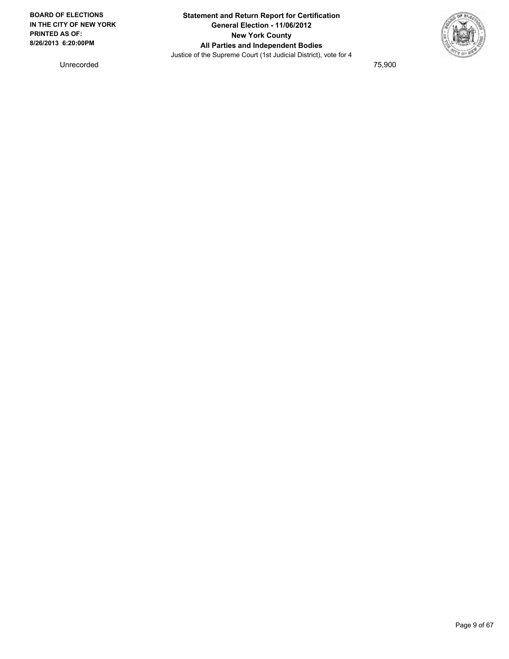

Unrecorded 75,900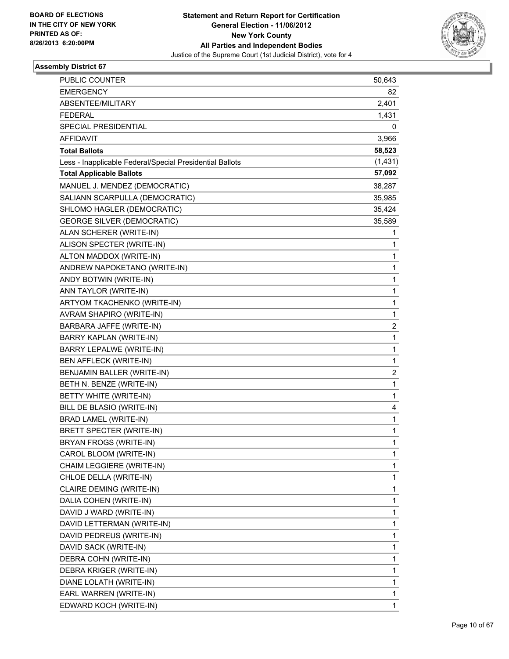

| <b>PUBLIC COUNTER</b>                                    | 50,643                  |
|----------------------------------------------------------|-------------------------|
| <b>EMERGENCY</b>                                         | 82                      |
| ABSENTEE/MILITARY                                        | 2,401                   |
| <b>FEDERAL</b>                                           | 1,431                   |
| SPECIAL PRESIDENTIAL                                     | 0                       |
| <b>AFFIDAVIT</b>                                         | 3,966                   |
| <b>Total Ballots</b>                                     | 58,523                  |
| Less - Inapplicable Federal/Special Presidential Ballots | (1, 431)                |
| <b>Total Applicable Ballots</b>                          | 57,092                  |
| MANUEL J. MENDEZ (DEMOCRATIC)                            | 38,287                  |
| SALIANN SCARPULLA (DEMOCRATIC)                           | 35,985                  |
| SHLOMO HAGLER (DEMOCRATIC)                               | 35,424                  |
| <b>GEORGE SILVER (DEMOCRATIC)</b>                        | 35,589                  |
| ALAN SCHERER (WRITE-IN)                                  | 1                       |
| ALISON SPECTER (WRITE-IN)                                | 1                       |
| ALTON MADDOX (WRITE-IN)                                  | 1                       |
| ANDREW NAPOKETANO (WRITE-IN)                             | 1                       |
| ANDY BOTWIN (WRITE-IN)                                   | 1                       |
| ANN TAYLOR (WRITE-IN)                                    | 1                       |
| ARTYOM TKACHENKO (WRITE-IN)                              | 1                       |
| AVRAM SHAPIRO (WRITE-IN)                                 | 1                       |
| BARBARA JAFFE (WRITE-IN)                                 | $\overline{\mathbf{c}}$ |
| BARRY KAPLAN (WRITE-IN)                                  | 1                       |
| BARRY LEPALWE (WRITE-IN)                                 | 1                       |
| BEN AFFLECK (WRITE-IN)                                   | 1                       |
| BENJAMIN BALLER (WRITE-IN)                               | $\overline{\mathbf{c}}$ |
| BETH N. BENZE (WRITE-IN)                                 | 1                       |
| BETTY WHITE (WRITE-IN)                                   | 1                       |
| BILL DE BLASIO (WRITE-IN)                                | 4                       |
| BRAD LAMEL (WRITE-IN)                                    | 1                       |
| <b>BRETT SPECTER (WRITE-IN)</b>                          | 1                       |
| BRYAN FROGS (WRITE-IN)                                   | 1                       |
| CAROL BLOOM (WRITE-IN)                                   | 1                       |
| CHAIM LEGGIERE (WRITE-IN)                                | 1                       |
| CHLOE DELLA (WRITE-IN)                                   | 1                       |
| CLAIRE DEMING (WRITE-IN)                                 | 1                       |
| DALIA COHEN (WRITE-IN)                                   | 1                       |
| DAVID J WARD (WRITE-IN)                                  | 1                       |
| DAVID LETTERMAN (WRITE-IN)                               | 1                       |
| DAVID PEDREUS (WRITE-IN)                                 | 1                       |
| DAVID SACK (WRITE-IN)                                    | 1                       |
| DEBRA COHN (WRITE-IN)                                    | 1                       |
| DEBRA KRIGER (WRITE-IN)                                  | 1                       |
| DIANE LOLATH (WRITE-IN)                                  | 1                       |
| EARL WARREN (WRITE-IN)                                   | 1                       |
| EDWARD KOCH (WRITE-IN)                                   | 1                       |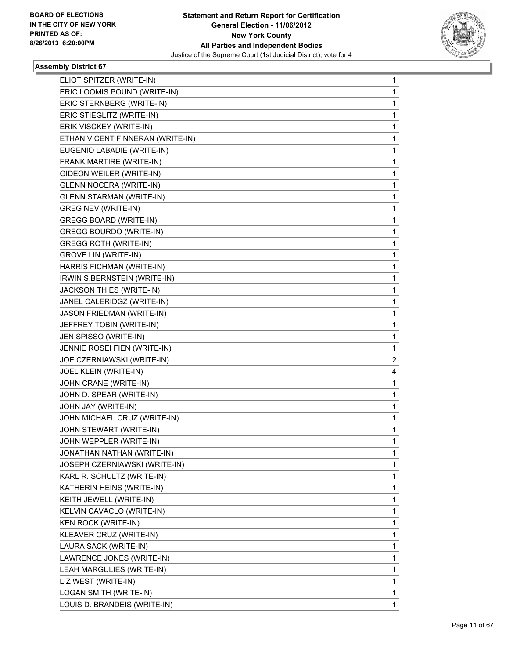

| ELIOT SPITZER (WRITE-IN)         | 1              |
|----------------------------------|----------------|
| ERIC LOOMIS POUND (WRITE-IN)     | 1              |
| ERIC STERNBERG (WRITE-IN)        | 1              |
| ERIC STIEGLITZ (WRITE-IN)        | 1              |
| ERIK VISCKEY (WRITE-IN)          | 1              |
| ETHAN VICENT FINNERAN (WRITE-IN) | 1              |
| EUGENIO LABADIE (WRITE-IN)       | 1              |
| FRANK MARTIRE (WRITE-IN)         | 1              |
| GIDEON WEILER (WRITE-IN)         | 1              |
| <b>GLENN NOCERA (WRITE-IN)</b>   | 1              |
| <b>GLENN STARMAN (WRITE-IN)</b>  | 1              |
| <b>GREG NEV (WRITE-IN)</b>       | 1              |
| GREGG BOARD (WRITE-IN)           | 1              |
| <b>GREGG BOURDO (WRITE-IN)</b>   | 1              |
| <b>GREGG ROTH (WRITE-IN)</b>     | 1              |
| <b>GROVE LIN (WRITE-IN)</b>      | 1              |
| HARRIS FICHMAN (WRITE-IN)        | 1              |
| IRWIN S.BERNSTEIN (WRITE-IN)     | 1              |
| JACKSON THIES (WRITE-IN)         | 1              |
| JANEL CALERIDGZ (WRITE-IN)       | 1              |
| JASON FRIEDMAN (WRITE-IN)        | 1              |
| JEFFREY TOBIN (WRITE-IN)         | 1              |
| JEN SPISSO (WRITE-IN)            | 1              |
| JENNIE ROSEI FIEN (WRITE-IN)     | 1              |
| JOE CZERNIAWSKI (WRITE-IN)       | $\overline{c}$ |
| JOEL KLEIN (WRITE-IN)            | 4              |
| JOHN CRANE (WRITE-IN)            | 1              |
| JOHN D. SPEAR (WRITE-IN)         | 1              |
| JOHN JAY (WRITE-IN)              | 1              |
| JOHN MICHAEL CRUZ (WRITE-IN)     | 1              |
| JOHN STEWART (WRITE-IN)          | 1              |
| JOHN WEPPLER (WRITE-IN)          | 1              |
| JONATHAN NATHAN (WRITE-IN)       | 1              |
| JOSEPH CZERNIAWSKI (WRITE-IN)    | 1              |
| KARL R. SCHULTZ (WRITE-IN)       | 1              |
| KATHERIN HEINS (WRITE-IN)        | 1              |
| KEITH JEWELL (WRITE-IN)          | 1              |
| KELVIN CAVACLO (WRITE-IN)        | 1              |
| <b>KEN ROCK (WRITE-IN)</b>       | 1              |
| KLEAVER CRUZ (WRITE-IN)          | 1              |
| LAURA SACK (WRITE-IN)            | 1              |
| LAWRENCE JONES (WRITE-IN)        | 1              |
| LEAH MARGULIES (WRITE-IN)        | 1              |
| LIZ WEST (WRITE-IN)              | 1              |
| LOGAN SMITH (WRITE-IN)           | 1              |
| LOUIS D. BRANDEIS (WRITE-IN)     | 1              |
|                                  |                |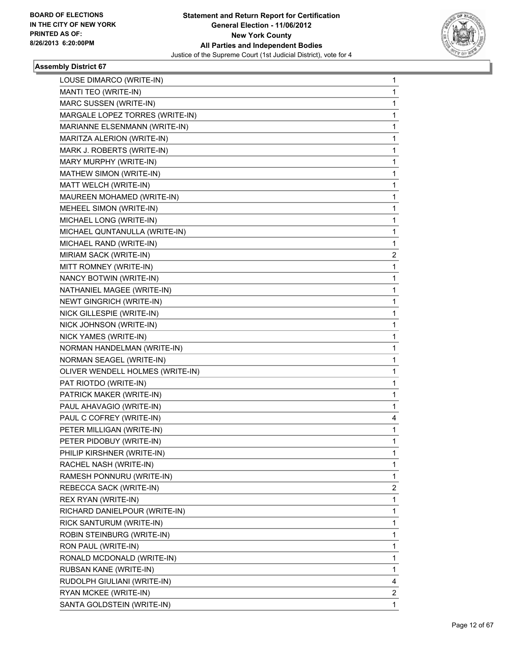

| LOUSE DIMARCO (WRITE-IN)         | $\mathbf{1}$   |
|----------------------------------|----------------|
| MANTI TEO (WRITE-IN)             | 1              |
| MARC SUSSEN (WRITE-IN)           | 1              |
| MARGALE LOPEZ TORRES (WRITE-IN)  | 1              |
| MARIANNE ELSENMANN (WRITE-IN)    | 1              |
| MARITZA ALERION (WRITE-IN)       | 1              |
| MARK J. ROBERTS (WRITE-IN)       | 1              |
| MARY MURPHY (WRITE-IN)           | 1              |
| MATHEW SIMON (WRITE-IN)          | 1              |
| MATT WELCH (WRITE-IN)            | 1              |
| MAUREEN MOHAMED (WRITE-IN)       | 1              |
| MEHEEL SIMON (WRITE-IN)          | 1              |
| MICHAEL LONG (WRITE-IN)          | 1              |
| MICHAEL QUNTANULLA (WRITE-IN)    | 1              |
| MICHAEL RAND (WRITE-IN)          | 1              |
| MIRIAM SACK (WRITE-IN)           | 2              |
| MITT ROMNEY (WRITE-IN)           | 1              |
| NANCY BOTWIN (WRITE-IN)          | 1              |
| NATHANIEL MAGEE (WRITE-IN)       | 1              |
| <b>NEWT GINGRICH (WRITE-IN)</b>  | 1              |
| NICK GILLESPIE (WRITE-IN)        | 1              |
| NICK JOHNSON (WRITE-IN)          | 1              |
| NICK YAMES (WRITE-IN)            | 1              |
| NORMAN HANDELMAN (WRITE-IN)      | 1              |
| NORMAN SEAGEL (WRITE-IN)         | 1              |
| OLIVER WENDELL HOLMES (WRITE-IN) | 1              |
| PAT RIOTDO (WRITE-IN)            | 1              |
| PATRICK MAKER (WRITE-IN)         | 1              |
| PAUL AHAVAGIO (WRITE-IN)         | 1              |
| PAUL C COFREY (WRITE-IN)         | 4              |
| PETER MILLIGAN (WRITE-IN)        | 1              |
| PETER PIDOBUY (WRITE-IN)         | 1              |
| PHILIP KIRSHNER (WRITE-IN)       | 1              |
| RACHEL NASH (WRITE-IN)           | 1              |
| RAMESH PONNURU (WRITE-IN)        | 1              |
| REBECCA SACK (WRITE-IN)          | 2              |
| REX RYAN (WRITE-IN)              | 1              |
| RICHARD DANIELPOUR (WRITE-IN)    | 1              |
| RICK SANTURUM (WRITE-IN)         | 1              |
| ROBIN STEINBURG (WRITE-IN)       | 1              |
| RON PAUL (WRITE-IN)              | 1              |
| RONALD MCDONALD (WRITE-IN)       | 1              |
| RUBSAN KANE (WRITE-IN)           | 1              |
| RUDOLPH GIULIANI (WRITE-IN)      | 4              |
| RYAN MCKEE (WRITE-IN)            | $\overline{2}$ |
| SANTA GOLDSTEIN (WRITE-IN)       | $\mathbf{1}$   |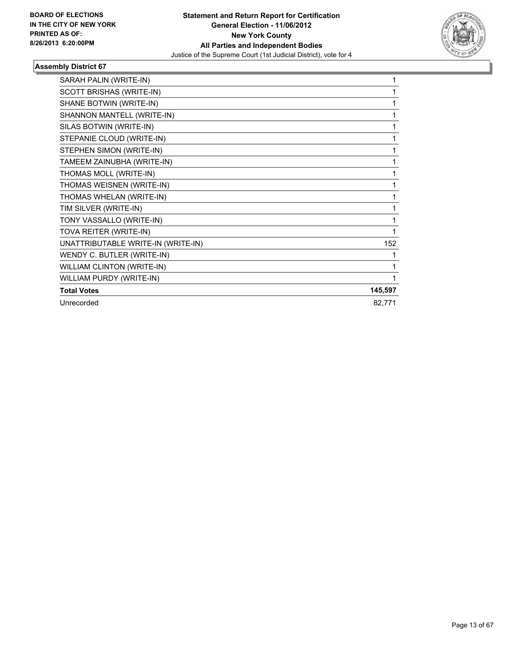

| SARAH PALIN (WRITE-IN)             | 1            |
|------------------------------------|--------------|
| SCOTT BRISHAS (WRITE-IN)           | 1            |
| SHANE BOTWIN (WRITE-IN)            | 1            |
| SHANNON MANTELL (WRITE-IN)         | 1            |
| SILAS BOTWIN (WRITE-IN)            | $\mathbf{1}$ |
| STEPANIE CLOUD (WRITE-IN)          | 1            |
| STEPHEN SIMON (WRITE-IN)           | 1            |
| TAMEEM ZAINUBHA (WRITE-IN)         | 1            |
| THOMAS MOLL (WRITE-IN)             | 1            |
| THOMAS WEISNEN (WRITE-IN)          | 1            |
| THOMAS WHELAN (WRITE-IN)           | 1            |
| TIM SILVER (WRITE-IN)              | 1            |
| TONY VASSALLO (WRITE-IN)           | 1            |
| TOVA REITER (WRITE-IN)             | 1            |
| UNATTRIBUTABLE WRITE-IN (WRITE-IN) | 152          |
| WENDY C. BUTLER (WRITE-IN)         | 1            |
| <b>WILLIAM CLINTON (WRITE-IN)</b>  | 1            |
| WILLIAM PURDY (WRITE-IN)           | 1            |
| <b>Total Votes</b>                 | 145,597      |
| Unrecorded                         | 82,771       |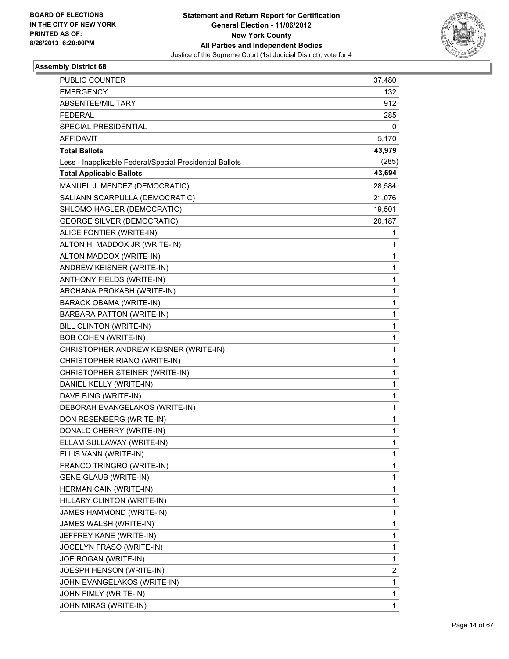

| PUBLIC COUNTER                                           | 37,480      |
|----------------------------------------------------------|-------------|
| <b>EMERGENCY</b>                                         | 132         |
| ABSENTEE/MILITARY                                        | 912         |
| <b>FEDERAL</b>                                           | 285         |
| SPECIAL PRESIDENTIAL                                     | 0           |
| <b>AFFIDAVIT</b>                                         | 5,170       |
| <b>Total Ballots</b>                                     | 43,979      |
| Less - Inapplicable Federal/Special Presidential Ballots | (285)       |
| <b>Total Applicable Ballots</b>                          | 43,694      |
| MANUEL J. MENDEZ (DEMOCRATIC)                            | 28,584      |
| SALIANN SCARPULLA (DEMOCRATIC)                           | 21,076      |
| SHLOMO HAGLER (DEMOCRATIC)                               | 19,501      |
| <b>GEORGE SILVER (DEMOCRATIC)</b>                        | 20,187      |
| ALICE FONTIER (WRITE-IN)                                 | 1           |
| ALTON H. MADDOX JR (WRITE-IN)                            | 1           |
| ALTON MADDOX (WRITE-IN)                                  | 1           |
| ANDREW KEISNER (WRITE-IN)                                | 1           |
| ANTHONY FIELDS (WRITE-IN)                                | 1           |
| ARCHANA PROKASH (WRITE-IN)                               | 1           |
| <b>BARACK OBAMA (WRITE-IN)</b>                           | 1           |
| <b>BARBARA PATTON (WRITE-IN)</b>                         | 1           |
| BILL CLINTON (WRITE-IN)                                  | 1           |
| <b>BOB COHEN (WRITE-IN)</b>                              | 1           |
| CHRISTOPHER ANDREW KEISNER (WRITE-IN)                    | 1           |
| CHRISTOPHER RIANO (WRITE-IN)                             | 1           |
| CHRISTOPHER STEINER (WRITE-IN)                           | 1           |
| DANIEL KELLY (WRITE-IN)                                  | 1           |
| DAVE BING (WRITE-IN)                                     | 1           |
| DEBORAH EVANGELAKOS (WRITE-IN)                           | 1           |
| DON RESENBERG (WRITE-IN)                                 | 1           |
| DONALD CHERRY (WRITE-IN)                                 | 1           |
| ELLAM SULLAWAY (WRITE-IN)                                | 1           |
| ELLIS VANN (WRITE-IN)                                    | 1           |
| FRANCO TRINGRO (WRITE-IN)                                | 1           |
| <b>GENE GLAUB (WRITE-IN)</b>                             | 1           |
| HERMAN CAIN (WRITE-IN)                                   | 1           |
| HILLARY CLINTON (WRITE-IN)                               | $\mathbf 1$ |
| JAMES HAMMOND (WRITE-IN)                                 | 1           |
| JAMES WALSH (WRITE-IN)                                   | 1           |
| JEFFREY KANE (WRITE-IN)                                  | 1           |
| JOCELYN FRASO (WRITE-IN)                                 | 1           |
| JOE ROGAN (WRITE-IN)                                     | 1           |
| JOESPH HENSON (WRITE-IN)                                 | 2           |
| JOHN EVANGELAKOS (WRITE-IN)                              | 1           |
| JOHN FIMLY (WRITE-IN)                                    | 1           |
| JOHN MIRAS (WRITE-IN)                                    | 1           |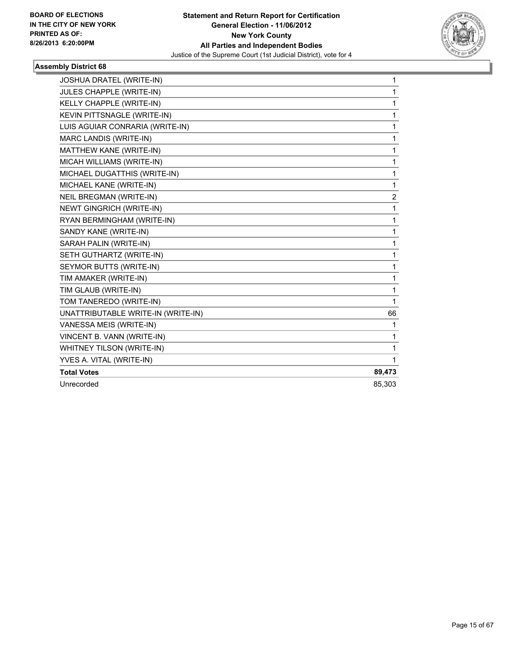

| JOSHUA DRATEL (WRITE-IN)           | 1      |
|------------------------------------|--------|
| JULES CHAPPLE (WRITE-IN)           | 1      |
| KELLY CHAPPLE (WRITE-IN)           | 1      |
| KEVIN PITTSNAGLE (WRITE-IN)        | 1      |
| LUIS AGUIAR CONRARIA (WRITE-IN)    | 1      |
| MARC LANDIS (WRITE-IN)             | 1      |
| MATTHEW KANE (WRITE-IN)            | 1      |
| MICAH WILLIAMS (WRITE-IN)          | 1      |
| MICHAEL DUGATTHIS (WRITE-IN)       | 1      |
| MICHAEL KANE (WRITE-IN)            | 1      |
| NEIL BREGMAN (WRITE-IN)            | 2      |
| <b>NEWT GINGRICH (WRITE-IN)</b>    | 1      |
| RYAN BERMINGHAM (WRITE-IN)         | 1      |
| SANDY KANE (WRITE-IN)              | 1      |
| SARAH PALIN (WRITE-IN)             | 1      |
| SETH GUTHARTZ (WRITE-IN)           | 1      |
| SEYMOR BUTTS (WRITE-IN)            | 1      |
| TIM AMAKER (WRITE-IN)              | 1      |
| TIM GLAUB (WRITE-IN)               | 1      |
| TOM TANEREDO (WRITE-IN)            | 1      |
| UNATTRIBUTABLE WRITE-IN (WRITE-IN) | 66     |
| VANESSA MEIS (WRITE-IN)            | 1      |
| VINCENT B. VANN (WRITE-IN)         | 1      |
| WHITNEY TILSON (WRITE-IN)          | 1      |
| YVES A. VITAL (WRITE-IN)           | 1      |
| <b>Total Votes</b>                 | 89,473 |
| Unrecorded                         | 85,303 |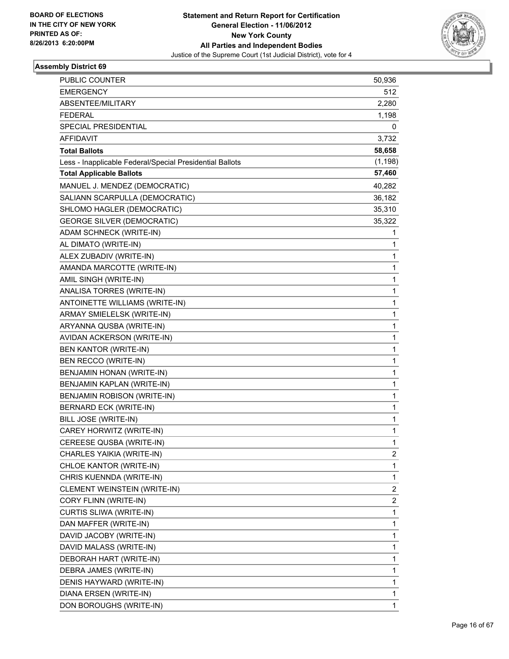

| <b>PUBLIC COUNTER</b>                                    | 50,936                  |
|----------------------------------------------------------|-------------------------|
| <b>EMERGENCY</b>                                         | 512                     |
| <b>ABSENTEE/MILITARY</b>                                 | 2,280                   |
| <b>FEDERAL</b>                                           | 1,198                   |
| SPECIAL PRESIDENTIAL                                     | 0                       |
| <b>AFFIDAVIT</b>                                         | 3,732                   |
| <b>Total Ballots</b>                                     | 58,658                  |
| Less - Inapplicable Federal/Special Presidential Ballots | (1, 198)                |
| <b>Total Applicable Ballots</b>                          | 57,460                  |
| MANUEL J. MENDEZ (DEMOCRATIC)                            | 40,282                  |
| SALIANN SCARPULLA (DEMOCRATIC)                           | 36,182                  |
| SHLOMO HAGLER (DEMOCRATIC)                               | 35,310                  |
| <b>GEORGE SILVER (DEMOCRATIC)</b>                        | 35,322                  |
| ADAM SCHNECK (WRITE-IN)                                  | 1                       |
| AL DIMATO (WRITE-IN)                                     | 1                       |
| ALEX ZUBADIV (WRITE-IN)                                  | 1                       |
| AMANDA MARCOTTE (WRITE-IN)                               | 1                       |
| AMIL SINGH (WRITE-IN)                                    | 1                       |
| ANALISA TORRES (WRITE-IN)                                | 1                       |
| ANTOINETTE WILLIAMS (WRITE-IN)                           | 1                       |
| ARMAY SMIELELSK (WRITE-IN)                               | 1                       |
| ARYANNA QUSBA (WRITE-IN)                                 | 1                       |
| AVIDAN ACKERSON (WRITE-IN)                               | 1                       |
| BEN KANTOR (WRITE-IN)                                    | 1                       |
| BEN RECCO (WRITE-IN)                                     | 1                       |
| BENJAMIN HONAN (WRITE-IN)                                | 1                       |
| BENJAMIN KAPLAN (WRITE-IN)                               | 1                       |
| BENJAMIN ROBISON (WRITE-IN)                              | 1                       |
| BERNARD ECK (WRITE-IN)                                   | 1                       |
| <b>BILL JOSE (WRITE-IN)</b>                              | 1                       |
| CAREY HORWITZ (WRITE-IN)                                 | 1                       |
| CEREESE QUSBA (WRITE-IN)                                 | 1                       |
| CHARLES YAIKIA (WRITE-IN)                                | 2                       |
| CHLOE KANTOR (WRITE-IN)                                  | 1                       |
| CHRIS KUENNDA (WRITE-IN)                                 | 1                       |
| CLEMENT WEINSTEIN (WRITE-IN)                             | 2                       |
| CORY FLINN (WRITE-IN)                                    | $\overline{\mathbf{c}}$ |
| <b>CURTIS SLIWA (WRITE-IN)</b>                           | 1                       |
| DAN MAFFER (WRITE-IN)                                    | 1                       |
| DAVID JACOBY (WRITE-IN)                                  | 1                       |
| DAVID MALASS (WRITE-IN)                                  | 1                       |
| DEBORAH HART (WRITE-IN)                                  | 1                       |
| DEBRA JAMES (WRITE-IN)                                   | 1                       |
| DENIS HAYWARD (WRITE-IN)                                 | 1                       |
| DIANA ERSEN (WRITE-IN)                                   | 1                       |
| DON BOROUGHS (WRITE-IN)                                  | 1                       |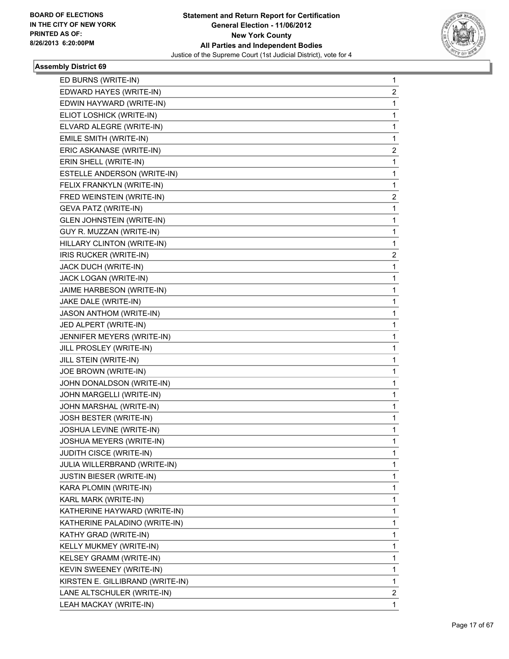

| ED BURNS (WRITE-IN)              | 1 |
|----------------------------------|---|
| EDWARD HAYES (WRITE-IN)          | 2 |
| EDWIN HAYWARD (WRITE-IN)         | 1 |
| ELIOT LOSHICK (WRITE-IN)         | 1 |
| ELVARD ALEGRE (WRITE-IN)         | 1 |
| EMILE SMITH (WRITE-IN)           | 1 |
| ERIC ASKANASE (WRITE-IN)         | 2 |
| ERIN SHELL (WRITE-IN)            | 1 |
| ESTELLE ANDERSON (WRITE-IN)      | 1 |
| FELIX FRANKYLN (WRITE-IN)        | 1 |
| FRED WEINSTEIN (WRITE-IN)        | 2 |
| <b>GEVA PATZ (WRITE-IN)</b>      | 1 |
| <b>GLEN JOHNSTEIN (WRITE-IN)</b> | 1 |
| GUY R. MUZZAN (WRITE-IN)         | 1 |
| HILLARY CLINTON (WRITE-IN)       | 1 |
| IRIS RUCKER (WRITE-IN)           | 2 |
| JACK DUCH (WRITE-IN)             | 1 |
| JACK LOGAN (WRITE-IN)            | 1 |
| JAIME HARBESON (WRITE-IN)        | 1 |
| JAKE DALE (WRITE-IN)             | 1 |
| <b>JASON ANTHOM (WRITE-IN)</b>   | 1 |
| JED ALPERT (WRITE-IN)            | 1 |
| JENNIFER MEYERS (WRITE-IN)       | 1 |
| JILL PROSLEY (WRITE-IN)          | 1 |
| JILL STEIN (WRITE-IN)            | 1 |
| JOE BROWN (WRITE-IN)             | 1 |
| JOHN DONALDSON (WRITE-IN)        | 1 |
| JOHN MARGELLI (WRITE-IN)         | 1 |
| JOHN MARSHAL (WRITE-IN)          | 1 |
| JOSH BESTER (WRITE-IN)           | 1 |
| JOSHUA LEVINE (WRITE-IN)         | 1 |
| JOSHUA MEYERS (WRITE-IN)         | 1 |
| JUDITH CISCE (WRITE-IN)          | 1 |
| JULIA WILLERBRAND (WRITE-IN)     | 1 |
| <b>JUSTIN BIESER (WRITE-IN)</b>  | 1 |
| KARA PLOMIN (WRITE-IN)           | 1 |
| KARL MARK (WRITE-IN)             | 1 |
| KATHERINE HAYWARD (WRITE-IN)     | 1 |
| KATHERINE PALADINO (WRITE-IN)    | 1 |
| KATHY GRAD (WRITE-IN)            | 1 |
| KELLY MUKMEY (WRITE-IN)          | 1 |
| KELSEY GRAMM (WRITE-IN)          | 1 |
| KEVIN SWEENEY (WRITE-IN)         | 1 |
| KIRSTEN E. GILLIBRAND (WRITE-IN) | 1 |
| LANE ALTSCHULER (WRITE-IN)       | 2 |
| LEAH MACKAY (WRITE-IN)           | 1 |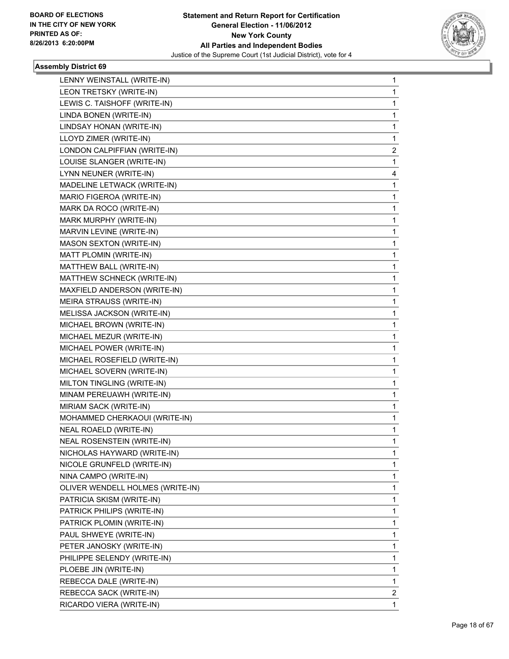

| LENNY WEINSTALL (WRITE-IN)       | 1 |
|----------------------------------|---|
| LEON TRETSKY (WRITE-IN)          | 1 |
| LEWIS C. TAISHOFF (WRITE-IN)     | 1 |
| LINDA BONEN (WRITE-IN)           | 1 |
| LINDSAY HONAN (WRITE-IN)         | 1 |
| LLOYD ZIMER (WRITE-IN)           | 1 |
| LONDON CALPIFFIAN (WRITE-IN)     | 2 |
| LOUISE SLANGER (WRITE-IN)        | 1 |
| LYNN NEUNER (WRITE-IN)           | 4 |
| MADELINE LETWACK (WRITE-IN)      | 1 |
| MARIO FIGEROA (WRITE-IN)         | 1 |
| MARK DA ROCO (WRITE-IN)          | 1 |
| MARK MURPHY (WRITE-IN)           | 1 |
| MARVIN LEVINE (WRITE-IN)         | 1 |
| <b>MASON SEXTON (WRITE-IN)</b>   | 1 |
| MATT PLOMIN (WRITE-IN)           | 1 |
| MATTHEW BALL (WRITE-IN)          | 1 |
| MATTHEW SCHNECK (WRITE-IN)       | 1 |
| MAXFIELD ANDERSON (WRITE-IN)     | 1 |
| MEIRA STRAUSS (WRITE-IN)         | 1 |
| MELISSA JACKSON (WRITE-IN)       | 1 |
| MICHAEL BROWN (WRITE-IN)         | 1 |
| MICHAEL MEZUR (WRITE-IN)         | 1 |
| MICHAEL POWER (WRITE-IN)         | 1 |
| MICHAEL ROSEFIELD (WRITE-IN)     | 1 |
| MICHAEL SOVERN (WRITE-IN)        | 1 |
| MILTON TINGLING (WRITE-IN)       | 1 |
| MINAM PEREUAWH (WRITE-IN)        | 1 |
| MIRIAM SACK (WRITE-IN)           | 1 |
| MOHAMMED CHERKAOUI (WRITE-IN)    | 1 |
| <b>NEAL ROAELD (WRITE-IN)</b>    | 1 |
| NEAL ROSENSTEIN (WRITE-IN)       | 1 |
| NICHOLAS HAYWARD (WRITE-IN)      | 1 |
| NICOLE GRUNFELD (WRITE-IN)       | 1 |
| NINA CAMPO (WRITE-IN)            | 1 |
| OLIVER WENDELL HOLMES (WRITE-IN) | 1 |
| PATRICIA SKISM (WRITE-IN)        | 1 |
| PATRICK PHILIPS (WRITE-IN)       | 1 |
| PATRICK PLOMIN (WRITE-IN)        | 1 |
| PAUL SHWEYE (WRITE-IN)           | 1 |
| PETER JANOSKY (WRITE-IN)         | 1 |
| PHILIPPE SELENDY (WRITE-IN)      | 1 |
| PLOEBE JIN (WRITE-IN)            | 1 |
| REBECCA DALE (WRITE-IN)          | 1 |
| REBECCA SACK (WRITE-IN)          | 2 |
| RICARDO VIERA (WRITE-IN)         | 1 |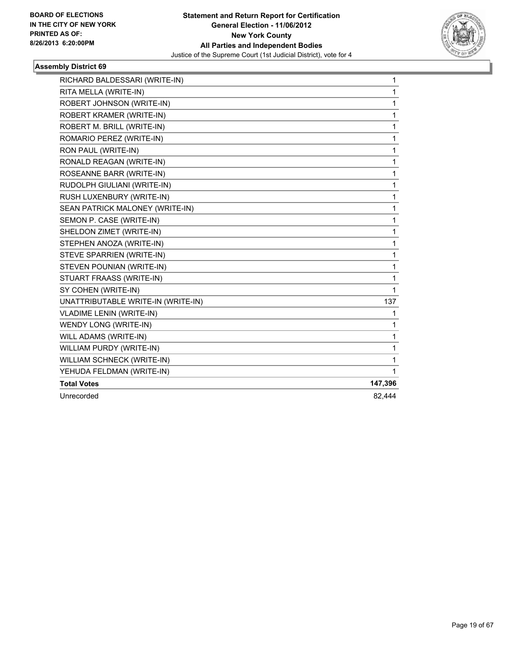

| RICHARD BALDESSARI (WRITE-IN)      | $\mathbf{1}$ |
|------------------------------------|--------------|
| RITA MELLA (WRITE-IN)              | 1            |
| ROBERT JOHNSON (WRITE-IN)          | 1            |
| ROBERT KRAMER (WRITE-IN)           | 1            |
| ROBERT M. BRILL (WRITE-IN)         | 1            |
| ROMARIO PEREZ (WRITE-IN)           | 1            |
| RON PAUL (WRITE-IN)                | 1            |
| RONALD REAGAN (WRITE-IN)           | 1            |
| ROSEANNE BARR (WRITE-IN)           | 1            |
| RUDOLPH GIULIANI (WRITE-IN)        | 1            |
| RUSH LUXENBURY (WRITE-IN)          | $\mathbf 1$  |
| SEAN PATRICK MALONEY (WRITE-IN)    | 1            |
| SEMON P. CASE (WRITE-IN)           | 1            |
| SHELDON ZIMET (WRITE-IN)           | 1            |
| STEPHEN ANOZA (WRITE-IN)           | 1            |
| STEVE SPARRIEN (WRITE-IN)          | 1            |
| STEVEN POUNIAN (WRITE-IN)          | 1            |
| STUART FRAASS (WRITE-IN)           | 1            |
| SY COHEN (WRITE-IN)                | 1            |
| UNATTRIBUTABLE WRITE-IN (WRITE-IN) | 137          |
| <b>VLADIME LENIN (WRITE-IN)</b>    | 1            |
| WENDY LONG (WRITE-IN)              | 1            |
| WILL ADAMS (WRITE-IN)              | 1            |
| WILLIAM PURDY (WRITE-IN)           | 1            |
| WILLIAM SCHNECK (WRITE-IN)         | 1            |
| YEHUDA FELDMAN (WRITE-IN)          | 1            |
| <b>Total Votes</b>                 | 147,396      |
| Unrecorded                         | 82,444       |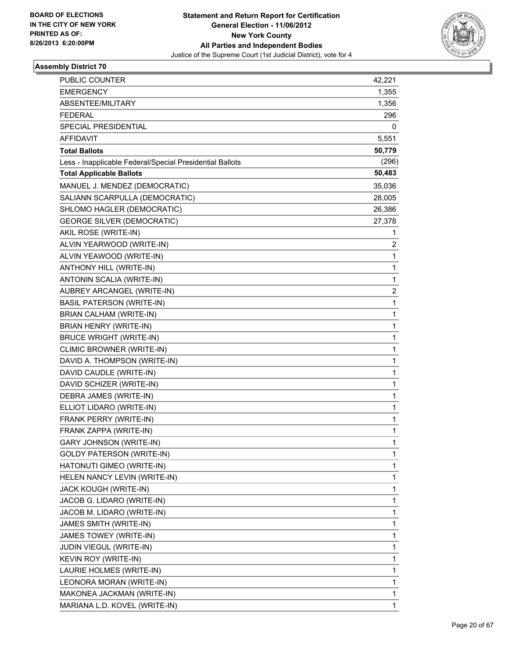

| PUBLIC COUNTER                                           | 42,221                  |
|----------------------------------------------------------|-------------------------|
| <b>EMERGENCY</b>                                         | 1,355                   |
| ABSENTEE/MILITARY                                        | 1,356                   |
| <b>FEDERAL</b>                                           | 296                     |
| SPECIAL PRESIDENTIAL                                     | 0                       |
| <b>AFFIDAVIT</b>                                         | 5,551                   |
| <b>Total Ballots</b>                                     | 50,779                  |
| Less - Inapplicable Federal/Special Presidential Ballots | (296)                   |
| <b>Total Applicable Ballots</b>                          | 50,483                  |
| MANUEL J. MENDEZ (DEMOCRATIC)                            | 35,036                  |
| SALIANN SCARPULLA (DEMOCRATIC)                           | 28,005                  |
| SHLOMO HAGLER (DEMOCRATIC)                               | 26,386                  |
| <b>GEORGE SILVER (DEMOCRATIC)</b>                        | 27,378                  |
| AKIL ROSE (WRITE-IN)                                     | 1                       |
| ALVIN YEARWOOD (WRITE-IN)                                | 2                       |
| ALVIN YEAWOOD (WRITE-IN)                                 | 1                       |
| ANTHONY HILL (WRITE-IN)                                  | 1                       |
| ANTONIN SCALIA (WRITE-IN)                                | 1                       |
| AUBREY ARCANGEL (WRITE-IN)                               | $\overline{\mathbf{c}}$ |
| <b>BASIL PATERSON (WRITE-IN)</b>                         | 1                       |
| BRIAN CALHAM (WRITE-IN)                                  | 1                       |
| BRIAN HENRY (WRITE-IN)                                   | 1                       |
| <b>BRUCE WRIGHT (WRITE-IN)</b>                           | 1                       |
| CLIMIC BROWNER (WRITE-IN)                                | 1                       |
| DAVID A. THOMPSON (WRITE-IN)                             | 1                       |
| DAVID CAUDLE (WRITE-IN)                                  | 1                       |
| DAVID SCHIZER (WRITE-IN)                                 | 1                       |
| DEBRA JAMES (WRITE-IN)                                   | 1                       |
| ELLIOT LIDARO (WRITE-IN)                                 | 1                       |
| FRANK PERRY (WRITE-IN)                                   | 1                       |
| FRANK ZAPPA (WRITE-IN)                                   | 1                       |
| <b>GARY JOHNSON (WRITE-IN)</b>                           | 1                       |
| <b>GOLDY PATERSON (WRITE-IN)</b>                         | 1                       |
| HATONUTI GIMEO (WRITE-IN)                                | 1                       |
| HELEN NANCY LEVIN (WRITE-IN)                             | 1                       |
| JACK KOUGH (WRITE-IN)                                    | 1                       |
| JACOB G. LIDARO (WRITE-IN)                               | 1                       |
| JACOB M. LIDARO (WRITE-IN)                               | 1                       |
| JAMES SMITH (WRITE-IN)                                   | 1                       |
| JAMES TOWEY (WRITE-IN)                                   | 1                       |
| JUDIN VIEGUL (WRITE-IN)                                  | 1                       |
| KEVIN ROY (WRITE-IN)                                     | 1                       |
| LAURIE HOLMES (WRITE-IN)                                 | 1                       |
| LEONORA MORAN (WRITE-IN)                                 | 1                       |
| MAKONEA JACKMAN (WRITE-IN)                               | 1                       |
| MARIANA L.D. KOVEL (WRITE-IN)                            | 1                       |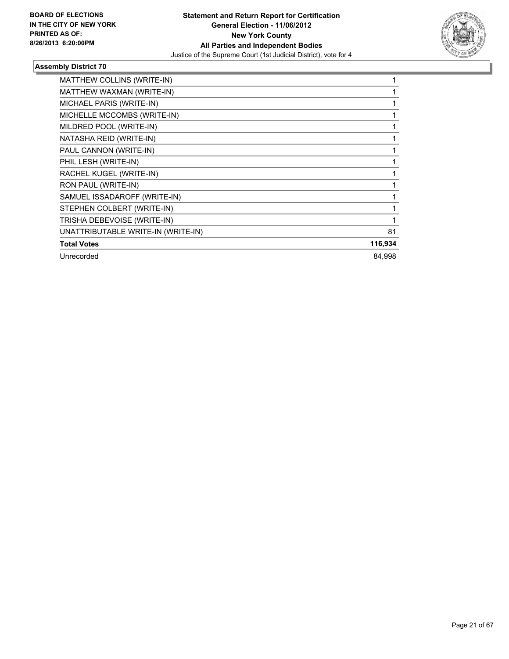

| <b>MATTHEW COLLINS (WRITE-IN)</b>  |         |
|------------------------------------|---------|
| MATTHEW WAXMAN (WRITE-IN)          |         |
| MICHAEL PARIS (WRITE-IN)           |         |
| MICHELLE MCCOMBS (WRITE-IN)        |         |
| MILDRED POOL (WRITE-IN)            |         |
| NATASHA REID (WRITE-IN)            |         |
| PAUL CANNON (WRITE-IN)             |         |
| PHIL LESH (WRITE-IN)               |         |
| RACHEL KUGEL (WRITE-IN)            |         |
| RON PAUL (WRITE-IN)                |         |
| SAMUEL ISSADAROFF (WRITE-IN)       |         |
| STEPHEN COLBERT (WRITE-IN)         |         |
| TRISHA DEBEVOISE (WRITE-IN)        |         |
| UNATTRIBUTABLE WRITE-IN (WRITE-IN) | 81      |
| <b>Total Votes</b>                 | 116,934 |
| Unrecorded                         | 84,998  |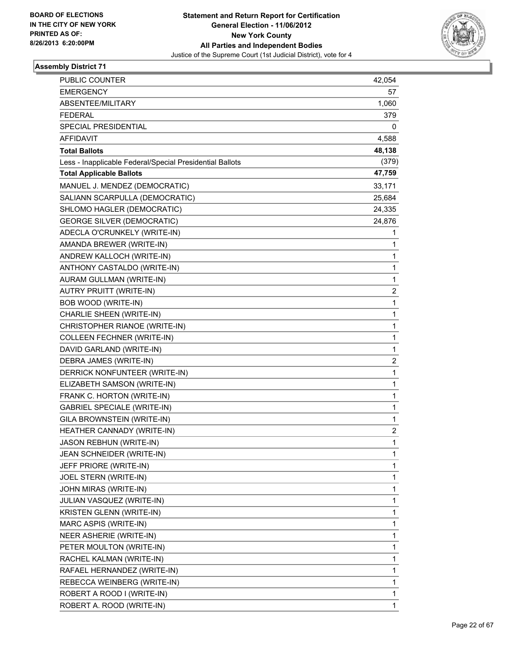

| PUBLIC COUNTER                                           | 42,054 |
|----------------------------------------------------------|--------|
| <b>EMERGENCY</b>                                         | 57     |
| ABSENTEE/MILITARY                                        | 1,060  |
| <b>FEDERAL</b>                                           | 379    |
| <b>SPECIAL PRESIDENTIAL</b>                              | 0      |
| AFFIDAVIT                                                | 4,588  |
| <b>Total Ballots</b>                                     | 48,138 |
| Less - Inapplicable Federal/Special Presidential Ballots | (379)  |
| <b>Total Applicable Ballots</b>                          | 47,759 |
| MANUEL J. MENDEZ (DEMOCRATIC)                            | 33,171 |
| SALIANN SCARPULLA (DEMOCRATIC)                           | 25,684 |
| SHLOMO HAGLER (DEMOCRATIC)                               | 24,335 |
| <b>GEORGE SILVER (DEMOCRATIC)</b>                        | 24,876 |
| ADECLA O'CRUNKELY (WRITE-IN)                             | 1      |
| AMANDA BREWER (WRITE-IN)                                 | 1      |
| ANDREW KALLOCH (WRITE-IN)                                | 1      |
| ANTHONY CASTALDO (WRITE-IN)                              | 1      |
| AURAM GULLMAN (WRITE-IN)                                 | 1      |
| AUTRY PRUITT (WRITE-IN)                                  | 2      |
| <b>BOB WOOD (WRITE-IN)</b>                               | 1      |
| CHARLIE SHEEN (WRITE-IN)                                 | 1      |
| CHRISTOPHER RIANOE (WRITE-IN)                            | 1      |
| <b>COLLEEN FECHNER (WRITE-IN)</b>                        | 1      |
| DAVID GARLAND (WRITE-IN)                                 | 1      |
| DEBRA JAMES (WRITE-IN)                                   | 2      |
| DERRICK NONFUNTEER (WRITE-IN)                            | 1      |
| ELIZABETH SAMSON (WRITE-IN)                              | 1      |
| FRANK C. HORTON (WRITE-IN)                               | 1      |
| <b>GABRIEL SPECIALE (WRITE-IN)</b>                       | 1      |
| GILA BROWNSTEIN (WRITE-IN)                               | 1      |
| HEATHER CANNADY (WRITE-IN)                               | 2      |
| JASON REBHUN (WRITE-IN)                                  | 1      |
| JEAN SCHNEIDER (WRITE-IN)                                | 1      |
| JEFF PRIORE (WRITE-IN)                                   | 1      |
| JOEL STERN (WRITE-IN)                                    | 1      |
| JOHN MIRAS (WRITE-IN)                                    | 1      |
| JULIAN VASQUEZ (WRITE-IN)                                | 1      |
| KRISTEN GLENN (WRITE-IN)                                 | 1      |
| MARC ASPIS (WRITE-IN)                                    | 1      |
| NEER ASHERIE (WRITE-IN)                                  | 1      |
| PETER MOULTON (WRITE-IN)                                 | 1      |
| RACHEL KALMAN (WRITE-IN)                                 | 1      |
| RAFAEL HERNANDEZ (WRITE-IN)                              | 1      |
| REBECCA WEINBERG (WRITE-IN)                              | 1      |
| ROBERT A ROOD I (WRITE-IN)                               | 1      |
| ROBERT A. ROOD (WRITE-IN)                                | 1      |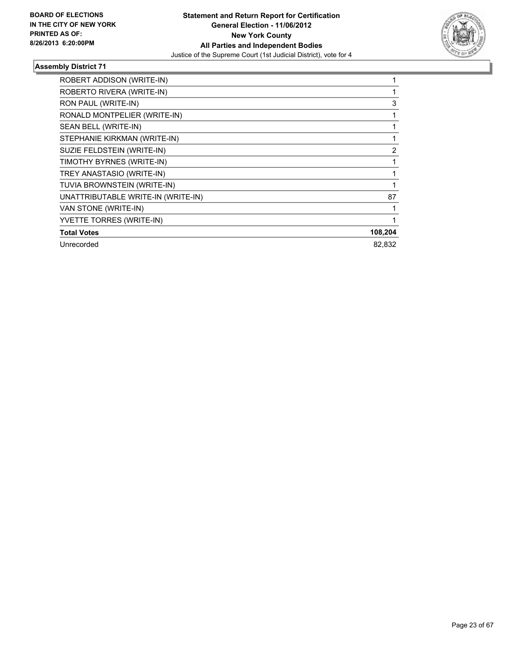

| ROBERT ADDISON (WRITE-IN)          |                |
|------------------------------------|----------------|
| ROBERTO RIVERA (WRITE-IN)          |                |
| RON PAUL (WRITE-IN)                | 3              |
| RONALD MONTPELIER (WRITE-IN)       |                |
| SEAN BELL (WRITE-IN)               |                |
| STEPHANIE KIRKMAN (WRITE-IN)       |                |
| SUZIE FELDSTEIN (WRITE-IN)         | $\overline{2}$ |
| TIMOTHY BYRNES (WRITE-IN)          |                |
| TREY ANASTASIO (WRITE-IN)          |                |
| TUVIA BROWNSTEIN (WRITE-IN)        |                |
| UNATTRIBUTABLE WRITE-IN (WRITE-IN) | 87             |
| VAN STONE (WRITE-IN)               |                |
| YVETTE TORRES (WRITE-IN)           |                |
| <b>Total Votes</b>                 | 108,204        |
| Unrecorded                         | 82.832         |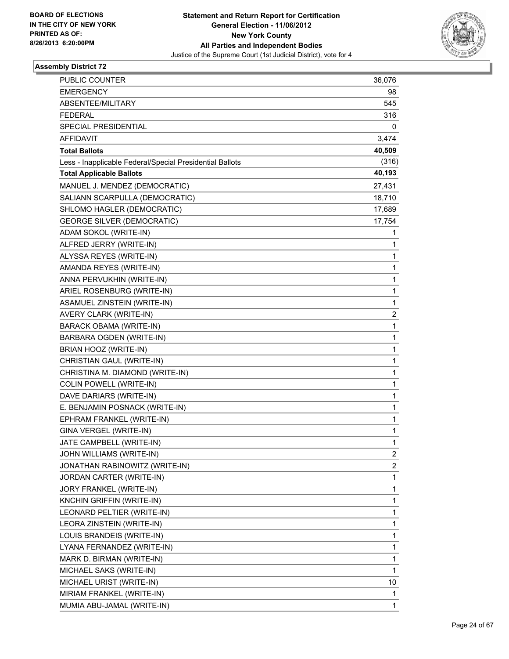

| <b>PUBLIC COUNTER</b>                                    | 36,076                  |
|----------------------------------------------------------|-------------------------|
| <b>EMERGENCY</b>                                         | 98                      |
| <b>ABSENTEE/MILITARY</b>                                 | 545                     |
| <b>FEDERAL</b>                                           | 316                     |
| SPECIAL PRESIDENTIAL                                     | 0                       |
| <b>AFFIDAVIT</b>                                         | 3,474                   |
| <b>Total Ballots</b>                                     | 40,509                  |
| Less - Inapplicable Federal/Special Presidential Ballots | (316)                   |
| <b>Total Applicable Ballots</b>                          | 40,193                  |
| MANUEL J. MENDEZ (DEMOCRATIC)                            | 27,431                  |
| SALIANN SCARPULLA (DEMOCRATIC)                           | 18,710                  |
| SHLOMO HAGLER (DEMOCRATIC)                               | 17,689                  |
| <b>GEORGE SILVER (DEMOCRATIC)</b>                        | 17,754                  |
| ADAM SOKOL (WRITE-IN)                                    | 1                       |
| ALFRED JERRY (WRITE-IN)                                  | 1                       |
| ALYSSA REYES (WRITE-IN)                                  | 1                       |
| AMANDA REYES (WRITE-IN)                                  | 1                       |
| ANNA PERVUKHIN (WRITE-IN)                                | 1                       |
| ARIEL ROSENBURG (WRITE-IN)                               | 1                       |
| ASAMUEL ZINSTEIN (WRITE-IN)                              | 1                       |
| AVERY CLARK (WRITE-IN)                                   | 2                       |
| <b>BARACK OBAMA (WRITE-IN)</b>                           | 1                       |
| BARBARA OGDEN (WRITE-IN)                                 | 1                       |
| BRIAN HOOZ (WRITE-IN)                                    | 1                       |
| CHRISTIAN GAUL (WRITE-IN)                                | 1                       |
| CHRISTINA M. DIAMOND (WRITE-IN)                          | 1                       |
| COLIN POWELL (WRITE-IN)                                  | 1                       |
| DAVE DARIARS (WRITE-IN)                                  | 1                       |
| E. BENJAMIN POSNACK (WRITE-IN)                           | 1                       |
| EPHRAM FRANKEL (WRITE-IN)                                | 1                       |
| GINA VERGEL (WRITE-IN)                                   | 1                       |
| JATE CAMPBELL (WRITE-IN)                                 | 1                       |
| JOHN WILLIAMS (WRITE-IN)                                 | 2                       |
| JONATHAN RABINOWITZ (WRITE-IN)                           | $\overline{\mathbf{c}}$ |
| JORDAN CARTER (WRITE-IN)                                 | 1                       |
| JORY FRANKEL (WRITE-IN)                                  | 1                       |
| KNCHIN GRIFFIN (WRITE-IN)                                | 1                       |
| LEONARD PELTIER (WRITE-IN)                               | 1                       |
| LEORA ZINSTEIN (WRITE-IN)                                | 1                       |
| LOUIS BRANDEIS (WRITE-IN)                                | 1                       |
| LYANA FERNANDEZ (WRITE-IN)                               | 1                       |
| MARK D. BIRMAN (WRITE-IN)                                | 1                       |
| MICHAEL SAKS (WRITE-IN)                                  | $\mathbf{1}$            |
| MICHAEL URIST (WRITE-IN)                                 | 10                      |
| MIRIAM FRANKEL (WRITE-IN)                                | 1                       |
| MUMIA ABU-JAMAL (WRITE-IN)                               | 1                       |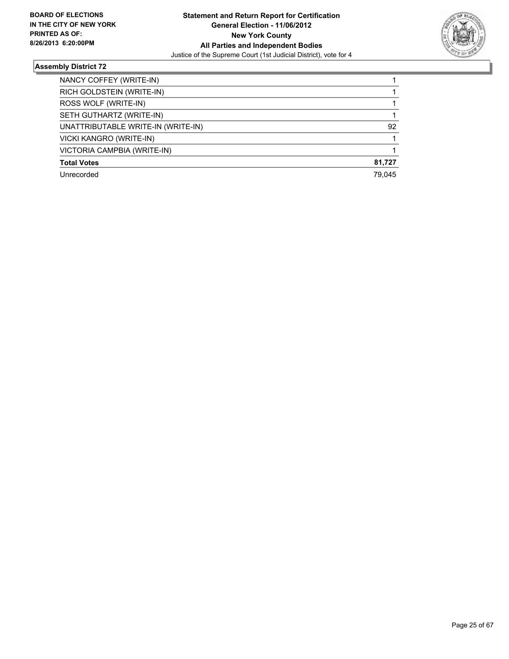

| NANCY COFFEY (WRITE-IN)            |        |
|------------------------------------|--------|
| RICH GOLDSTEIN (WRITE-IN)          |        |
| ROSS WOLF (WRITE-IN)               |        |
| SETH GUTHARTZ (WRITE-IN)           |        |
| UNATTRIBUTABLE WRITE-IN (WRITE-IN) | 92     |
| VICKI KANGRO (WRITE-IN)            |        |
| VICTORIA CAMPBIA (WRITE-IN)        |        |
| <b>Total Votes</b>                 | 81,727 |
| Unrecorded                         | 79.045 |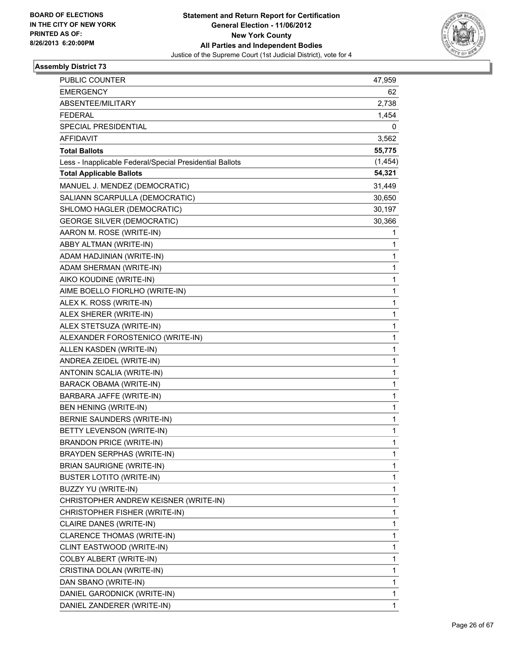

| <b>PUBLIC COUNTER</b>                                    | 47,959       |
|----------------------------------------------------------|--------------|
| <b>EMERGENCY</b>                                         | 62           |
| <b>ABSENTEE/MILITARY</b>                                 | 2,738        |
| <b>FEDERAL</b>                                           | 1,454        |
| SPECIAL PRESIDENTIAL                                     | 0            |
| <b>AFFIDAVIT</b>                                         | 3,562        |
| <b>Total Ballots</b>                                     | 55,775       |
| Less - Inapplicable Federal/Special Presidential Ballots | (1, 454)     |
| <b>Total Applicable Ballots</b>                          | 54,321       |
| MANUEL J. MENDEZ (DEMOCRATIC)                            | 31,449       |
| SALIANN SCARPULLA (DEMOCRATIC)                           | 30,650       |
| SHLOMO HAGLER (DEMOCRATIC)                               | 30,197       |
| <b>GEORGE SILVER (DEMOCRATIC)</b>                        | 30,366       |
| AARON M. ROSE (WRITE-IN)                                 | 1            |
| ABBY ALTMAN (WRITE-IN)                                   | 1            |
| ADAM HADJINIAN (WRITE-IN)                                | 1            |
| ADAM SHERMAN (WRITE-IN)                                  | 1            |
| AIKO KOUDINE (WRITE-IN)                                  | 1            |
| AIME BOELLO FIORLHO (WRITE-IN)                           | 1            |
| ALEX K. ROSS (WRITE-IN)                                  | 1            |
| ALEX SHERER (WRITE-IN)                                   | 1            |
| ALEX STETSUZA (WRITE-IN)                                 | 1            |
| ALEXANDER FOROSTENICO (WRITE-IN)                         | 1            |
| ALLEN KASDEN (WRITE-IN)                                  | 1            |
| ANDREA ZEIDEL (WRITE-IN)                                 | 1            |
| ANTONIN SCALIA (WRITE-IN)                                | 1            |
| <b>BARACK OBAMA (WRITE-IN)</b>                           | 1            |
| BARBARA JAFFE (WRITE-IN)                                 | 1            |
| BEN HENING (WRITE-IN)                                    | 1            |
| BERNIE SAUNDERS (WRITE-IN)                               | 1            |
| BETTY LEVENSON (WRITE-IN)                                | 1            |
| <b>BRANDON PRICE (WRITE-IN)</b>                          | 1            |
| BRAYDEN SERPHAS (WRITE-IN)                               | 1            |
| <b>BRIAN SAURIGNE (WRITE-IN)</b>                         | 1            |
| <b>BUSTER LOTITO (WRITE-IN)</b>                          | 1            |
| BUZZY YU (WRITE-IN)                                      | 1            |
| CHRISTOPHER ANDREW KEISNER (WRITE-IN)                    | 1            |
| CHRISTOPHER FISHER (WRITE-IN)                            | 1            |
| CLAIRE DANES (WRITE-IN)                                  | 1            |
| CLARENCE THOMAS (WRITE-IN)                               | 1            |
| CLINT EASTWOOD (WRITE-IN)                                | 1            |
| COLBY ALBERT (WRITE-IN)                                  | 1            |
| CRISTINA DOLAN (WRITE-IN)                                | 1            |
| DAN SBANO (WRITE-IN)                                     | 1            |
| DANIEL GARODNICK (WRITE-IN)                              | 1            |
| DANIEL ZANDERER (WRITE-IN)                               | $\mathbf{1}$ |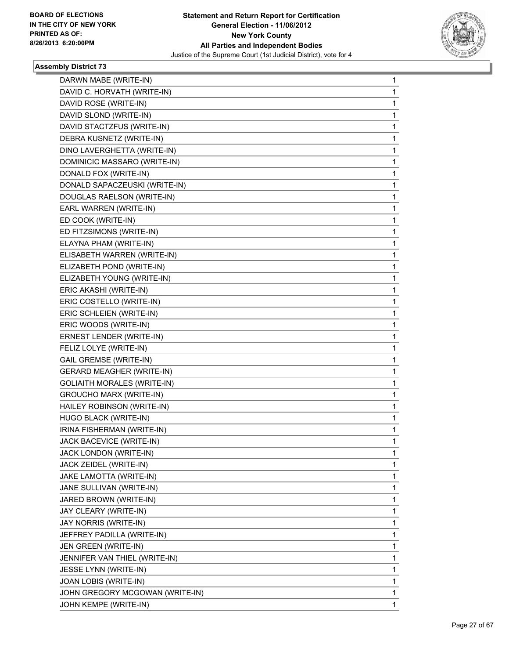

| DARWN MABE (WRITE-IN)              | 1            |
|------------------------------------|--------------|
| DAVID C. HORVATH (WRITE-IN)        | 1            |
| DAVID ROSE (WRITE-IN)              | $\mathbf{1}$ |
| DAVID SLOND (WRITE-IN)             | 1            |
| DAVID STACTZFUS (WRITE-IN)         | 1            |
| DEBRA KUSNETZ (WRITE-IN)           | 1            |
| DINO LAVERGHETTA (WRITE-IN)        | 1            |
| DOMINICIC MASSARO (WRITE-IN)       | 1            |
| DONALD FOX (WRITE-IN)              | 1            |
| DONALD SAPACZEUSKI (WRITE-IN)      | 1            |
| DOUGLAS RAELSON (WRITE-IN)         | 1            |
| EARL WARREN (WRITE-IN)             | 1            |
| ED COOK (WRITE-IN)                 | 1            |
| ED FITZSIMONS (WRITE-IN)           | 1            |
| ELAYNA PHAM (WRITE-IN)             | 1            |
| ELISABETH WARREN (WRITE-IN)        | 1            |
| ELIZABETH POND (WRITE-IN)          | 1            |
| ELIZABETH YOUNG (WRITE-IN)         | 1            |
| ERIC AKASHI (WRITE-IN)             | 1            |
| ERIC COSTELLO (WRITE-IN)           | 1            |
| ERIC SCHLEIEN (WRITE-IN)           | 1            |
| ERIC WOODS (WRITE-IN)              | 1            |
| ERNEST LENDER (WRITE-IN)           | 1            |
| FELIZ LOLYE (WRITE-IN)             | 1            |
| <b>GAIL GREMSE (WRITE-IN)</b>      | 1            |
| <b>GERARD MEAGHER (WRITE-IN)</b>   | 1            |
| <b>GOLIAITH MORALES (WRITE-IN)</b> | 1            |
| <b>GROUCHO MARX (WRITE-IN)</b>     | 1            |
| HAILEY ROBINSON (WRITE-IN)         | 1            |
| HUGO BLACK (WRITE-IN)              | 1            |
| IRINA FISHERMAN (WRITE-IN)         | 1            |
| JACK BACEVICE (WRITE-IN)           | 1            |
| JACK LONDON (WRITE-IN)             | 1            |
| JACK ZEIDEL (WRITE-IN)             | 1            |
| JAKE LAMOTTA (WRITE-IN)            | 1            |
| JANE SULLIVAN (WRITE-IN)           | 1            |
| JARED BROWN (WRITE-IN)             | 1            |
| JAY CLEARY (WRITE-IN)              | 1            |
| JAY NORRIS (WRITE-IN)              | 1            |
| JEFFREY PADILLA (WRITE-IN)         | 1            |
| JEN GREEN (WRITE-IN)               | 1            |
| JENNIFER VAN THIEL (WRITE-IN)      | 1            |
| JESSE LYNN (WRITE-IN)              | 1            |
| JOAN LOBIS (WRITE-IN)              | 1            |
| JOHN GREGORY MCGOWAN (WRITE-IN)    | 1            |
| JOHN KEMPE (WRITE-IN)              | 1            |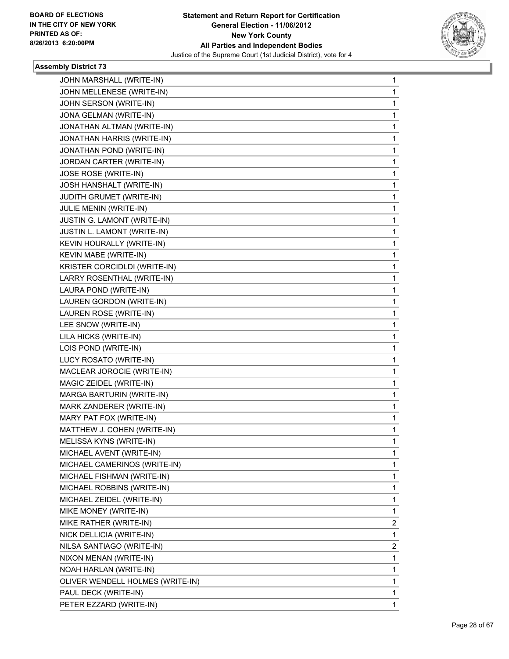

| JOHN MARSHALL (WRITE-IN)         | 1 |
|----------------------------------|---|
| JOHN MELLENESE (WRITE-IN)        | 1 |
| JOHN SERSON (WRITE-IN)           | 1 |
| JONA GELMAN (WRITE-IN)           | 1 |
| JONATHAN ALTMAN (WRITE-IN)       | 1 |
| JONATHAN HARRIS (WRITE-IN)       | 1 |
| JONATHAN POND (WRITE-IN)         | 1 |
| JORDAN CARTER (WRITE-IN)         | 1 |
| JOSE ROSE (WRITE-IN)             | 1 |
| JOSH HANSHALT (WRITE-IN)         | 1 |
| JUDITH GRUMET (WRITE-IN)         | 1 |
| JULIE MENIN (WRITE-IN)           | 1 |
| JUSTIN G. LAMONT (WRITE-IN)      | 1 |
| JUSTIN L. LAMONT (WRITE-IN)      | 1 |
| KEVIN HOURALLY (WRITE-IN)        | 1 |
| KEVIN MABE (WRITE-IN)            | 1 |
| KRISTER CORCIDLDI (WRITE-IN)     | 1 |
| LARRY ROSENTHAL (WRITE-IN)       | 1 |
| LAURA POND (WRITE-IN)            | 1 |
| LAUREN GORDON (WRITE-IN)         | 1 |
| LAUREN ROSE (WRITE-IN)           | 1 |
| LEE SNOW (WRITE-IN)              | 1 |
| LILA HICKS (WRITE-IN)            | 1 |
| LOIS POND (WRITE-IN)             | 1 |
| LUCY ROSATO (WRITE-IN)           | 1 |
| MACLEAR JOROCIE (WRITE-IN)       | 1 |
| MAGIC ZEIDEL (WRITE-IN)          | 1 |
| MARGA BARTURIN (WRITE-IN)        | 1 |
| MARK ZANDERER (WRITE-IN)         | 1 |
| MARY PAT FOX (WRITE-IN)          | 1 |
| MATTHEW J. COHEN (WRITE-IN)      | 1 |
| MELISSA KYNS (WRITE-IN)          | 1 |
| MICHAEL AVENT (WRITE-IN)         | 1 |
| MICHAEL CAMERINOS (WRITE-IN)     | 1 |
| MICHAEL FISHMAN (WRITE-IN)       | 1 |
| MICHAEL ROBBINS (WRITE-IN)       | 1 |
| MICHAEL ZEIDEL (WRITE-IN)        | 1 |
| MIKE MONEY (WRITE-IN)            | 1 |
| MIKE RATHER (WRITE-IN)           | 2 |
| NICK DELLICIA (WRITE-IN)         | 1 |
| NILSA SANTIAGO (WRITE-IN)        | 2 |
| NIXON MENAN (WRITE-IN)           | 1 |
| NOAH HARLAN (WRITE-IN)           | 1 |
| OLIVER WENDELL HOLMES (WRITE-IN) | 1 |
| PAUL DECK (WRITE-IN)             | 1 |
| PETER EZZARD (WRITE-IN)          | 1 |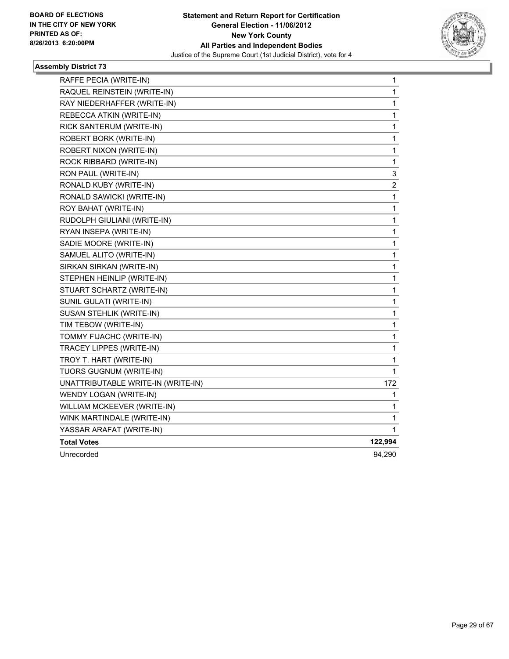

| RAFFE PECIA (WRITE-IN)             | 1                       |
|------------------------------------|-------------------------|
| RAQUEL REINSTEIN (WRITE-IN)        | $\mathbf{1}$            |
| RAY NIEDERHAFFER (WRITE-IN)        | 1                       |
| REBECCA ATKIN (WRITE-IN)           | 1                       |
| RICK SANTERUM (WRITE-IN)           | 1                       |
| ROBERT BORK (WRITE-IN)             | 1                       |
| ROBERT NIXON (WRITE-IN)            | 1                       |
| ROCK RIBBARD (WRITE-IN)            | 1                       |
| RON PAUL (WRITE-IN)                | 3                       |
| RONALD KUBY (WRITE-IN)             | $\overline{\mathbf{c}}$ |
| RONALD SAWICKI (WRITE-IN)          | 1                       |
| ROY BAHAT (WRITE-IN)               | 1                       |
| RUDOLPH GIULIANI (WRITE-IN)        | 1                       |
| RYAN INSEPA (WRITE-IN)             | 1                       |
| SADIE MOORE (WRITE-IN)             | 1                       |
| SAMUEL ALITO (WRITE-IN)            | 1                       |
| SIRKAN SIRKAN (WRITE-IN)           | 1                       |
| STEPHEN HEINLIP (WRITE-IN)         | 1                       |
| STUART SCHARTZ (WRITE-IN)          | 1                       |
| SUNIL GULATI (WRITE-IN)            | 1                       |
| SUSAN STEHLIK (WRITE-IN)           | 1                       |
| TIM TEBOW (WRITE-IN)               | 1                       |
| TOMMY FIJACHC (WRITE-IN)           | 1                       |
| TRACEY LIPPES (WRITE-IN)           | 1                       |
| TROY T. HART (WRITE-IN)            | 1                       |
| TUORS GUGNUM (WRITE-IN)            | 1                       |
| UNATTRIBUTABLE WRITE-IN (WRITE-IN) | 172                     |
| WENDY LOGAN (WRITE-IN)             | 1                       |
| WILLIAM MCKEEVER (WRITE-IN)        | 1                       |
| WINK MARTINDALE (WRITE-IN)         | 1                       |
| YASSAR ARAFAT (WRITE-IN)           | 1.                      |
| <b>Total Votes</b>                 | 122,994                 |
| Unrecorded                         | 94,290                  |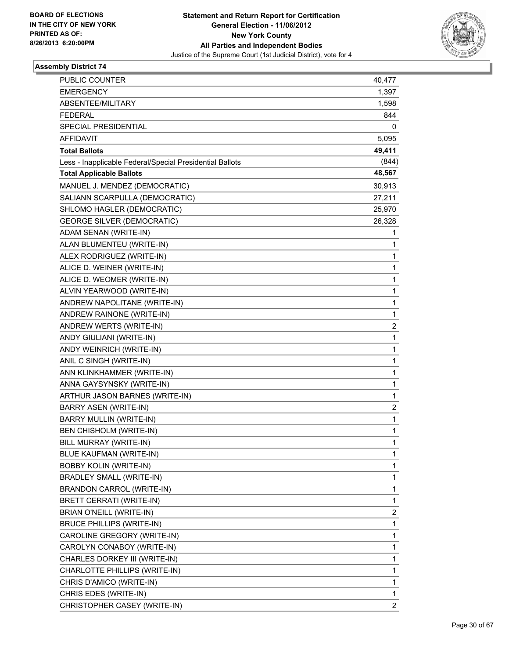

| PUBLIC COUNTER                                           | 40,477                  |
|----------------------------------------------------------|-------------------------|
| <b>EMERGENCY</b>                                         | 1,397                   |
| ABSENTEE/MILITARY                                        | 1,598                   |
| <b>FEDERAL</b>                                           | 844                     |
| SPECIAL PRESIDENTIAL                                     | 0                       |
| <b>AFFIDAVIT</b>                                         | 5,095                   |
| <b>Total Ballots</b>                                     | 49,411                  |
| Less - Inapplicable Federal/Special Presidential Ballots | (844)                   |
| <b>Total Applicable Ballots</b>                          | 48,567                  |
| MANUEL J. MENDEZ (DEMOCRATIC)                            | 30,913                  |
| SALIANN SCARPULLA (DEMOCRATIC)                           | 27,211                  |
| SHLOMO HAGLER (DEMOCRATIC)                               | 25,970                  |
| <b>GEORGE SILVER (DEMOCRATIC)</b>                        | 26,328                  |
| ADAM SENAN (WRITE-IN)                                    | 1                       |
| ALAN BLUMENTEU (WRITE-IN)                                | 1                       |
| ALEX RODRIGUEZ (WRITE-IN)                                | 1                       |
| ALICE D. WEINER (WRITE-IN)                               | 1                       |
| ALICE D. WEOMER (WRITE-IN)                               | 1                       |
| ALVIN YEARWOOD (WRITE-IN)                                | 1                       |
| ANDREW NAPOLITANE (WRITE-IN)                             | 1                       |
| ANDREW RAINONE (WRITE-IN)                                | 1                       |
| ANDREW WERTS (WRITE-IN)                                  | $\overline{\mathbf{c}}$ |
| ANDY GIULIANI (WRITE-IN)                                 | 1                       |
| ANDY WEINRICH (WRITE-IN)                                 | 1                       |
| ANIL C SINGH (WRITE-IN)                                  | 1                       |
| ANN KLINKHAMMER (WRITE-IN)                               | 1                       |
| ANNA GAYSYNSKY (WRITE-IN)                                | 1                       |
| ARTHUR JASON BARNES (WRITE-IN)                           | 1                       |
| BARRY ASEN (WRITE-IN)                                    | 2                       |
| BARRY MULLIN (WRITE-IN)                                  | 1                       |
| BEN CHISHOLM (WRITE-IN)                                  | $\mathbf{1}$            |
| BILL MURRAY (WRITE-IN)                                   | 1                       |
| BLUE KAUFMAN (WRITE-IN)                                  | 1                       |
| <b>BOBBY KOLIN (WRITE-IN)</b>                            | $\mathbf{1}$            |
| <b>BRADLEY SMALL (WRITE-IN)</b>                          | 1                       |
| <b>BRANDON CARROL (WRITE-IN)</b>                         | 1                       |
| <b>BRETT CERRATI (WRITE-IN)</b>                          | 1                       |
| BRIAN O'NEILL (WRITE-IN)                                 | 2                       |
| <b>BRUCE PHILLIPS (WRITE-IN)</b>                         | 1                       |
| CAROLINE GREGORY (WRITE-IN)                              | $\mathbf{1}$            |
| CAROLYN CONABOY (WRITE-IN)                               | 1                       |
| CHARLES DORKEY III (WRITE-IN)                            | 1                       |
| CHARLOTTE PHILLIPS (WRITE-IN)                            | 1                       |
| CHRIS D'AMICO (WRITE-IN)                                 | 1                       |
| CHRIS EDES (WRITE-IN)                                    | 1                       |
| CHRISTOPHER CASEY (WRITE-IN)                             | $\overline{2}$          |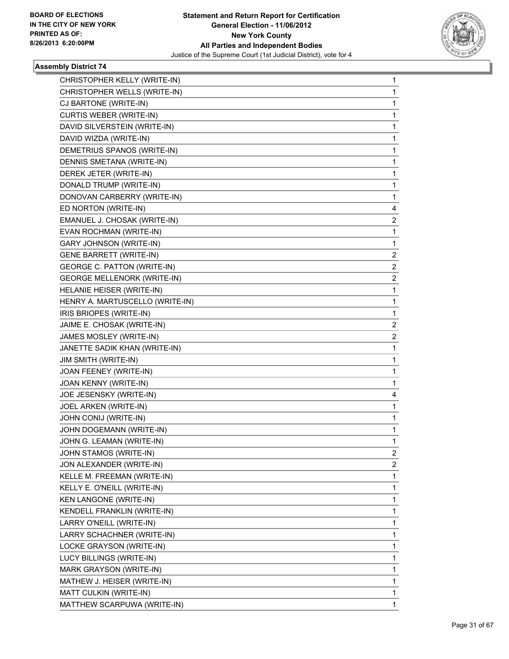

| CHRISTOPHER KELLY (WRITE-IN)       | 1 |
|------------------------------------|---|
| CHRISTOPHER WELLS (WRITE-IN)       | 1 |
| CJ BARTONE (WRITE-IN)              | 1 |
| <b>CURTIS WEBER (WRITE-IN)</b>     | 1 |
| DAVID SILVERSTEIN (WRITE-IN)       | 1 |
| DAVID WIZDA (WRITE-IN)             | 1 |
| DEMETRIUS SPANOS (WRITE-IN)        | 1 |
| DENNIS SMETANA (WRITE-IN)          | 1 |
| DEREK JETER (WRITE-IN)             | 1 |
| DONALD TRUMP (WRITE-IN)            | 1 |
| DONOVAN CARBERRY (WRITE-IN)        | 1 |
| ED NORTON (WRITE-IN)               | 4 |
| EMANUEL J. CHOSAK (WRITE-IN)       | 2 |
| EVAN ROCHMAN (WRITE-IN)            | 1 |
| <b>GARY JOHNSON (WRITE-IN)</b>     | 1 |
| <b>GENE BARRETT (WRITE-IN)</b>     | 2 |
| GEORGE C. PATTON (WRITE-IN)        | 2 |
| <b>GEORGE MELLENORK (WRITE-IN)</b> | 2 |
| HELANIE HEISER (WRITE-IN)          | 1 |
| HENRY A. MARTUSCELLO (WRITE-IN)    | 1 |
| IRIS BRIOPES (WRITE-IN)            | 1 |
| JAIME E. CHOSAK (WRITE-IN)         | 2 |
| JAMES MOSLEY (WRITE-IN)            | 2 |
| JANETTE SADIK KHAN (WRITE-IN)      | 1 |
| JIM SMITH (WRITE-IN)               | 1 |
| JOAN FEENEY (WRITE-IN)             | 1 |
| JOAN KENNY (WRITE-IN)              | 1 |
| JOE JESENSKY (WRITE-IN)            | 4 |
| JOEL ARKEN (WRITE-IN)              | 1 |
| JOHN CONIJ (WRITE-IN)              | 1 |
| JOHN DOGEMANN (WRITE-IN)           | 1 |
| JOHN G. LEAMAN (WRITE-IN)          | 1 |
|                                    | 2 |
| JOHN STAMOS (WRITE-IN)             |   |
| JON ALEXANDER (WRITE-IN)           | 2 |
| KELLE M. FREEMAN (WRITE-IN)        | 1 |
| KELLY E. O'NEILL (WRITE-IN)        | 1 |
| <b>KEN LANGONE (WRITE-IN)</b>      | 1 |
| KENDELL FRANKLIN (WRITE-IN)        | 1 |
| LARRY O'NEILL (WRITE-IN)           | 1 |
| LARRY SCHACHNER (WRITE-IN)         | 1 |
| LOCKE GRAYSON (WRITE-IN)           | 1 |
| LUCY BILLINGS (WRITE-IN)           | 1 |
| MARK GRAYSON (WRITE-IN)            | 1 |
| MATHEW J. HEISER (WRITE-IN)        | 1 |
| MATT CULKIN (WRITE-IN)             | 1 |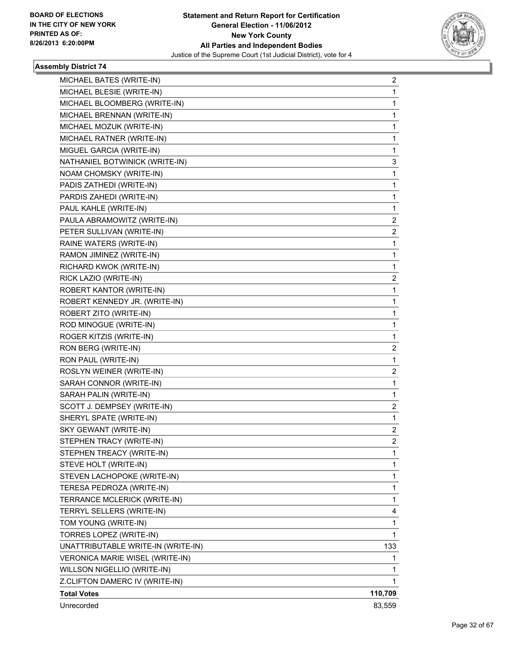

| MICHAEL BATES (WRITE-IN)           | 2       |
|------------------------------------|---------|
| MICHAEL BLESIE (WRITE-IN)          | 1       |
| MICHAEL BLOOMBERG (WRITE-IN)       | 1       |
| MICHAEL BRENNAN (WRITE-IN)         | 1       |
| MICHAEL MOZUK (WRITE-IN)           | 1       |
| MICHAEL RATNER (WRITE-IN)          | 1       |
| MIGUEL GARCIA (WRITE-IN)           | 1       |
| NATHANIEL BOTWINICK (WRITE-IN)     | 3       |
| NOAM CHOMSKY (WRITE-IN)            | 1       |
| PADIS ZATHEDI (WRITE-IN)           | 1       |
| PARDIS ZAHEDI (WRITE-IN)           | 1       |
| PAUL KAHLE (WRITE-IN)              | 1       |
| PAULA ABRAMOWITZ (WRITE-IN)        | 2       |
| PETER SULLIVAN (WRITE-IN)          | 2       |
| RAINE WATERS (WRITE-IN)            | 1       |
| RAMON JIMINEZ (WRITE-IN)           | 1       |
| RICHARD KWOK (WRITE-IN)            | 1       |
| RICK LAZIO (WRITE-IN)              | 2       |
| ROBERT KANTOR (WRITE-IN)           | 1       |
| ROBERT KENNEDY JR. (WRITE-IN)      | 1       |
| ROBERT ZITO (WRITE-IN)             | 1       |
| ROD MINOGUE (WRITE-IN)             | 1       |
| ROGER KITZIS (WRITE-IN)            | 1       |
| RON BERG (WRITE-IN)                | 2       |
| RON PAUL (WRITE-IN)                | 1       |
| ROSLYN WEINER (WRITE-IN)           | 2       |
| SARAH CONNOR (WRITE-IN)            | 1       |
| SARAH PALIN (WRITE-IN)             | 1       |
| SCOTT J. DEMPSEY (WRITE-IN)        | 2       |
| SHERYL SPATE (WRITE-IN)            | 1       |
| SKY GEWANT (WRITE-IN)              | 2       |
| STEPHEN TRACY (WRITE-IN)           | 2       |
| STEPHEN TREACY (WRITE-IN)          | 1       |
| STEVE HOLT (WRITE-IN)              | 1       |
| STEVEN LACHOPOKE (WRITE-IN)        | 1       |
| TERESA PEDROZA (WRITE-IN)          | 1       |
| TERRANCE MCLERICK (WRITE-IN)       | 1       |
| TERRYL SELLERS (WRITE-IN)          | 4       |
| TOM YOUNG (WRITE-IN)               | 1       |
| TORRES LOPEZ (WRITE-IN)            | 1       |
| UNATTRIBUTABLE WRITE-IN (WRITE-IN) | 133     |
| VERONICA MARIE WISEL (WRITE-IN)    | 1       |
| WILLSON NIGELLIO (WRITE-IN)        | 1       |
| Z.CLIFTON DAMERC IV (WRITE-IN)     | 1       |
| <b>Total Votes</b>                 | 110,709 |
| Unrecorded                         | 83,559  |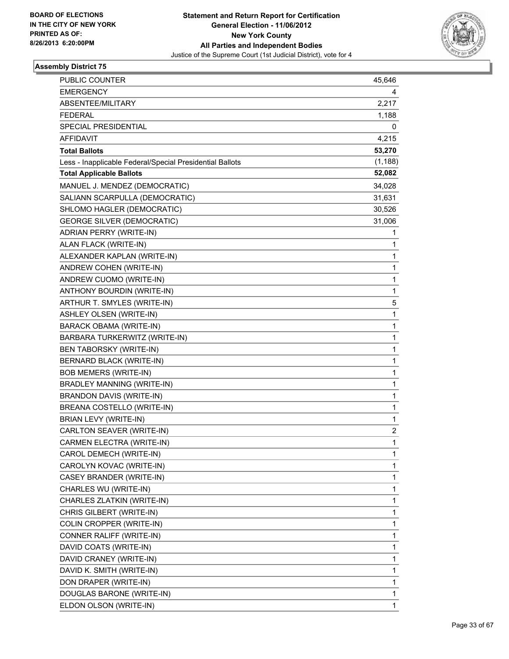

| PUBLIC COUNTER                                           | 45,646                  |
|----------------------------------------------------------|-------------------------|
| <b>EMERGENCY</b>                                         | 4                       |
| ABSENTEE/MILITARY                                        | 2,217                   |
| <b>FEDERAL</b>                                           | 1,188                   |
| SPECIAL PRESIDENTIAL                                     | 0                       |
| <b>AFFIDAVIT</b>                                         | 4,215                   |
| <b>Total Ballots</b>                                     | 53,270                  |
| Less - Inapplicable Federal/Special Presidential Ballots | (1, 188)                |
| <b>Total Applicable Ballots</b>                          | 52,082                  |
| MANUEL J. MENDEZ (DEMOCRATIC)                            | 34,028                  |
| SALIANN SCARPULLA (DEMOCRATIC)                           | 31,631                  |
| SHLOMO HAGLER (DEMOCRATIC)                               | 30,526                  |
| <b>GEORGE SILVER (DEMOCRATIC)</b>                        | 31,006                  |
| ADRIAN PERRY (WRITE-IN)                                  | 1                       |
| ALAN FLACK (WRITE-IN)                                    | 1                       |
| ALEXANDER KAPLAN (WRITE-IN)                              | 1                       |
| ANDREW COHEN (WRITE-IN)                                  | 1                       |
| ANDREW CUOMO (WRITE-IN)                                  | 1                       |
| ANTHONY BOURDIN (WRITE-IN)                               | 1                       |
| ARTHUR T. SMYLES (WRITE-IN)                              | 5                       |
| <b>ASHLEY OLSEN (WRITE-IN)</b>                           | 1                       |
| <b>BARACK OBAMA (WRITE-IN)</b>                           | 1                       |
| BARBARA TURKERWITZ (WRITE-IN)                            | 1                       |
| <b>BEN TABORSKY (WRITE-IN)</b>                           | 1                       |
| BERNARD BLACK (WRITE-IN)                                 | 1                       |
| <b>BOB MEMERS (WRITE-IN)</b>                             | 1                       |
| <b>BRADLEY MANNING (WRITE-IN)</b>                        | 1                       |
| <b>BRANDON DAVIS (WRITE-IN)</b>                          | 1                       |
| BREANA COSTELLO (WRITE-IN)                               | 1                       |
| BRIAN LEVY (WRITE-IN)                                    | 1                       |
| CARLTON SEAVER (WRITE-IN)                                | $\overline{\mathbf{c}}$ |
| CARMEN ELECTRA (WRITE-IN)                                | 1                       |
| CAROL DEMECH (WRITE-IN)                                  | 1                       |
| CAROLYN KOVAC (WRITE-IN)                                 | 1                       |
| CASEY BRANDER (WRITE-IN)                                 | 1                       |
| CHARLES WU (WRITE-IN)                                    | 1                       |
| CHARLES ZLATKIN (WRITE-IN)                               | 1                       |
| CHRIS GILBERT (WRITE-IN)                                 | 1                       |
| COLIN CROPPER (WRITE-IN)                                 | 1                       |
| CONNER RALIFF (WRITE-IN)                                 | 1                       |
| DAVID COATS (WRITE-IN)                                   | 1                       |
| DAVID CRANEY (WRITE-IN)                                  | 1                       |
| DAVID K. SMITH (WRITE-IN)                                | 1                       |
| DON DRAPER (WRITE-IN)                                    | 1                       |
| DOUGLAS BARONE (WRITE-IN)                                | 1                       |
| ELDON OLSON (WRITE-IN)                                   | 1                       |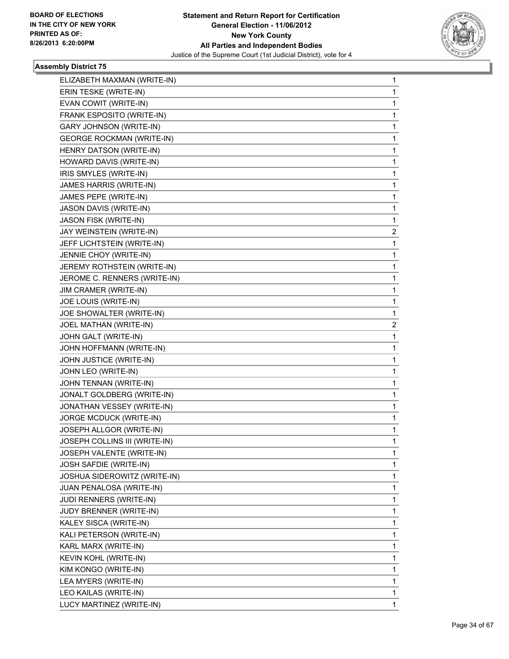

| ELIZABETH MAXMAN (WRITE-IN)      | 1            |
|----------------------------------|--------------|
| ERIN TESKE (WRITE-IN)            | $\mathbf{1}$ |
| EVAN COWIT (WRITE-IN)            | 1            |
| FRANK ESPOSITO (WRITE-IN)        | 1            |
| GARY JOHNSON (WRITE-IN)          | 1            |
| <b>GEORGE ROCKMAN (WRITE-IN)</b> | 1            |
| HENRY DATSON (WRITE-IN)          | 1            |
| HOWARD DAVIS (WRITE-IN)          | 1            |
| IRIS SMYLES (WRITE-IN)           | 1            |
| JAMES HARRIS (WRITE-IN)          | 1            |
| JAMES PEPE (WRITE-IN)            | 1            |
| JASON DAVIS (WRITE-IN)           | 1            |
| JASON FISK (WRITE-IN)            | 1            |
| JAY WEINSTEIN (WRITE-IN)         | $\mathbf{2}$ |
| JEFF LICHTSTEIN (WRITE-IN)       | 1            |
| JENNIE CHOY (WRITE-IN)           | 1            |
| JEREMY ROTHSTEIN (WRITE-IN)      | 1            |
| JEROME C. RENNERS (WRITE-IN)     | 1            |
| JIM CRAMER (WRITE-IN)            | 1            |
| JOE LOUIS (WRITE-IN)             | 1            |
| JOE SHOWALTER (WRITE-IN)         | 1            |
| JOEL MATHAN (WRITE-IN)           | 2            |
| JOHN GALT (WRITE-IN)             | 1            |
| JOHN HOFFMANN (WRITE-IN)         | 1            |
| JOHN JUSTICE (WRITE-IN)          | 1            |
| JOHN LEO (WRITE-IN)              | 1            |
| JOHN TENNAN (WRITE-IN)           | 1            |
| JONALT GOLDBERG (WRITE-IN)       | 1            |
| JONATHAN VESSEY (WRITE-IN)       | 1            |
| JORGE MCDUCK (WRITE-IN)          | 1            |
| JOSEPH ALLGOR (WRITE-IN)         | 1            |
| JOSEPH COLLINS III (WRITE-IN)    | 1            |
| JOSEPH VALENTE (WRITE-IN)        | 1            |
| JOSH SAFDIE (WRITE-IN)           | 1            |
| JOSHUA SIDEROWITZ (WRITE-IN)     | 1            |
| JUAN PENALOSA (WRITE-IN)         | $\mathbf 1$  |
| JUDI RENNERS (WRITE-IN)          | 1            |
| JUDY BRENNER (WRITE-IN)          | 1            |
| KALEY SISCA (WRITE-IN)           | $\mathbf{1}$ |
| KALI PETERSON (WRITE-IN)         | 1            |
| KARL MARX (WRITE-IN)             | 1            |
| KEVIN KOHL (WRITE-IN)            | $\mathbf 1$  |
| KIM KONGO (WRITE-IN)             | 1            |
| LEA MYERS (WRITE-IN)             |              |
|                                  | 1            |
| LEO KAILAS (WRITE-IN)            | 1            |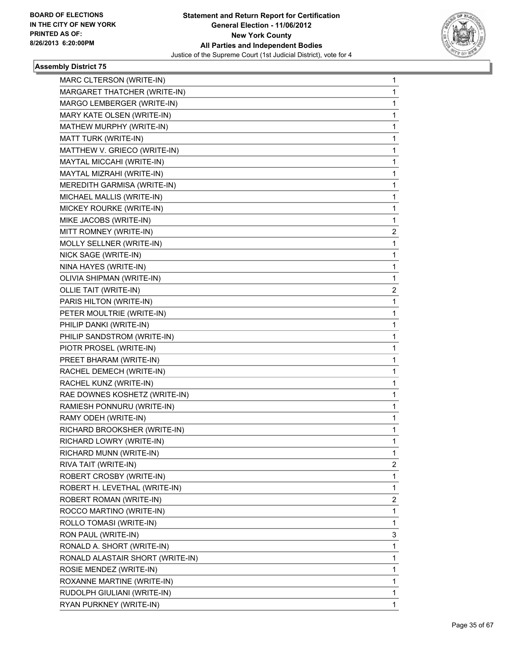

| MARC CLTERSON (WRITE-IN)         | 1              |
|----------------------------------|----------------|
| MARGARET THATCHER (WRITE-IN)     | 1              |
| MARGO LEMBERGER (WRITE-IN)       | 1              |
| MARY KATE OLSEN (WRITE-IN)       | 1              |
| MATHEW MURPHY (WRITE-IN)         | 1              |
| MATT TURK (WRITE-IN)             | 1              |
| MATTHEW V. GRIECO (WRITE-IN)     | 1              |
| MAYTAL MICCAHI (WRITE-IN)        | 1              |
| MAYTAL MIZRAHI (WRITE-IN)        | 1              |
| MEREDITH GARMISA (WRITE-IN)      | 1              |
| MICHAEL MALLIS (WRITE-IN)        | 1              |
| MICKEY ROURKE (WRITE-IN)         | 1              |
| MIKE JACOBS (WRITE-IN)           | 1              |
| MITT ROMNEY (WRITE-IN)           | $\overline{2}$ |
| MOLLY SELLNER (WRITE-IN)         | 1              |
| NICK SAGE (WRITE-IN)             | 1              |
| NINA HAYES (WRITE-IN)            | 1              |
| OLIVIA SHIPMAN (WRITE-IN)        | 1              |
| <b>OLLIE TAIT (WRITE-IN)</b>     | $\overline{c}$ |
| PARIS HILTON (WRITE-IN)          | 1              |
| PETER MOULTRIE (WRITE-IN)        | 1              |
| PHILIP DANKI (WRITE-IN)          | 1              |
| PHILIP SANDSTROM (WRITE-IN)      | 1              |
| PIOTR PROSEL (WRITE-IN)          | 1              |
| PREET BHARAM (WRITE-IN)          | 1              |
| RACHEL DEMECH (WRITE-IN)         | 1              |
| RACHEL KUNZ (WRITE-IN)           | 1              |
| RAE DOWNES KOSHETZ (WRITE-IN)    | 1              |
| RAMIESH PONNURU (WRITE-IN)       | 1              |
| RAMY ODEH (WRITE-IN)             | 1              |
| RICHARD BROOKSHER (WRITE-IN)     | 1              |
| RICHARD LOWRY (WRITE-IN)         | 1              |
| RICHARD MUNN (WRITE-IN)          | 1              |
| RIVA TAIT (WRITE-IN)             | $\mathbf{2}$   |
| ROBERT CROSBY (WRITE-IN)         | 1              |
| ROBERT H. LEVETHAL (WRITE-IN)    | 1              |
| ROBERT ROMAN (WRITE-IN)          | 2              |
| ROCCO MARTINO (WRITE-IN)         | 1              |
| ROLLO TOMASI (WRITE-IN)          | $\mathbf{1}$   |
| RON PAUL (WRITE-IN)              | 3              |
| RONALD A. SHORT (WRITE-IN)       | 1              |
| RONALD ALASTAIR SHORT (WRITE-IN) | 1              |
| ROSIE MENDEZ (WRITE-IN)          | 1              |
| ROXANNE MARTINE (WRITE-IN)       | 1              |
| RUDOLPH GIULIANI (WRITE-IN)      | $\mathbf{1}$   |
| RYAN PURKNEY (WRITE-IN)          | 1              |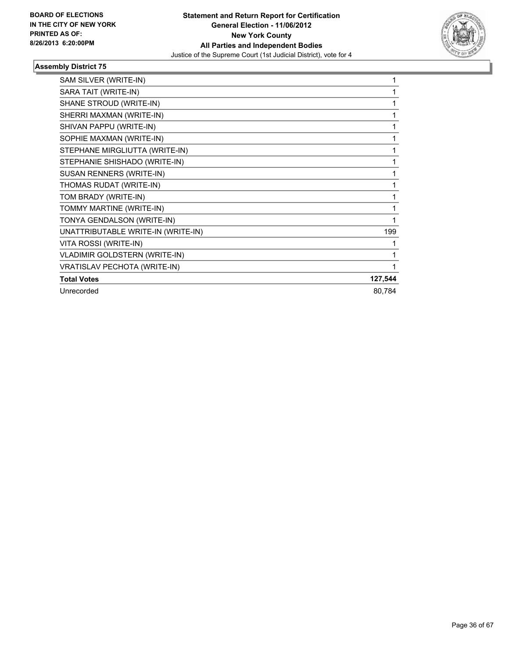

| SAM SILVER (WRITE-IN)                | 1       |
|--------------------------------------|---------|
| SARA TAIT (WRITE-IN)                 |         |
| SHANE STROUD (WRITE-IN)              | 1       |
| SHERRI MAXMAN (WRITE-IN)             | 1       |
| SHIVAN PAPPU (WRITE-IN)              | 1       |
| SOPHIE MAXMAN (WRITE-IN)             | 1       |
| STEPHANE MIRGLIUTTA (WRITE-IN)       | 1       |
| STEPHANIE SHISHADO (WRITE-IN)        | 1       |
| SUSAN RENNERS (WRITE-IN)             | 1       |
| THOMAS RUDAT (WRITE-IN)              | 1       |
| TOM BRADY (WRITE-IN)                 | 1       |
| TOMMY MARTINE (WRITE-IN)             | 1       |
| TONYA GENDALSON (WRITE-IN)           |         |
| UNATTRIBUTABLE WRITE-IN (WRITE-IN)   | 199     |
| VITA ROSSI (WRITE-IN)                | 1       |
| <b>VLADIMIR GOLDSTERN (WRITE-IN)</b> | 1       |
| VRATISLAV PECHOTA (WRITE-IN)         | 1       |
| <b>Total Votes</b>                   | 127,544 |
| Unrecorded                           | 80,784  |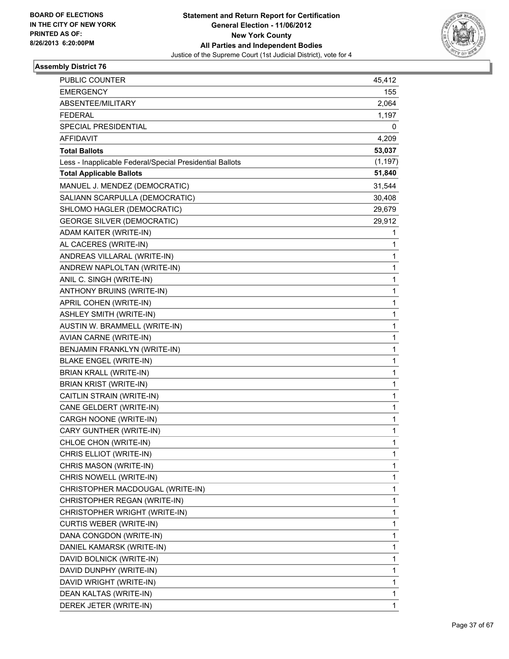

| PUBLIC COUNTER                                           | 45,412       |
|----------------------------------------------------------|--------------|
| <b>EMERGENCY</b>                                         | 155          |
| ABSENTEE/MILITARY                                        | 2,064        |
| <b>FEDERAL</b>                                           | 1,197        |
| SPECIAL PRESIDENTIAL                                     | 0            |
| <b>AFFIDAVIT</b>                                         | 4,209        |
| <b>Total Ballots</b>                                     | 53,037       |
| Less - Inapplicable Federal/Special Presidential Ballots | (1, 197)     |
| <b>Total Applicable Ballots</b>                          | 51,840       |
| MANUEL J. MENDEZ (DEMOCRATIC)                            | 31,544       |
| SALIANN SCARPULLA (DEMOCRATIC)                           | 30,408       |
| SHLOMO HAGLER (DEMOCRATIC)                               | 29,679       |
| <b>GEORGE SILVER (DEMOCRATIC)</b>                        | 29,912       |
| ADAM KAITER (WRITE-IN)                                   | 1            |
| AL CACERES (WRITE-IN)                                    | 1            |
| ANDREAS VILLARAL (WRITE-IN)                              | 1            |
| ANDREW NAPLOLTAN (WRITE-IN)                              | 1            |
| ANIL C. SINGH (WRITE-IN)                                 | 1            |
| ANTHONY BRUINS (WRITE-IN)                                | 1            |
| APRIL COHEN (WRITE-IN)                                   | 1            |
| <b>ASHLEY SMITH (WRITE-IN)</b>                           | 1            |
| AUSTIN W. BRAMMELL (WRITE-IN)                            | 1            |
| AVIAN CARNE (WRITE-IN)                                   | 1            |
| BENJAMIN FRANKLYN (WRITE-IN)                             | 1            |
| <b>BLAKE ENGEL (WRITE-IN)</b>                            | 1            |
| BRIAN KRALL (WRITE-IN)                                   | 1            |
| BRIAN KRIST (WRITE-IN)                                   | 1            |
| CAITLIN STRAIN (WRITE-IN)                                | 1            |
| CANE GELDERT (WRITE-IN)                                  | 1            |
| CARGH NOONE (WRITE-IN)                                   | 1            |
| CARY GUNTHER (WRITE-IN)                                  | 1            |
| CHLOE CHON (WRITE-IN)                                    | 1            |
| CHRIS ELLIOT (WRITE-IN)                                  | 1            |
| CHRIS MASON (WRITE-IN)                                   | 1            |
| CHRIS NOWELL (WRITE-IN)                                  | 1            |
| CHRISTOPHER MACDOUGAL (WRITE-IN)                         | 1            |
| CHRISTOPHER REGAN (WRITE-IN)                             | 1            |
| CHRISTOPHER WRIGHT (WRITE-IN)                            | 1            |
| <b>CURTIS WEBER (WRITE-IN)</b>                           | 1            |
| DANA CONGDON (WRITE-IN)                                  | 1            |
| DANIEL KAMARSK (WRITE-IN)                                | 1            |
| DAVID BOLNICK (WRITE-IN)                                 | 1            |
| DAVID DUNPHY (WRITE-IN)                                  | 1            |
| DAVID WRIGHT (WRITE-IN)                                  | 1            |
| DEAN KALTAS (WRITE-IN)                                   | 1            |
| DEREK JETER (WRITE-IN)                                   | $\mathbf{1}$ |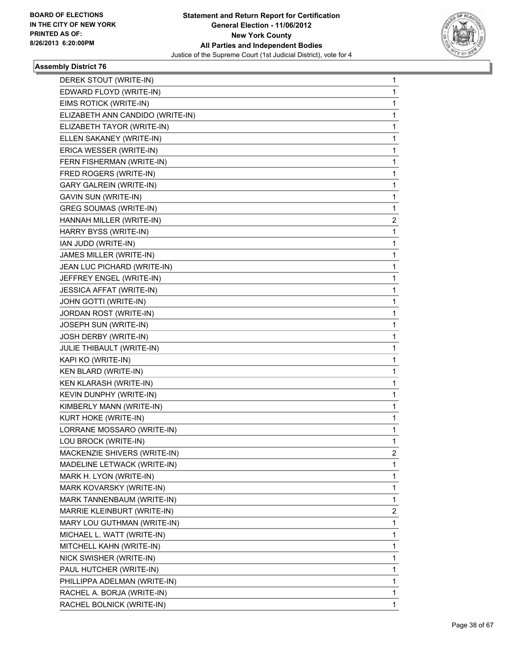

| DEREK STOUT (WRITE-IN)           | $\mathbf{1}$ |
|----------------------------------|--------------|
| EDWARD FLOYD (WRITE-IN)          | 1            |
| EIMS ROTICK (WRITE-IN)           | 1            |
| ELIZABETH ANN CANDIDO (WRITE-IN) | 1            |
| ELIZABETH TAYOR (WRITE-IN)       | 1            |
| ELLEN SAKANEY (WRITE-IN)         | 1            |
| ERICA WESSER (WRITE-IN)          | 1            |
| FERN FISHERMAN (WRITE-IN)        | 1            |
| FRED ROGERS (WRITE-IN)           | 1            |
| <b>GARY GALREIN (WRITE-IN)</b>   | 1            |
| GAVIN SUN (WRITE-IN)             | 1            |
| <b>GREG SOUMAS (WRITE-IN)</b>    | 1            |
| HANNAH MILLER (WRITE-IN)         | 2            |
| HARRY BYSS (WRITE-IN)            | 1            |
| IAN JUDD (WRITE-IN)              | 1            |
| JAMES MILLER (WRITE-IN)          | 1            |
| JEAN LUC PICHARD (WRITE-IN)      | 1            |
| JEFFREY ENGEL (WRITE-IN)         | 1            |
| JESSICA AFFAT (WRITE-IN)         | 1            |
| JOHN GOTTI (WRITE-IN)            | 1            |
| JORDAN ROST (WRITE-IN)           | 1            |
| JOSEPH SUN (WRITE-IN)            | 1            |
| JOSH DERBY (WRITE-IN)            | 1            |
| JULIE THIBAULT (WRITE-IN)        | 1            |
| KAPI KO (WRITE-IN)               | 1            |
| KEN BLARD (WRITE-IN)             | 1            |
| KEN KLARASH (WRITE-IN)           | 1            |
| KEVIN DUNPHY (WRITE-IN)          | 1            |
| KIMBERLY MANN (WRITE-IN)         | 1            |
| KURT HOKE (WRITE-IN)             | 1            |
| LORRANE MOSSARO (WRITE-IN)       | 1            |
| LOU BROCK (WRITE-IN)             | 1            |
| MACKENZIE SHIVERS (WRITE-IN)     | 2            |
| MADELINE LETWACK (WRITE-IN)      | 1            |
| MARK H. LYON (WRITE-IN)          | 1            |
| MARK KOVARSKY (WRITE-IN)         | 1            |
| MARK TANNENBAUM (WRITE-IN)       | 1            |
| MARRIE KLEINBURT (WRITE-IN)      | 2            |
| MARY LOU GUTHMAN (WRITE-IN)      | 1            |
| MICHAEL L. WATT (WRITE-IN)       | 1            |
| MITCHELL KAHN (WRITE-IN)         | 1            |
| NICK SWISHER (WRITE-IN)          | 1            |
| PAUL HUTCHER (WRITE-IN)          | 1            |
| PHILLIPPA ADELMAN (WRITE-IN)     | 1            |
| RACHEL A. BORJA (WRITE-IN)       | 1            |
| RACHEL BOLNICK (WRITE-IN)        | 1            |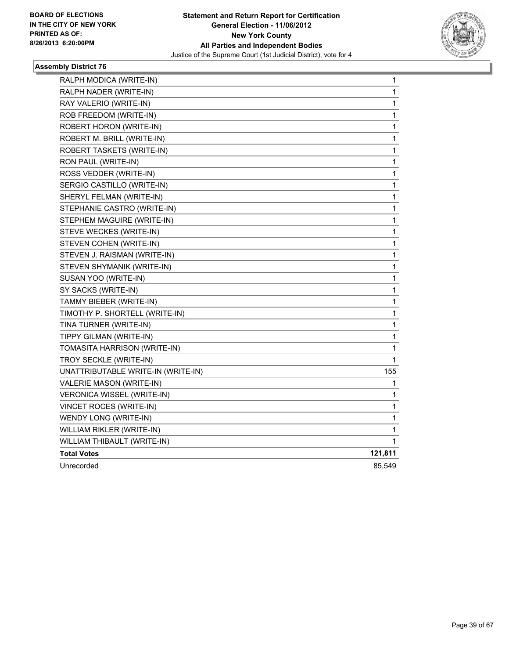

| 1       |
|---------|
| 1       |
| 1       |
| 1       |
| 1       |
| 1       |
| 1       |
| 1       |
| 1       |
| 1       |
| 1       |
| 1       |
| 1       |
| 1       |
| 1       |
| 1       |
| 1       |
| 1       |
| 1       |
| 1       |
| 1       |
| 1       |
| 1       |
| 1       |
| 1       |
| 155     |
| 1       |
| 1       |
| 1       |
| 1       |
| 1       |
| 1       |
| 121,811 |
| 85,549  |
|         |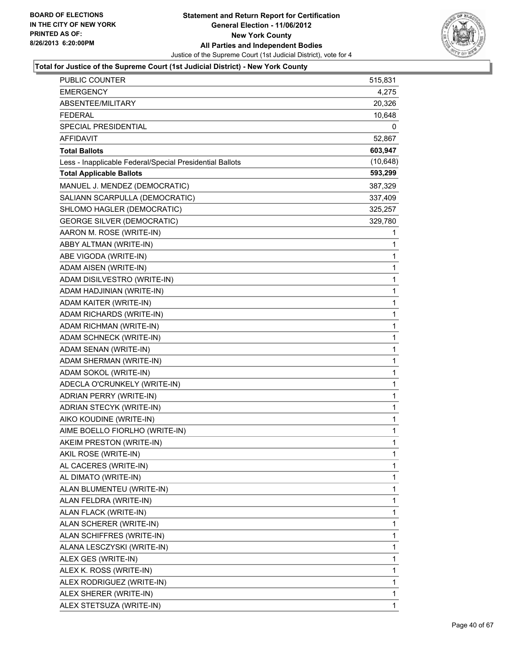

| <b>PUBLIC COUNTER</b>                                    | 515,831      |
|----------------------------------------------------------|--------------|
| EMERGENCY                                                | 4,275        |
| ABSENTEE/MILITARY                                        | 20,326       |
| <b>FEDERAL</b>                                           | 10,648       |
| SPECIAL PRESIDENTIAL                                     | 0            |
| AFFIDAVIT                                                | 52,867       |
| <b>Total Ballots</b>                                     | 603,947      |
| Less - Inapplicable Federal/Special Presidential Ballots | (10, 648)    |
| <b>Total Applicable Ballots</b>                          | 593,299      |
| MANUEL J. MENDEZ (DEMOCRATIC)                            | 387,329      |
| SALIANN SCARPULLA (DEMOCRATIC)                           | 337,409      |
| SHLOMO HAGLER (DEMOCRATIC)                               | 325,257      |
| <b>GEORGE SILVER (DEMOCRATIC)</b>                        | 329,780      |
| AARON M. ROSE (WRITE-IN)                                 | 1            |
| ABBY ALTMAN (WRITE-IN)                                   | 1            |
| ABE VIGODA (WRITE-IN)                                    | 1            |
| ADAM AISEN (WRITE-IN)                                    | 1            |
| ADAM DISILVESTRO (WRITE-IN)                              | 1            |
| ADAM HADJINIAN (WRITE-IN)                                | 1            |
| ADAM KAITER (WRITE-IN)                                   | $\mathbf 1$  |
| ADAM RICHARDS (WRITE-IN)                                 | 1            |
| ADAM RICHMAN (WRITE-IN)                                  | 1            |
| ADAM SCHNECK (WRITE-IN)                                  | $\mathbf 1$  |
| ADAM SENAN (WRITE-IN)                                    | 1            |
| ADAM SHERMAN (WRITE-IN)                                  | 1            |
| ADAM SOKOL (WRITE-IN)                                    | $\mathbf 1$  |
| ADECLA O'CRUNKELY (WRITE-IN)                             | 1            |
| ADRIAN PERRY (WRITE-IN)                                  | 1            |
| ADRIAN STECYK (WRITE-IN)                                 | $\mathbf 1$  |
| AIKO KOUDINE (WRITE-IN)                                  | 1            |
| AIME BOELLO FIORLHO (WRITE-IN)                           | 1            |
| AKEIM PRESTON (WRITE-IN)                                 | $\mathbf{1}$ |
| AKIL ROSE (WRITE-IN)                                     | 1            |
| AL CACERES (WRITE-IN)                                    | 1            |
| AL DIMATO (WRITE-IN)                                     | $\mathbf 1$  |
| ALAN BLUMENTEU (WRITE-IN)                                | 1            |
| ALAN FELDRA (WRITE-IN)                                   | 1            |
| ALAN FLACK (WRITE-IN)                                    | 1            |
| ALAN SCHERER (WRITE-IN)                                  | 1            |
| ALAN SCHIFFRES (WRITE-IN)                                | 1            |
| ALANA LESCZYSKI (WRITE-IN)                               | $\mathbf 1$  |
| ALEX GES (WRITE-IN)                                      | 1            |
| ALEX K. ROSS (WRITE-IN)                                  | 1            |
| ALEX RODRIGUEZ (WRITE-IN)                                | $\mathbf 1$  |
| ALEX SHERER (WRITE-IN)                                   | 1            |
| ALEX STETSUZA (WRITE-IN)                                 | 1            |
|                                                          |              |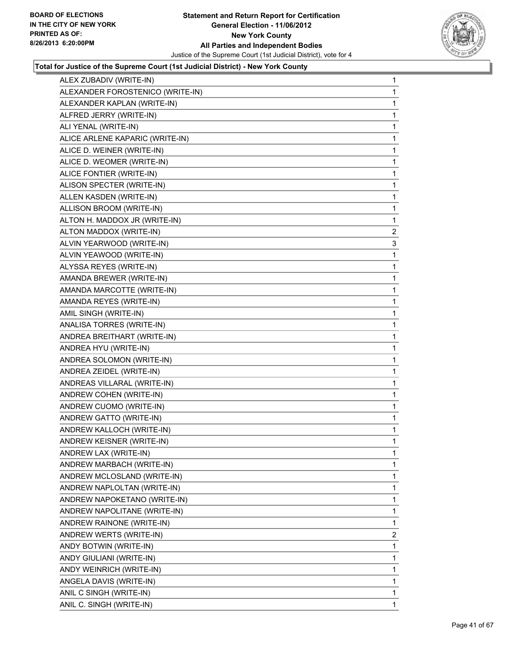

| ALEX ZUBADIV (WRITE-IN)          | $\mathbf{1}$ |
|----------------------------------|--------------|
| ALEXANDER FOROSTENICO (WRITE-IN) | 1            |
| ALEXANDER KAPLAN (WRITE-IN)      | 1            |
| ALFRED JERRY (WRITE-IN)          | 1            |
| ALI YENAL (WRITE-IN)             | 1            |
| ALICE ARLENE KAPARIC (WRITE-IN)  | 1            |
| ALICE D. WEINER (WRITE-IN)       | 1            |
| ALICE D. WEOMER (WRITE-IN)       | 1            |
| ALICE FONTIER (WRITE-IN)         | 1            |
| ALISON SPECTER (WRITE-IN)        | 1            |
| ALLEN KASDEN (WRITE-IN)          | 1            |
| ALLISON BROOM (WRITE-IN)         | 1            |
| ALTON H. MADDOX JR (WRITE-IN)    | 1            |
| ALTON MADDOX (WRITE-IN)          | 2            |
| ALVIN YEARWOOD (WRITE-IN)        | 3            |
| ALVIN YEAWOOD (WRITE-IN)         | 1            |
| ALYSSA REYES (WRITE-IN)          | 1            |
| AMANDA BREWER (WRITE-IN)         | 1            |
| AMANDA MARCOTTE (WRITE-IN)       | 1            |
| AMANDA REYES (WRITE-IN)          | 1            |
| AMIL SINGH (WRITE-IN)            | 1            |
| ANALISA TORRES (WRITE-IN)        | 1            |
| ANDREA BREITHART (WRITE-IN)      | 1            |
| ANDREA HYU (WRITE-IN)            | 1            |
| ANDREA SOLOMON (WRITE-IN)        | 1            |
| ANDREA ZEIDEL (WRITE-IN)         | 1            |
| ANDREAS VILLARAL (WRITE-IN)      | 1            |
| ANDREW COHEN (WRITE-IN)          | 1            |
| ANDREW CUOMO (WRITE-IN)          | 1            |
| ANDREW GATTO (WRITE-IN)          | 1            |
| ANDREW KALLOCH (WRITE-IN)        | 1            |
| ANDREW KEISNER (WRITE-IN)        | 1            |
| ANDREW LAX (WRITE-IN)            | 1            |
| ANDREW MARBACH (WRITE-IN)        | 1            |
| ANDREW MCLOSLAND (WRITE-IN)      | 1            |
| ANDREW NAPLOLTAN (WRITE-IN)      | 1            |
| ANDREW NAPOKETANO (WRITE-IN)     | 1            |
| ANDREW NAPOLITANE (WRITE-IN)     | 1            |
| ANDREW RAINONE (WRITE-IN)        | 1            |
| ANDREW WERTS (WRITE-IN)          | $\mathbf{2}$ |
| ANDY BOTWIN (WRITE-IN)           | 1            |
| ANDY GIULIANI (WRITE-IN)         | 1            |
| ANDY WEINRICH (WRITE-IN)         | 1            |
| ANGELA DAVIS (WRITE-IN)          | 1            |
| ANIL C SINGH (WRITE-IN)          | 1            |
| ANIL C. SINGH (WRITE-IN)         | 1            |
|                                  |              |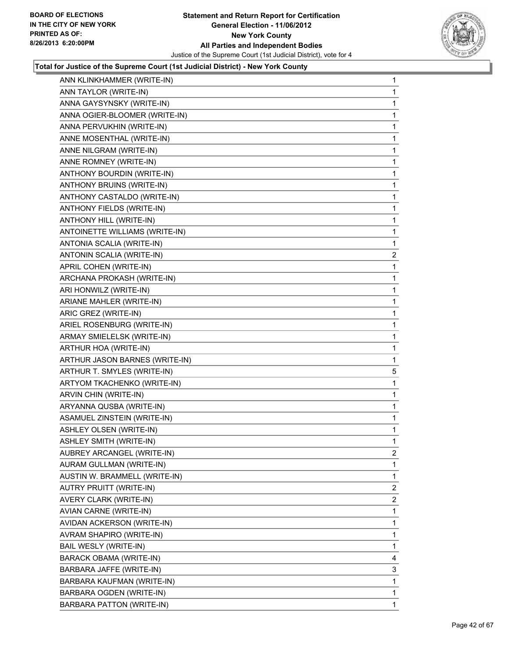

| ANN KLINKHAMMER (WRITE-IN)     | 1            |
|--------------------------------|--------------|
| ANN TAYLOR (WRITE-IN)          | 1            |
| ANNA GAYSYNSKY (WRITE-IN)      | 1            |
| ANNA OGIER-BLOOMER (WRITE-IN)  | 1            |
| ANNA PERVUKHIN (WRITE-IN)      | 1            |
| ANNE MOSENTHAL (WRITE-IN)      | 1            |
| ANNE NILGRAM (WRITE-IN)        | 1            |
| ANNE ROMNEY (WRITE-IN)         | 1            |
| ANTHONY BOURDIN (WRITE-IN)     | 1            |
| ANTHONY BRUINS (WRITE-IN)      | 1            |
| ANTHONY CASTALDO (WRITE-IN)    | 1            |
| ANTHONY FIELDS (WRITE-IN)      | 1            |
| ANTHONY HILL (WRITE-IN)        | 1            |
| ANTOINETTE WILLIAMS (WRITE-IN) | 1            |
| ANTONIA SCALIA (WRITE-IN)      | 1            |
| ANTONIN SCALIA (WRITE-IN)      | 2            |
| APRIL COHEN (WRITE-IN)         | 1            |
| ARCHANA PROKASH (WRITE-IN)     | 1            |
| ARI HONWILZ (WRITE-IN)         | 1            |
| ARIANE MAHLER (WRITE-IN)       | 1            |
| ARIC GREZ (WRITE-IN)           | 1            |
| ARIEL ROSENBURG (WRITE-IN)     | 1            |
| ARMAY SMIELELSK (WRITE-IN)     | 1            |
| ARTHUR HOA (WRITE-IN)          | 1            |
| ARTHUR JASON BARNES (WRITE-IN) | 1            |
| ARTHUR T. SMYLES (WRITE-IN)    | 5            |
| ARTYOM TKACHENKO (WRITE-IN)    | 1            |
| ARVIN CHIN (WRITE-IN)          | 1            |
| ARYANNA QUSBA (WRITE-IN)       | 1            |
| ASAMUEL ZINSTEIN (WRITE-IN)    | 1            |
| ASHLEY OLSEN (WRITE-IN)        | 1            |
| <b>ASHLEY SMITH (WRITE-IN)</b> | $\mathbf{1}$ |
| AUBREY ARCANGEL (WRITE-IN)     | 2            |
| AURAM GULLMAN (WRITE-IN)       | 1            |
| AUSTIN W. BRAMMELL (WRITE-IN)  | 1            |
| AUTRY PRUITT (WRITE-IN)        | 2            |
| AVERY CLARK (WRITE-IN)         | 2            |
| AVIAN CARNE (WRITE-IN)         | 1            |
| AVIDAN ACKERSON (WRITE-IN)     | 1            |
| AVRAM SHAPIRO (WRITE-IN)       | 1            |
| BAIL WESLY (WRITE-IN)          | 1            |
| BARACK OBAMA (WRITE-IN)        | 4            |
| BARBARA JAFFE (WRITE-IN)       | 3            |
| BARBARA KAUFMAN (WRITE-IN)     | 1            |
| BARBARA OGDEN (WRITE-IN)       | 1            |
| BARBARA PATTON (WRITE-IN)      | 1.           |
|                                |              |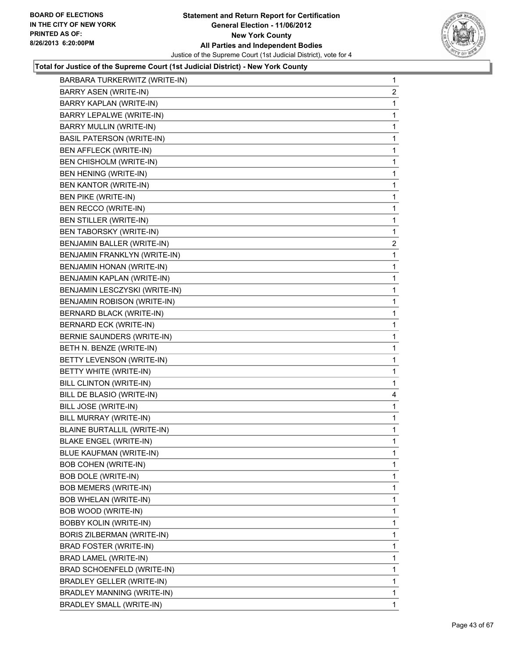

| BARBARA TURKERWITZ (WRITE-IN)    | $\mathbf{1}$            |
|----------------------------------|-------------------------|
| BARRY ASEN (WRITE-IN)            | 2                       |
| BARRY KAPLAN (WRITE-IN)          | 1                       |
| <b>BARRY LEPALWE (WRITE-IN)</b>  | 1                       |
| BARRY MULLIN (WRITE-IN)          | 1                       |
| <b>BASIL PATERSON (WRITE-IN)</b> | 1                       |
| BEN AFFLECK (WRITE-IN)           | 1                       |
| BEN CHISHOLM (WRITE-IN)          | 1                       |
| BEN HENING (WRITE-IN)            | 1                       |
| BEN KANTOR (WRITE-IN)            | 1                       |
| BEN PIKE (WRITE-IN)              | 1                       |
| BEN RECCO (WRITE-IN)             | 1                       |
| BEN STILLER (WRITE-IN)           | 1                       |
| BEN TABORSKY (WRITE-IN)          | 1                       |
| BENJAMIN BALLER (WRITE-IN)       | $\overline{\mathbf{c}}$ |
| BENJAMIN FRANKLYN (WRITE-IN)     | 1                       |
| BENJAMIN HONAN (WRITE-IN)        | 1                       |
| BENJAMIN KAPLAN (WRITE-IN)       | 1                       |
| BENJAMIN LESCZYSKI (WRITE-IN)    | 1                       |
| BENJAMIN ROBISON (WRITE-IN)      | 1                       |
| <b>BERNARD BLACK (WRITE-IN)</b>  | 1                       |
| BERNARD ECK (WRITE-IN)           | 1                       |
| BERNIE SAUNDERS (WRITE-IN)       | 1                       |
| BETH N. BENZE (WRITE-IN)         | 1                       |
| BETTY LEVENSON (WRITE-IN)        | 1                       |
| BETTY WHITE (WRITE-IN)           | 1                       |
| BILL CLINTON (WRITE-IN)          | 1                       |
| BILL DE BLASIO (WRITE-IN)        | 4                       |
| BILL JOSE (WRITE-IN)             | 1                       |
| BILL MURRAY (WRITE-IN)           | 1                       |
| BLAINE BURTALLIL (WRITE-IN)      | 1                       |
| <b>BLAKE ENGEL (WRITE-IN)</b>    | 1                       |
| BLUE KAUFMAN (WRITE-IN)          | 1                       |
| <b>BOB COHEN (WRITE-IN)</b>      | 1                       |
| BOB DOLE (WRITE-IN)              | 1                       |
| <b>BOB MEMERS (WRITE-IN)</b>     | 1                       |
| <b>BOB WHELAN (WRITE-IN)</b>     | 1                       |
| BOB WOOD (WRITE-IN)              | 1                       |
| <b>BOBBY KOLIN (WRITE-IN)</b>    | 1                       |
| BORIS ZILBERMAN (WRITE-IN)       | 1                       |
| BRAD FOSTER (WRITE-IN)           | 1                       |
| BRAD LAMEL (WRITE-IN)            | 1                       |
| BRAD SCHOENFELD (WRITE-IN)       | 1                       |
| BRADLEY GELLER (WRITE-IN)        | 1                       |
| BRADLEY MANNING (WRITE-IN)       | 1                       |
| <b>BRADLEY SMALL (WRITE-IN)</b>  | 1                       |
|                                  |                         |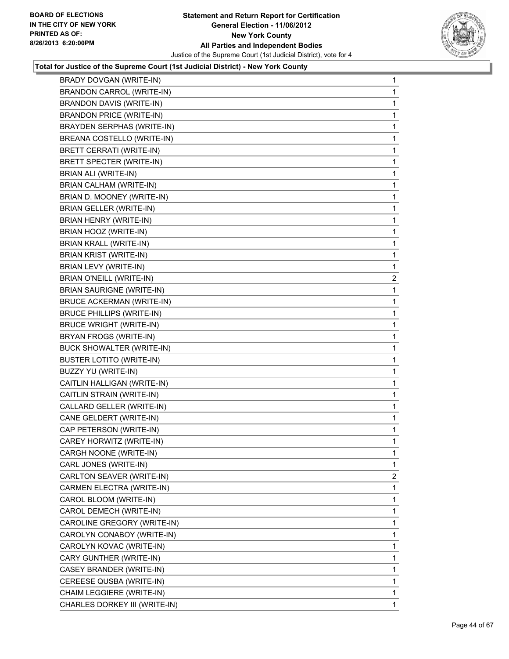

| BRADY DOVGAN (WRITE-IN)           | 1 |
|-----------------------------------|---|
| <b>BRANDON CARROL (WRITE-IN)</b>  | 1 |
| <b>BRANDON DAVIS (WRITE-IN)</b>   | 1 |
| <b>BRANDON PRICE (WRITE-IN)</b>   | 1 |
| <b>BRAYDEN SERPHAS (WRITE-IN)</b> | 1 |
| BREANA COSTELLO (WRITE-IN)        | 1 |
| <b>BRETT CERRATI (WRITE-IN)</b>   | 1 |
| BRETT SPECTER (WRITE-IN)          | 1 |
| BRIAN ALI (WRITE-IN)              | 1 |
| <b>BRIAN CALHAM (WRITE-IN)</b>    | 1 |
| BRIAN D. MOONEY (WRITE-IN)        | 1 |
| BRIAN GELLER (WRITE-IN)           | 1 |
| BRIAN HENRY (WRITE-IN)            | 1 |
| BRIAN HOOZ (WRITE-IN)             | 1 |
| <b>BRIAN KRALL (WRITE-IN)</b>     | 1 |
| <b>BRIAN KRIST (WRITE-IN)</b>     | 1 |
| BRIAN LEVY (WRITE-IN)             | 1 |
| BRIAN O'NEILL (WRITE-IN)          | 2 |
| <b>BRIAN SAURIGNE (WRITE-IN)</b>  | 1 |
| <b>BRUCE ACKERMAN (WRITE-IN)</b>  | 1 |
| <b>BRUCE PHILLIPS (WRITE-IN)</b>  | 1 |
| <b>BRUCE WRIGHT (WRITE-IN)</b>    | 1 |
| BRYAN FROGS (WRITE-IN)            | 1 |
| BUCK SHOWALTER (WRITE-IN)         | 1 |
| <b>BUSTER LOTITO (WRITE-IN)</b>   | 1 |
| BUZZY YU (WRITE-IN)               | 1 |
| CAITLIN HALLIGAN (WRITE-IN)       | 1 |
| CAITLIN STRAIN (WRITE-IN)         | 1 |
| CALLARD GELLER (WRITE-IN)         | 1 |
| CANE GELDERT (WRITE-IN)           | 1 |
| CAP PETERSON (WRITE-IN)           | 1 |
| CAREY HORWITZ (WRITE-IN)          | 1 |
| CARGH NOONE (WRITE-IN)            | 1 |
| CARL JONES (WRITE-IN)             | 1 |
| CARLTON SEAVER (WRITE-IN)         | 2 |
| CARMEN ELECTRA (WRITE-IN)         | 1 |
| CAROL BLOOM (WRITE-IN)            | 1 |
| CAROL DEMECH (WRITE-IN)           | 1 |
| CAROLINE GREGORY (WRITE-IN)       | 1 |
| CAROLYN CONABOY (WRITE-IN)        | 1 |
| CAROLYN KOVAC (WRITE-IN)          | 1 |
| CARY GUNTHER (WRITE-IN)           | 1 |
| CASEY BRANDER (WRITE-IN)          | 1 |
| CEREESE QUSBA (WRITE-IN)          | 1 |
| CHAIM LEGGIERE (WRITE-IN)         | 1 |
| CHARLES DORKEY III (WRITE-IN)     | 1 |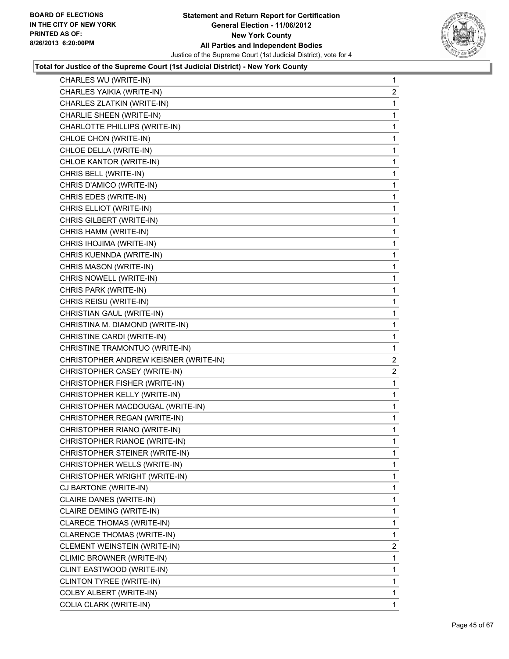

| CHARLES WU (WRITE-IN)                 | 1              |
|---------------------------------------|----------------|
| CHARLES YAIKIA (WRITE-IN)             | $\overline{2}$ |
| CHARLES ZLATKIN (WRITE-IN)            | 1              |
| CHARLIE SHEEN (WRITE-IN)              | 1              |
| CHARLOTTE PHILLIPS (WRITE-IN)         | 1              |
| CHLOE CHON (WRITE-IN)                 | 1              |
| CHLOE DELLA (WRITE-IN)                | 1              |
| CHLOE KANTOR (WRITE-IN)               | 1              |
| CHRIS BELL (WRITE-IN)                 | 1              |
| CHRIS D'AMICO (WRITE-IN)              | 1              |
| CHRIS EDES (WRITE-IN)                 | 1              |
| CHRIS ELLIOT (WRITE-IN)               | 1              |
| CHRIS GILBERT (WRITE-IN)              | 1              |
| CHRIS HAMM (WRITE-IN)                 | 1              |
| CHRIS IHOJIMA (WRITE-IN)              | 1              |
| CHRIS KUENNDA (WRITE-IN)              | 1              |
| CHRIS MASON (WRITE-IN)                | 1              |
| CHRIS NOWELL (WRITE-IN)               | 1              |
| CHRIS PARK (WRITE-IN)                 | 1              |
| CHRIS REISU (WRITE-IN)                | 1              |
| CHRISTIAN GAUL (WRITE-IN)             | 1              |
| CHRISTINA M. DIAMOND (WRITE-IN)       | 1              |
| CHRISTINE CARDI (WRITE-IN)            | 1              |
| CHRISTINE TRAMONTUO (WRITE-IN)        | 1              |
| CHRISTOPHER ANDREW KEISNER (WRITE-IN) | $\mathbf{2}$   |
| CHRISTOPHER CASEY (WRITE-IN)          | 2              |
| CHRISTOPHER FISHER (WRITE-IN)         | 1              |
| CHRISTOPHER KELLY (WRITE-IN)          | 1              |
| CHRISTOPHER MACDOUGAL (WRITE-IN)      | 1              |
| CHRISTOPHER REGAN (WRITE-IN)          | 1              |
| CHRISTOPHER RIANO (WRITE-IN)          | 1              |
| CHRISTOPHER RIANOE (WRITE-IN)         | 1              |
| CHRISTOPHER STEINER (WRITE-IN)        | 1              |
| CHRISTOPHER WELLS (WRITE-IN)          | 1              |
| CHRISTOPHER WRIGHT (WRITE-IN)         | 1              |
| CJ BARTONE (WRITE-IN)                 | 1              |
| CLAIRE DANES (WRITE-IN)               | 1              |
| CLAIRE DEMING (WRITE-IN)              | 1              |
| <b>CLARECE THOMAS (WRITE-IN)</b>      | 1              |
| CLARENCE THOMAS (WRITE-IN)            | 1              |
| CLEMENT WEINSTEIN (WRITE-IN)          | 2              |
| CLIMIC BROWNER (WRITE-IN)             | 1              |
| CLINT EASTWOOD (WRITE-IN)             | 1              |
| CLINTON TYREE (WRITE-IN)              | 1              |
| COLBY ALBERT (WRITE-IN)               | 1              |
| COLIA CLARK (WRITE-IN)                | 1              |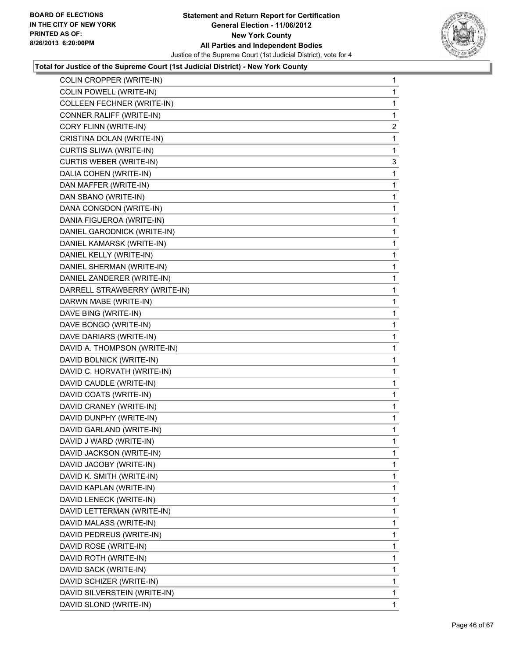

| COLIN CROPPER (WRITE-IN)       | 1 |
|--------------------------------|---|
| COLIN POWELL (WRITE-IN)        | 1 |
| COLLEEN FECHNER (WRITE-IN)     | 1 |
| CONNER RALIFF (WRITE-IN)       | 1 |
| CORY FLINN (WRITE-IN)          | 2 |
| CRISTINA DOLAN (WRITE-IN)      | 1 |
| CURTIS SLIWA (WRITE-IN)        | 1 |
| <b>CURTIS WEBER (WRITE-IN)</b> | 3 |
| DALIA COHEN (WRITE-IN)         | 1 |
| DAN MAFFER (WRITE-IN)          | 1 |
| DAN SBANO (WRITE-IN)           | 1 |
| DANA CONGDON (WRITE-IN)        | 1 |
| DANIA FIGUEROA (WRITE-IN)      | 1 |
| DANIEL GARODNICK (WRITE-IN)    | 1 |
| DANIEL KAMARSK (WRITE-IN)      | 1 |
| DANIEL KELLY (WRITE-IN)        | 1 |
| DANIEL SHERMAN (WRITE-IN)      | 1 |
| DANIEL ZANDERER (WRITE-IN)     | 1 |
| DARRELL STRAWBERRY (WRITE-IN)  | 1 |
| DARWN MABE (WRITE-IN)          | 1 |
| DAVE BING (WRITE-IN)           | 1 |
| DAVE BONGO (WRITE-IN)          | 1 |
| DAVE DARIARS (WRITE-IN)        | 1 |
| DAVID A. THOMPSON (WRITE-IN)   | 1 |
| DAVID BOLNICK (WRITE-IN)       | 1 |
| DAVID C. HORVATH (WRITE-IN)    | 1 |
| DAVID CAUDLE (WRITE-IN)        | 1 |
| DAVID COATS (WRITE-IN)         | 1 |
| DAVID CRANEY (WRITE-IN)        | 1 |
| DAVID DUNPHY (WRITE-IN)        | 1 |
| DAVID GARLAND (WRITE-IN)       | 1 |
| DAVID J WARD (WRITE-IN)        | 1 |
| DAVID JACKSON (WRITE-IN)       | 1 |
| DAVID JACOBY (WRITE-IN)        | 1 |
| DAVID K. SMITH (WRITE-IN)      | 1 |
| DAVID KAPLAN (WRITE-IN)        | 1 |
| DAVID LENECK (WRITE-IN)        | 1 |
| DAVID LETTERMAN (WRITE-IN)     | 1 |
| DAVID MALASS (WRITE-IN)        | 1 |
| DAVID PEDREUS (WRITE-IN)       | 1 |
| DAVID ROSE (WRITE-IN)          | 1 |
| DAVID ROTH (WRITE-IN)          | 1 |
| DAVID SACK (WRITE-IN)          | 1 |
| DAVID SCHIZER (WRITE-IN)       | 1 |
| DAVID SILVERSTEIN (WRITE-IN)   | 1 |
| DAVID SLOND (WRITE-IN)         | 1 |
|                                |   |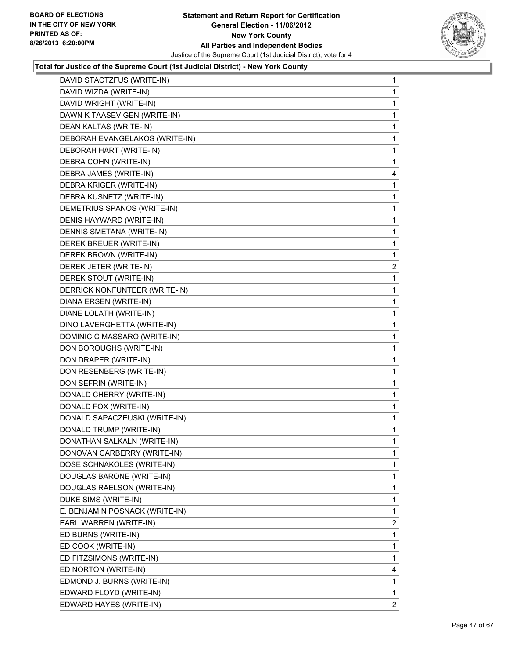

| DAVID STACTZFUS (WRITE-IN)     | 1                       |
|--------------------------------|-------------------------|
| DAVID WIZDA (WRITE-IN)         | 1                       |
| DAVID WRIGHT (WRITE-IN)        | 1                       |
| DAWN K TAASEVIGEN (WRITE-IN)   | 1                       |
| DEAN KALTAS (WRITE-IN)         | 1                       |
| DEBORAH EVANGELAKOS (WRITE-IN) | 1                       |
| DEBORAH HART (WRITE-IN)        | 1                       |
| DEBRA COHN (WRITE-IN)          | 1                       |
| DEBRA JAMES (WRITE-IN)         | 4                       |
| DEBRA KRIGER (WRITE-IN)        | 1                       |
| DEBRA KUSNETZ (WRITE-IN)       | 1                       |
| DEMETRIUS SPANOS (WRITE-IN)    | 1                       |
| DENIS HAYWARD (WRITE-IN)       | 1                       |
| DENNIS SMETANA (WRITE-IN)      | 1                       |
| DEREK BREUER (WRITE-IN)        | 1                       |
| DEREK BROWN (WRITE-IN)         | 1                       |
| DEREK JETER (WRITE-IN)         | $\overline{\mathbf{c}}$ |
| DEREK STOUT (WRITE-IN)         | 1                       |
| DERRICK NONFUNTEER (WRITE-IN)  | 1                       |
| DIANA ERSEN (WRITE-IN)         | 1                       |
| DIANE LOLATH (WRITE-IN)        | 1                       |
| DINO LAVERGHETTA (WRITE-IN)    | 1                       |
| DOMINICIC MASSARO (WRITE-IN)   | 1                       |
| DON BOROUGHS (WRITE-IN)        | 1                       |
| DON DRAPER (WRITE-IN)          | 1                       |
| DON RESENBERG (WRITE-IN)       | 1                       |
| DON SEFRIN (WRITE-IN)          | 1                       |
| DONALD CHERRY (WRITE-IN)       | 1                       |
| DONALD FOX (WRITE-IN)          | 1                       |
| DONALD SAPACZEUSKI (WRITE-IN)  | 1                       |
| DONALD TRUMP (WRITE-IN)        | 1                       |
| DONATHAN SALKALN (WRITE-IN)    | 1                       |
| DONOVAN CARBERRY (WRITE-IN)    | 1                       |
| DOSE SCHNAKOLES (WRITE-IN)     | 1                       |
| DOUGLAS BARONE (WRITE-IN)      | 1                       |
| DOUGLAS RAELSON (WRITE-IN)     | 1                       |
| DUKE SIMS (WRITE-IN)           | 1                       |
| E. BENJAMIN POSNACK (WRITE-IN) | 1                       |
| EARL WARREN (WRITE-IN)         | 2                       |
| ED BURNS (WRITE-IN)            | 1                       |
| ED COOK (WRITE-IN)             | 1                       |
| ED FITZSIMONS (WRITE-IN)       | 1                       |
| ED NORTON (WRITE-IN)           | 4                       |
| EDMOND J. BURNS (WRITE-IN)     | 1                       |
| EDWARD FLOYD (WRITE-IN)        | 1                       |
| EDWARD HAYES (WRITE-IN)        | $\overline{2}$          |
|                                |                         |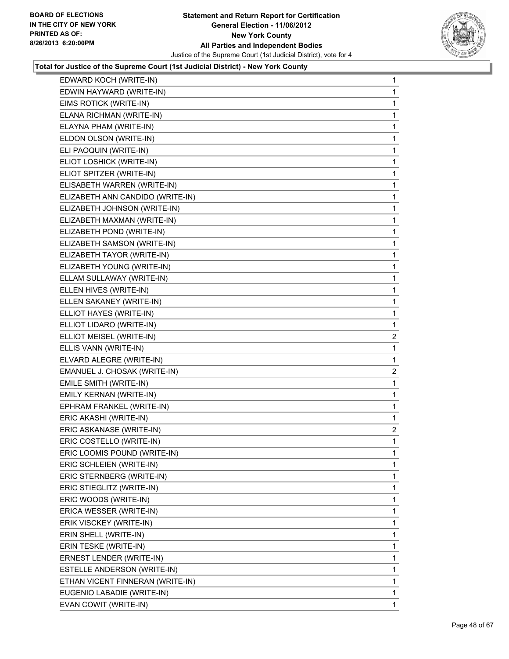

| EDWARD KOCH (WRITE-IN)           | 1              |
|----------------------------------|----------------|
| EDWIN HAYWARD (WRITE-IN)         | 1              |
| EIMS ROTICK (WRITE-IN)           | 1              |
| ELANA RICHMAN (WRITE-IN)         | 1              |
| ELAYNA PHAM (WRITE-IN)           | 1              |
| ELDON OLSON (WRITE-IN)           | 1              |
| ELI PAOQUIN (WRITE-IN)           | 1              |
| ELIOT LOSHICK (WRITE-IN)         | 1              |
| ELIOT SPITZER (WRITE-IN)         | 1              |
| ELISABETH WARREN (WRITE-IN)      | 1              |
| ELIZABETH ANN CANDIDO (WRITE-IN) | 1              |
| ELIZABETH JOHNSON (WRITE-IN)     | 1              |
| ELIZABETH MAXMAN (WRITE-IN)      | 1              |
| ELIZABETH POND (WRITE-IN)        | 1              |
| ELIZABETH SAMSON (WRITE-IN)      | 1              |
| ELIZABETH TAYOR (WRITE-IN)       | 1              |
| ELIZABETH YOUNG (WRITE-IN)       | 1              |
| ELLAM SULLAWAY (WRITE-IN)        | 1              |
| ELLEN HIVES (WRITE-IN)           | 1              |
| ELLEN SAKANEY (WRITE-IN)         | 1              |
| ELLIOT HAYES (WRITE-IN)          | 1              |
| ELLIOT LIDARO (WRITE-IN)         | 1              |
| ELLIOT MEISEL (WRITE-IN)         | $\overline{c}$ |
| ELLIS VANN (WRITE-IN)            | 1              |
| ELVARD ALEGRE (WRITE-IN)         | 1              |
| EMANUEL J. CHOSAK (WRITE-IN)     | $\overline{c}$ |
| EMILE SMITH (WRITE-IN)           | 1              |
| EMILY KERNAN (WRITE-IN)          | 1              |
| EPHRAM FRANKEL (WRITE-IN)        | 1              |
| ERIC AKASHI (WRITE-IN)           | 1              |
| ERIC ASKANASE (WRITE-IN)         | $\overline{a}$ |
| ERIC COSTELLO (WRITE-IN)         | $\mathbf{1}$   |
| ERIC LOOMIS POUND (WRITE-IN)     | 1              |
| ERIC SCHLEIEN (WRITE-IN)         | 1              |
| ERIC STERNBERG (WRITE-IN)        | 1              |
| ERIC STIEGLITZ (WRITE-IN)        | 1              |
| ERIC WOODS (WRITE-IN)            | 1              |
| ERICA WESSER (WRITE-IN)          | 1              |
| ERIK VISCKEY (WRITE-IN)          | 1              |
| ERIN SHELL (WRITE-IN)            | 1              |
| ERIN TESKE (WRITE-IN)            | 1              |
| ERNEST LENDER (WRITE-IN)         | 1              |
| ESTELLE ANDERSON (WRITE-IN)      | 1              |
| ETHAN VICENT FINNERAN (WRITE-IN) | 1              |
| EUGENIO LABADIE (WRITE-IN)       | 1              |
| EVAN COWIT (WRITE-IN)            | 1              |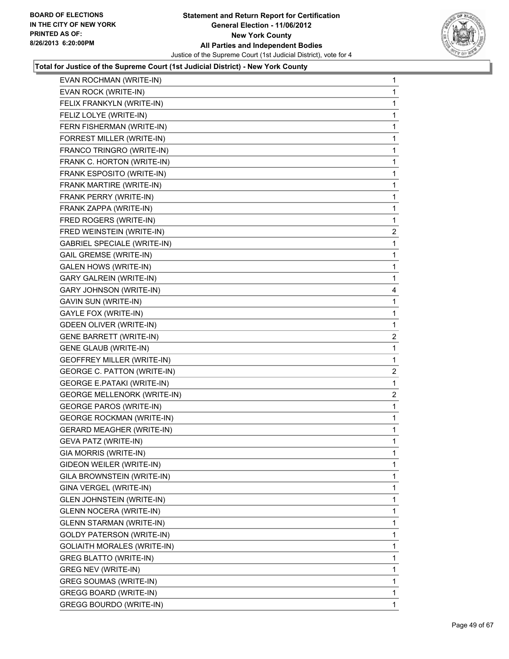

| EVAN ROCHMAN (WRITE-IN)            | 1              |
|------------------------------------|----------------|
| EVAN ROCK (WRITE-IN)               | 1              |
| FELIX FRANKYLN (WRITE-IN)          | 1              |
| FELIZ LOLYE (WRITE-IN)             | 1              |
| FERN FISHERMAN (WRITE-IN)          | 1              |
| FORREST MILLER (WRITE-IN)          | 1              |
| FRANCO TRINGRO (WRITE-IN)          | 1              |
| FRANK C. HORTON (WRITE-IN)         | 1              |
| FRANK ESPOSITO (WRITE-IN)          | 1              |
| FRANK MARTIRE (WRITE-IN)           | 1              |
| FRANK PERRY (WRITE-IN)             | 1              |
| FRANK ZAPPA (WRITE-IN)             | 1              |
| FRED ROGERS (WRITE-IN)             | 1              |
| FRED WEINSTEIN (WRITE-IN)          | $\overline{2}$ |
| <b>GABRIEL SPECIALE (WRITE-IN)</b> | 1              |
| <b>GAIL GREMSE (WRITE-IN)</b>      | 1              |
| <b>GALEN HOWS (WRITE-IN)</b>       | 1              |
| <b>GARY GALREIN (WRITE-IN)</b>     | 1              |
| GARY JOHNSON (WRITE-IN)            | 4              |
| GAVIN SUN (WRITE-IN)               | 1              |
| GAYLE FOX (WRITE-IN)               | 1              |
| <b>GDEEN OLIVER (WRITE-IN)</b>     | 1              |
| <b>GENE BARRETT (WRITE-IN)</b>     | 2              |
| <b>GENE GLAUB (WRITE-IN)</b>       | 1              |
| GEOFFREY MILLER (WRITE-IN)         | 1              |
| GEORGE C. PATTON (WRITE-IN)        | 2              |
| <b>GEORGE E.PATAKI (WRITE-IN)</b>  | 1              |
| <b>GEORGE MELLENORK (WRITE-IN)</b> | $\mathbf{2}$   |
| <b>GEORGE PAROS (WRITE-IN)</b>     | 1              |
| <b>GEORGE ROCKMAN (WRITE-IN)</b>   | 1              |
| <b>GERARD MEAGHER (WRITE-IN)</b>   | 1              |
| <b>GEVA PATZ (WRITE-IN)</b>        | 1              |
| GIA MORRIS (WRITE-IN)              | 1              |
| GIDEON WEILER (WRITE-IN)           | 1              |
| GILA BROWNSTEIN (WRITE-IN)         | 1              |
| GINA VERGEL (WRITE-IN)             | 1              |
| <b>GLEN JOHNSTEIN (WRITE-IN)</b>   | 1              |
| <b>GLENN NOCERA (WRITE-IN)</b>     | 1              |
| <b>GLENN STARMAN (WRITE-IN)</b>    | 1              |
| <b>GOLDY PATERSON (WRITE-IN)</b>   | 1              |
| <b>GOLIAITH MORALES (WRITE-IN)</b> | 1              |
| <b>GREG BLATTO (WRITE-IN)</b>      | 1              |
| <b>GREG NEV (WRITE-IN)</b>         | 1              |
| <b>GREG SOUMAS (WRITE-IN)</b>      | 1              |
| <b>GREGG BOARD (WRITE-IN)</b>      | 1              |
| <b>GREGG BOURDO (WRITE-IN)</b>     | 1              |
|                                    |                |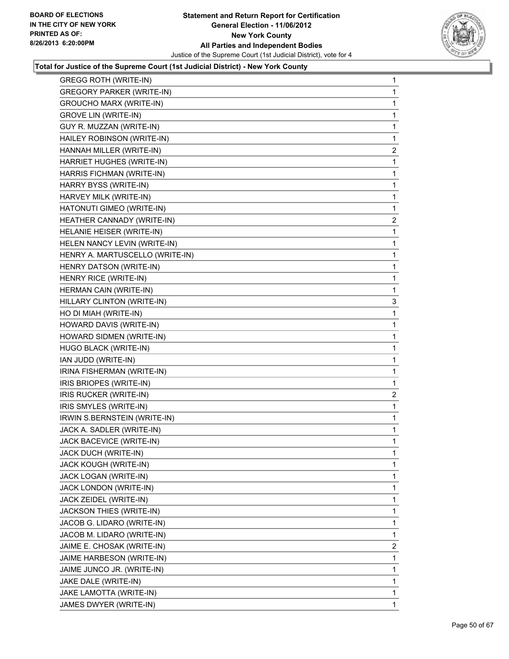

| GREGG ROTH (WRITE-IN)            | 1              |
|----------------------------------|----------------|
| <b>GREGORY PARKER (WRITE-IN)</b> | $\mathbf{1}$   |
| <b>GROUCHO MARX (WRITE-IN)</b>   | 1              |
| <b>GROVE LIN (WRITE-IN)</b>      | 1              |
| GUY R. MUZZAN (WRITE-IN)         | 1              |
| HAILEY ROBINSON (WRITE-IN)       | 1              |
| HANNAH MILLER (WRITE-IN)         | 2              |
| HARRIET HUGHES (WRITE-IN)        | 1              |
| HARRIS FICHMAN (WRITE-IN)        | 1              |
| HARRY BYSS (WRITE-IN)            | 1              |
| HARVEY MILK (WRITE-IN)           | 1              |
| HATONUTI GIMEO (WRITE-IN)        | 1              |
| HEATHER CANNADY (WRITE-IN)       | 2              |
| HELANIE HEISER (WRITE-IN)        | 1              |
| HELEN NANCY LEVIN (WRITE-IN)     | 1              |
| HENRY A. MARTUSCELLO (WRITE-IN)  | 1              |
| HENRY DATSON (WRITE-IN)          | 1              |
| HENRY RICE (WRITE-IN)            | 1              |
| HERMAN CAIN (WRITE-IN)           | 1              |
| HILLARY CLINTON (WRITE-IN)       | 3              |
| HO DI MIAH (WRITE-IN)            | 1              |
| HOWARD DAVIS (WRITE-IN)          | 1              |
| HOWARD SIDMEN (WRITE-IN)         | 1              |
| HUGO BLACK (WRITE-IN)            | 1              |
| IAN JUDD (WRITE-IN)              | 1              |
| IRINA FISHERMAN (WRITE-IN)       | 1              |
| IRIS BRIOPES (WRITE-IN)          | 1              |
| IRIS RUCKER (WRITE-IN)           | 2              |
| IRIS SMYLES (WRITE-IN)           | 1              |
| IRWIN S.BERNSTEIN (WRITE-IN)     | 1              |
| JACK A. SADLER (WRITE-IN)        | 1              |
| JACK BACEVICE (WRITE-IN)         | 1              |
| JACK DUCH (WRITE-IN)             | 1              |
| JACK KOUGH (WRITE-IN)            | 1              |
| JACK LOGAN (WRITE-IN)            | 1              |
| JACK LONDON (WRITE-IN)           | 1              |
| JACK ZEIDEL (WRITE-IN)           | 1              |
| JACKSON THIES (WRITE-IN)         | 1              |
| JACOB G. LIDARO (WRITE-IN)       | 1              |
| JACOB M. LIDARO (WRITE-IN)       | 1              |
| JAIME E. CHOSAK (WRITE-IN)       | $\overline{2}$ |
| JAIME HARBESON (WRITE-IN)        | 1              |
| JAIME JUNCO JR. (WRITE-IN)       | 1              |
| JAKE DALE (WRITE-IN)             | 1              |
| JAKE LAMOTTA (WRITE-IN)          | 1              |
| JAMES DWYER (WRITE-IN)           | $\mathbf{1}$   |
|                                  |                |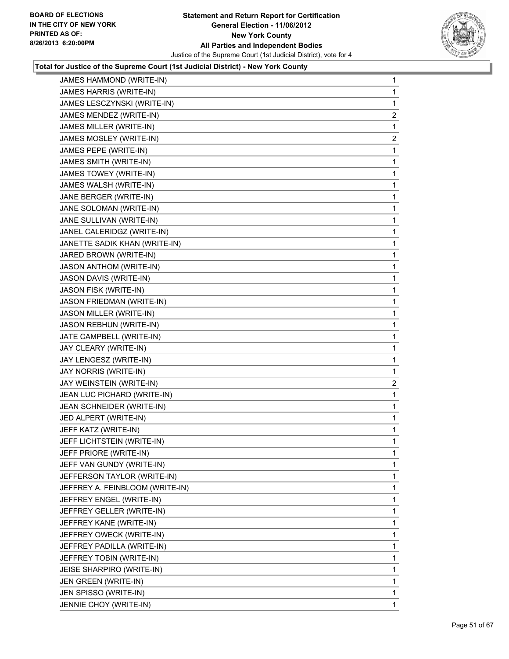

| JAMES HAMMOND (WRITE-IN)         | 1                       |
|----------------------------------|-------------------------|
| JAMES HARRIS (WRITE-IN)          | 1                       |
| JAMES LESCZYNSKI (WRITE-IN)      | 1                       |
| JAMES MENDEZ (WRITE-IN)          | $\overline{2}$          |
| JAMES MILLER (WRITE-IN)          | 1                       |
| JAMES MOSLEY (WRITE-IN)          | 2                       |
| JAMES PEPE (WRITE-IN)            | 1                       |
| JAMES SMITH (WRITE-IN)           | 1                       |
| JAMES TOWEY (WRITE-IN)           | 1                       |
| JAMES WALSH (WRITE-IN)           | 1                       |
| JANE BERGER (WRITE-IN)           | 1                       |
| JANE SOLOMAN (WRITE-IN)          | 1                       |
| JANE SULLIVAN (WRITE-IN)         | 1                       |
| JANEL CALERIDGZ (WRITE-IN)       | 1                       |
| JANETTE SADIK KHAN (WRITE-IN)    | 1                       |
| JARED BROWN (WRITE-IN)           | 1                       |
| JASON ANTHOM (WRITE-IN)          | 1                       |
| JASON DAVIS (WRITE-IN)           | 1                       |
| JASON FISK (WRITE-IN)            | 1                       |
| <b>JASON FRIEDMAN (WRITE-IN)</b> | 1                       |
| JASON MILLER (WRITE-IN)          | 1                       |
| <b>JASON REBHUN (WRITE-IN)</b>   | 1                       |
| JATE CAMPBELL (WRITE-IN)         | 1                       |
| JAY CLEARY (WRITE-IN)            | 1                       |
| JAY LENGESZ (WRITE-IN)           | 1                       |
| JAY NORRIS (WRITE-IN)            | 1                       |
| JAY WEINSTEIN (WRITE-IN)         | $\overline{\mathbf{c}}$ |
| JEAN LUC PICHARD (WRITE-IN)      | 1                       |
| JEAN SCHNEIDER (WRITE-IN)        | 1                       |
| JED ALPERT (WRITE-IN)            | 1                       |
| JEFF KATZ (WRITE-IN)             | 1                       |
| JEFF LICHTSTEIN (WRITE-IN)       | 1                       |
| JEFF PRIORE (WRITE-IN)           | 1                       |
| JEFF VAN GUNDY (WRITE-IN)        | 1                       |
| JEFFERSON TAYLOR (WRITE-IN)      | 1                       |
| JEFFREY A. FEINBLOOM (WRITE-IN)  | 1                       |
| JEFFREY ENGEL (WRITE-IN)         | 1                       |
| JEFFREY GELLER (WRITE-IN)        | 1                       |
| JEFFREY KANE (WRITE-IN)          | 1                       |
| JEFFREY OWECK (WRITE-IN)         | 1                       |
| JEFFREY PADILLA (WRITE-IN)       | 1                       |
| JEFFREY TOBIN (WRITE-IN)         | 1                       |
| JEISE SHARPIRO (WRITE-IN)        | 1                       |
| JEN GREEN (WRITE-IN)             | 1                       |
| JEN SPISSO (WRITE-IN)            | 1                       |
| JENNIE CHOY (WRITE-IN)           | $\mathbf{1}$            |
|                                  |                         |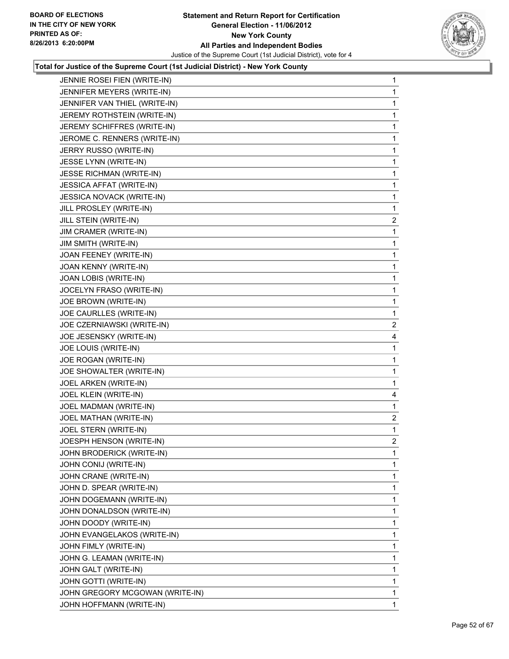

| JENNIE ROSEI FIEN (WRITE-IN)     | 1              |
|----------------------------------|----------------|
| JENNIFER MEYERS (WRITE-IN)       | 1              |
| JENNIFER VAN THIEL (WRITE-IN)    | 1              |
| JEREMY ROTHSTEIN (WRITE-IN)      | 1              |
| JEREMY SCHIFFRES (WRITE-IN)      | 1              |
| JEROME C. RENNERS (WRITE-IN)     | 1              |
| JERRY RUSSO (WRITE-IN)           | 1              |
| JESSE LYNN (WRITE-IN)            | 1              |
| <b>JESSE RICHMAN (WRITE-IN)</b>  | 1              |
| JESSICA AFFAT (WRITE-IN)         | 1              |
| <b>JESSICA NOVACK (WRITE-IN)</b> | 1              |
| JILL PROSLEY (WRITE-IN)          | 1              |
| JILL STEIN (WRITE-IN)            | $\mathbf{2}$   |
| JIM CRAMER (WRITE-IN)            | 1              |
| <b>JIM SMITH (WRITE-IN)</b>      | 1              |
| JOAN FEENEY (WRITE-IN)           | 1              |
| JOAN KENNY (WRITE-IN)            | 1              |
| JOAN LOBIS (WRITE-IN)            | 1              |
| JOCELYN FRASO (WRITE-IN)         | 1              |
| JOE BROWN (WRITE-IN)             | 1              |
| JOE CAURLLES (WRITE-IN)          | 1              |
| JOE CZERNIAWSKI (WRITE-IN)       | $\mathbf{2}$   |
| JOE JESENSKY (WRITE-IN)          | 4              |
| JOE LOUIS (WRITE-IN)             | 1              |
| JOE ROGAN (WRITE-IN)             | 1              |
| JOE SHOWALTER (WRITE-IN)         | 1              |
| JOEL ARKEN (WRITE-IN)            | 1              |
| JOEL KLEIN (WRITE-IN)            | 4              |
| JOEL MADMAN (WRITE-IN)           | 1              |
| JOEL MATHAN (WRITE-IN)           | $\overline{2}$ |
| JOEL STERN (WRITE-IN)            | 1              |
| JOESPH HENSON (WRITE-IN)         | $\overline{c}$ |
| JOHN BRODERICK (WRITE-IN)        | 1              |
| JOHN CONIJ (WRITE-IN)            | 1              |
| JOHN CRANE (WRITE-IN)            | 1              |
| JOHN D. SPEAR (WRITE-IN)         | 1              |
| JOHN DOGEMANN (WRITE-IN)         | 1              |
| JOHN DONALDSON (WRITE-IN)        | 1              |
| JOHN DOODY (WRITE-IN)            | 1              |
| JOHN EVANGELAKOS (WRITE-IN)      | 1              |
| JOHN FIMLY (WRITE-IN)            | 1              |
| JOHN G. LEAMAN (WRITE-IN)        | 1              |
| JOHN GALT (WRITE-IN)             | 1              |
| JOHN GOTTI (WRITE-IN)            | 1              |
| JOHN GREGORY MCGOWAN (WRITE-IN)  | 1              |
| JOHN HOFFMANN (WRITE-IN)         | 1              |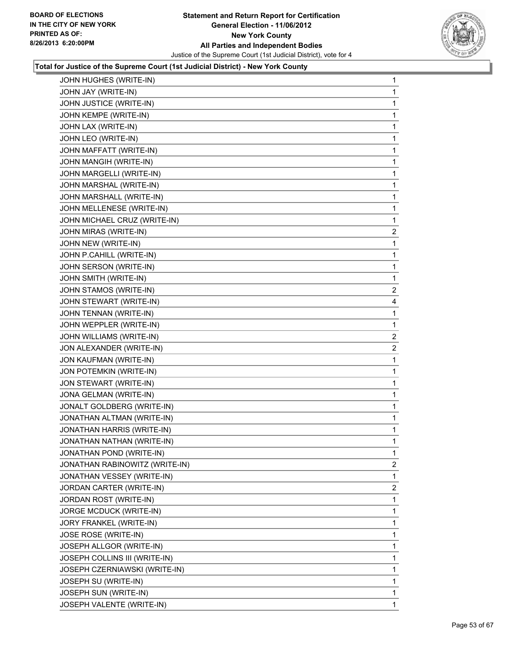

| JOHN HUGHES (WRITE-IN)         | 1              |
|--------------------------------|----------------|
| JOHN JAY (WRITE-IN)            | 1              |
| JOHN JUSTICE (WRITE-IN)        | 1              |
| JOHN KEMPE (WRITE-IN)          | 1              |
| JOHN LAX (WRITE-IN)            | 1              |
| JOHN LEO (WRITE-IN)            | 1              |
| JOHN MAFFATT (WRITE-IN)        | 1              |
| JOHN MANGIH (WRITE-IN)         | 1              |
| JOHN MARGELLI (WRITE-IN)       | 1              |
| JOHN MARSHAL (WRITE-IN)        | 1              |
| JOHN MARSHALL (WRITE-IN)       | 1              |
| JOHN MELLENESE (WRITE-IN)      | 1              |
| JOHN MICHAEL CRUZ (WRITE-IN)   | 1              |
| JOHN MIRAS (WRITE-IN)          | $\overline{2}$ |
| JOHN NEW (WRITE-IN)            | 1              |
| JOHN P.CAHILL (WRITE-IN)       | 1              |
| JOHN SERSON (WRITE-IN)         | 1              |
| JOHN SMITH (WRITE-IN)          | 1              |
| JOHN STAMOS (WRITE-IN)         | $\mathbf{2}$   |
| JOHN STEWART (WRITE-IN)        | 4              |
| JOHN TENNAN (WRITE-IN)         | 1              |
| JOHN WEPPLER (WRITE-IN)        | 1              |
| JOHN WILLIAMS (WRITE-IN)       | 2              |
| JON ALEXANDER (WRITE-IN)       | 2              |
| JON KAUFMAN (WRITE-IN)         | 1              |
| JON POTEMKIN (WRITE-IN)        | 1              |
| JON STEWART (WRITE-IN)         | 1              |
| JONA GELMAN (WRITE-IN)         | 1              |
| JONALT GOLDBERG (WRITE-IN)     | 1              |
| JONATHAN ALTMAN (WRITE-IN)     | 1              |
| JONATHAN HARRIS (WRITE-IN)     | 1              |
| JONATHAN NATHAN (WRITE-IN)     | 1              |
| JONATHAN POND (WRITE-IN)       | 1              |
| JONATHAN RABINOWITZ (WRITE-IN) | 2              |
| JONATHAN VESSEY (WRITE-IN)     | 1              |
| JORDAN CARTER (WRITE-IN)       | $\overline{2}$ |
| JORDAN ROST (WRITE-IN)         | 1              |
| JORGE MCDUCK (WRITE-IN)        | 1              |
| JORY FRANKEL (WRITE-IN)        | 1              |
| JOSE ROSE (WRITE-IN)           | 1              |
| JOSEPH ALLGOR (WRITE-IN)       | 1              |
| JOSEPH COLLINS III (WRITE-IN)  | 1              |
| JOSEPH CZERNIAWSKI (WRITE-IN)  | 1              |
| JOSEPH SU (WRITE-IN)           | 1              |
| JOSEPH SUN (WRITE-IN)          | 1              |
| JOSEPH VALENTE (WRITE-IN)      | $\mathbf{1}$   |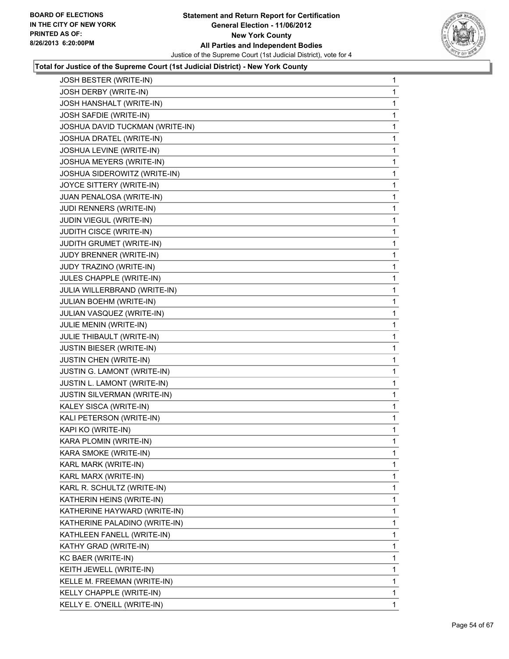

| JOSH BESTER (WRITE-IN)          | 1 |
|---------------------------------|---|
| JOSH DERBY (WRITE-IN)           | 1 |
| JOSH HANSHALT (WRITE-IN)        | 1 |
| JOSH SAFDIE (WRITE-IN)          | 1 |
| JOSHUA DAVID TUCKMAN (WRITE-IN) | 1 |
| JOSHUA DRATEL (WRITE-IN)        | 1 |
| JOSHUA LEVINE (WRITE-IN)        | 1 |
| JOSHUA MEYERS (WRITE-IN)        | 1 |
| JOSHUA SIDEROWITZ (WRITE-IN)    | 1 |
| JOYCE SITTERY (WRITE-IN)        | 1 |
| JUAN PENALOSA (WRITE-IN)        | 1 |
| JUDI RENNERS (WRITE-IN)         | 1 |
| JUDIN VIEGUL (WRITE-IN)         | 1 |
| JUDITH CISCE (WRITE-IN)         | 1 |
| JUDITH GRUMET (WRITE-IN)        | 1 |
| JUDY BRENNER (WRITE-IN)         | 1 |
| JUDY TRAZINO (WRITE-IN)         | 1 |
| JULES CHAPPLE (WRITE-IN)        | 1 |
| JULIA WILLERBRAND (WRITE-IN)    | 1 |
| JULIAN BOEHM (WRITE-IN)         | 1 |
| JULIAN VASQUEZ (WRITE-IN)       | 1 |
| JULIE MENIN (WRITE-IN)          | 1 |
| JULIE THIBAULT (WRITE-IN)       | 1 |
| JUSTIN BIESER (WRITE-IN)        | 1 |
| JUSTIN CHEN (WRITE-IN)          | 1 |
| JUSTIN G. LAMONT (WRITE-IN)     | 1 |
| JUSTIN L. LAMONT (WRITE-IN)     | 1 |
| JUSTIN SILVERMAN (WRITE-IN)     | 1 |
| KALEY SISCA (WRITE-IN)          | 1 |
| KALI PETERSON (WRITE-IN)        | 1 |
| KAPI KO (WRITE-IN)              | 1 |
| KARA PLOMIN (WRITE-IN)          | 1 |
| KARA SMOKE (WRITE-IN)           | 1 |
| KARL MARK (WRITE-IN)            | 1 |
| KARL MARX (WRITE-IN)            | 1 |
| KARL R. SCHULTZ (WRITE-IN)      | 1 |
| KATHERIN HEINS (WRITE-IN)       | 1 |
| KATHERINE HAYWARD (WRITE-IN)    | 1 |
| KATHERINE PALADINO (WRITE-IN)   | 1 |
| KATHLEEN FANELL (WRITE-IN)      | 1 |
| KATHY GRAD (WRITE-IN)           | 1 |
| KC BAER (WRITE-IN)              | 1 |
| KEITH JEWELL (WRITE-IN)         | 1 |
| KELLE M. FREEMAN (WRITE-IN)     | 1 |
| KELLY CHAPPLE (WRITE-IN)        | 1 |
| KELLY E. O'NEILL (WRITE-IN)     | 1 |
|                                 |   |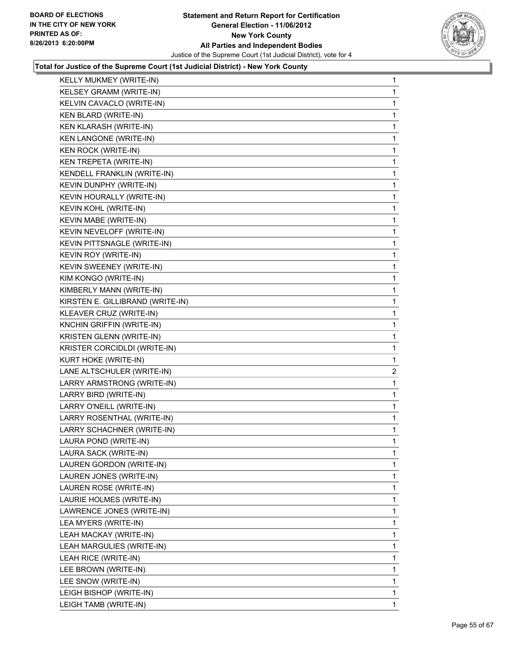

| KELLY MUKMEY (WRITE-IN)          | 1  |
|----------------------------------|----|
| KELSEY GRAMM (WRITE-IN)          | 1  |
| KELVIN CAVACLO (WRITE-IN)        | 1  |
| KEN BLARD (WRITE-IN)             | 1  |
| KEN KLARASH (WRITE-IN)           | 1  |
| <b>KEN LANGONE (WRITE-IN)</b>    | 1  |
| <b>KEN ROCK (WRITE-IN)</b>       | 1  |
| KEN TREPETA (WRITE-IN)           | 1  |
| KENDELL FRANKLIN (WRITE-IN)      | 1  |
| KEVIN DUNPHY (WRITE-IN)          | 1  |
| KEVIN HOURALLY (WRITE-IN)        | 1  |
| KEVIN KOHL (WRITE-IN)            | 1  |
| KEVIN MABE (WRITE-IN)            | 1  |
| KEVIN NEVELOFF (WRITE-IN)        | 1  |
| KEVIN PITTSNAGLE (WRITE-IN)      | 1  |
| <b>KEVIN ROY (WRITE-IN)</b>      | 1  |
| KEVIN SWEENEY (WRITE-IN)         | 1  |
| KIM KONGO (WRITE-IN)             | 1  |
| KIMBERLY MANN (WRITE-IN)         | 1  |
| KIRSTEN E. GILLIBRAND (WRITE-IN) | 1  |
| KLEAVER CRUZ (WRITE-IN)          | 1  |
| KNCHIN GRIFFIN (WRITE-IN)        | 1  |
| KRISTEN GLENN (WRITE-IN)         | 1  |
| KRISTER CORCIDLDI (WRITE-IN)     | 1  |
| KURT HOKE (WRITE-IN)             | 1  |
| LANE ALTSCHULER (WRITE-IN)       | 2  |
| LARRY ARMSTRONG (WRITE-IN)       | 1  |
| LARRY BIRD (WRITE-IN)            | 1  |
| LARRY O'NEILL (WRITE-IN)         | 1  |
| LARRY ROSENTHAL (WRITE-IN)       | 1  |
| LARRY SCHACHNER (WRITE-IN)       | 1  |
| LAURA POND (WRITE-IN)            | 1  |
| LAURA SACK (WRITE-IN)            | 1  |
| LAUREN GORDON (WRITE-IN)         | 1  |
| LAUREN JONES (WRITE-IN)          | 1  |
| LAUREN ROSE (WRITE-IN)           | 1  |
| LAURIE HOLMES (WRITE-IN)         | 1  |
| LAWRENCE JONES (WRITE-IN)        | 1  |
| LEA MYERS (WRITE-IN)             | 1  |
| LEAH MACKAY (WRITE-IN)           | 1  |
| LEAH MARGULIES (WRITE-IN)        | 1  |
| LEAH RICE (WRITE-IN)             | 1  |
| LEE BROWN (WRITE-IN)             | 1  |
| LEE SNOW (WRITE-IN)              | 1  |
| LEIGH BISHOP (WRITE-IN)          | 1  |
| LEIGH TAMB (WRITE-IN)            | 1. |
|                                  |    |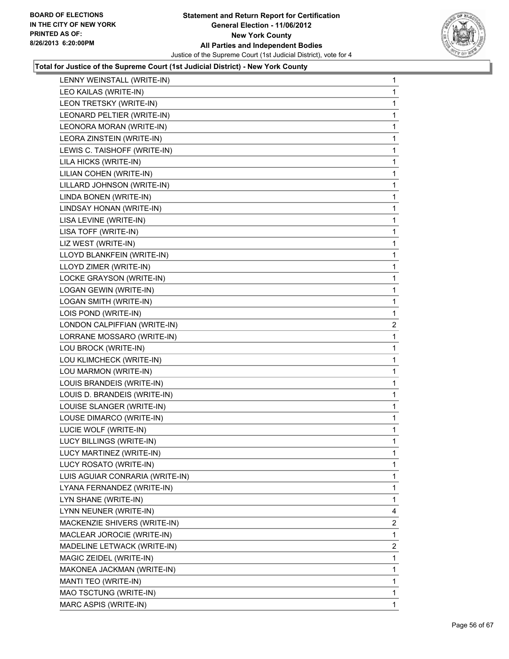

| LENNY WEINSTALL (WRITE-IN)   |                                 | 1                       |
|------------------------------|---------------------------------|-------------------------|
| LEO KAILAS (WRITE-IN)        |                                 | 1                       |
| LEON TRETSKY (WRITE-IN)      |                                 | 1                       |
| LEONARD PELTIER (WRITE-IN)   |                                 | 1                       |
| LEONORA MORAN (WRITE-IN)     |                                 | 1                       |
| LEORA ZINSTEIN (WRITE-IN)    |                                 | 1                       |
| LEWIS C. TAISHOFF (WRITE-IN) |                                 | 1                       |
| LILA HICKS (WRITE-IN)        |                                 | 1                       |
| LILIAN COHEN (WRITE-IN)      |                                 | 1                       |
| LILLARD JOHNSON (WRITE-IN)   |                                 | 1                       |
| LINDA BONEN (WRITE-IN)       |                                 | 1                       |
| LINDSAY HONAN (WRITE-IN)     |                                 | 1                       |
| LISA LEVINE (WRITE-IN)       |                                 | $\mathbf 1$             |
| LISA TOFF (WRITE-IN)         |                                 | $\mathbf{1}$            |
| LIZ WEST (WRITE-IN)          |                                 | 1                       |
| LLOYD BLANKFEIN (WRITE-IN)   |                                 | 1                       |
| LLOYD ZIMER (WRITE-IN)       |                                 | 1                       |
| LOCKE GRAYSON (WRITE-IN)     |                                 | 1                       |
| LOGAN GEWIN (WRITE-IN)       |                                 | $\mathbf 1$             |
| LOGAN SMITH (WRITE-IN)       |                                 | $\mathbf{1}$            |
| LOIS POND (WRITE-IN)         |                                 | 1                       |
|                              | LONDON CALPIFFIAN (WRITE-IN)    | 2                       |
|                              | LORRANE MOSSARO (WRITE-IN)      | 1                       |
| LOU BROCK (WRITE-IN)         |                                 | 1                       |
| LOU KLIMCHECK (WRITE-IN)     |                                 | $\mathbf 1$             |
| LOU MARMON (WRITE-IN)        |                                 | $\mathbf{1}$            |
| LOUIS BRANDEIS (WRITE-IN)    |                                 | 1                       |
|                              | LOUIS D. BRANDEIS (WRITE-IN)    | 1                       |
| LOUISE SLANGER (WRITE-IN)    |                                 | 1                       |
| LOUSE DIMARCO (WRITE-IN)     |                                 | 1                       |
| LUCIE WOLF (WRITE-IN)        |                                 | $\mathbf 1$             |
| LUCY BILLINGS (WRITE-IN)     |                                 | 1                       |
| LUCY MARTINEZ (WRITE-IN)     |                                 | 1                       |
| LUCY ROSATO (WRITE-IN)       |                                 | 1                       |
|                              | LUIS AGUIAR CONRARIA (WRITE-IN) | 1                       |
|                              | LYANA FERNANDEZ (WRITE-IN)      | 1                       |
| LYN SHANE (WRITE-IN)         |                                 | 1                       |
| LYNN NEUNER (WRITE-IN)       |                                 | 4                       |
|                              | MACKENZIE SHIVERS (WRITE-IN)    | 2                       |
|                              | MACLEAR JOROCIE (WRITE-IN)      | 1                       |
|                              | MADELINE LETWACK (WRITE-IN)     | $\overline{\mathbf{c}}$ |
| MAGIC ZEIDEL (WRITE-IN)      |                                 | 1                       |
|                              | MAKONEA JACKMAN (WRITE-IN)      | 1                       |
| MANTI TEO (WRITE-IN)         |                                 | 1                       |
| MAO TSCTUNG (WRITE-IN)       |                                 | 1                       |
| MARC ASPIS (WRITE-IN)        |                                 | 1                       |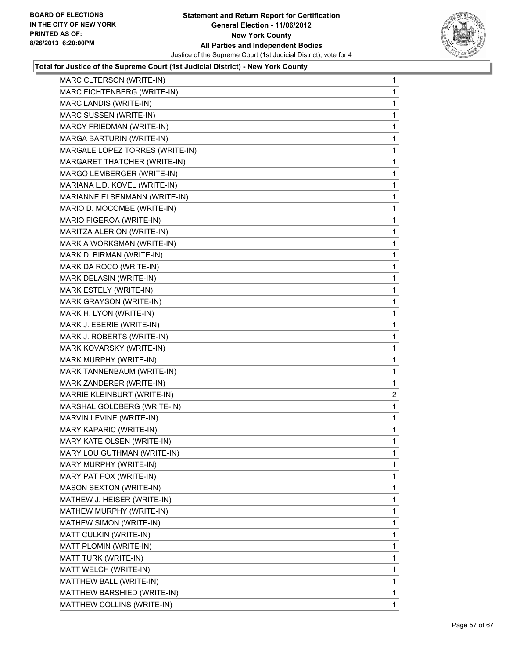

| MARC CLTERSON (WRITE-IN)        | 1            |
|---------------------------------|--------------|
| MARC FICHTENBERG (WRITE-IN)     | 1            |
| MARC LANDIS (WRITE-IN)          | 1            |
| MARC SUSSEN (WRITE-IN)          | 1            |
| MARCY FRIEDMAN (WRITE-IN)       | 1            |
| MARGA BARTURIN (WRITE-IN)       | 1            |
| MARGALE LOPEZ TORRES (WRITE-IN) | 1            |
| MARGARET THATCHER (WRITE-IN)    | 1            |
| MARGO LEMBERGER (WRITE-IN)      | 1            |
| MARIANA L.D. KOVEL (WRITE-IN)   | 1            |
| MARIANNE ELSENMANN (WRITE-IN)   | 1            |
| MARIO D. MOCOMBE (WRITE-IN)     | 1            |
| MARIO FIGEROA (WRITE-IN)        | 1            |
| MARITZA ALERION (WRITE-IN)      | 1            |
| MARK A WORKSMAN (WRITE-IN)      | 1            |
| MARK D. BIRMAN (WRITE-IN)       | 1            |
| MARK DA ROCO (WRITE-IN)         | 1            |
| MARK DELASIN (WRITE-IN)         | 1            |
| MARK ESTELY (WRITE-IN)          | 1            |
| MARK GRAYSON (WRITE-IN)         | 1            |
| MARK H. LYON (WRITE-IN)         | 1            |
| MARK J. EBERIE (WRITE-IN)       | 1            |
| MARK J. ROBERTS (WRITE-IN)      | 1            |
| MARK KOVARSKY (WRITE-IN)        | 1            |
| MARK MURPHY (WRITE-IN)          | 1            |
| MARK TANNENBAUM (WRITE-IN)      | 1            |
| MARK ZANDERER (WRITE-IN)        | 1            |
| MARRIE KLEINBURT (WRITE-IN)     | 2            |
| MARSHAL GOLDBERG (WRITE-IN)     | 1            |
| MARVIN LEVINE (WRITE-IN)        | 1            |
| MARY KAPARIC (WRITE-IN)         | 1            |
| MARY KATE OLSEN (WRITE-IN)      | 1            |
| MARY LOU GUTHMAN (WRITE-IN)     | 1            |
| MARY MURPHY (WRITE-IN)          | $\mathbf{1}$ |
| MARY PAT FOX (WRITE-IN)         | 1            |
| MASON SEXTON (WRITE-IN)         | 1            |
| MATHEW J. HEISER (WRITE-IN)     | 1            |
| MATHEW MURPHY (WRITE-IN)        | 1            |
| MATHEW SIMON (WRITE-IN)         | 1            |
| MATT CULKIN (WRITE-IN)          | 1            |
| MATT PLOMIN (WRITE-IN)          | 1            |
| MATT TURK (WRITE-IN)            | 1            |
| MATT WELCH (WRITE-IN)           | 1            |
| MATTHEW BALL (WRITE-IN)         | $\mathbf{1}$ |
| MATTHEW BARSHIED (WRITE-IN)     | 1            |
| MATTHEW COLLINS (WRITE-IN)      | $\mathbf{1}$ |
|                                 |              |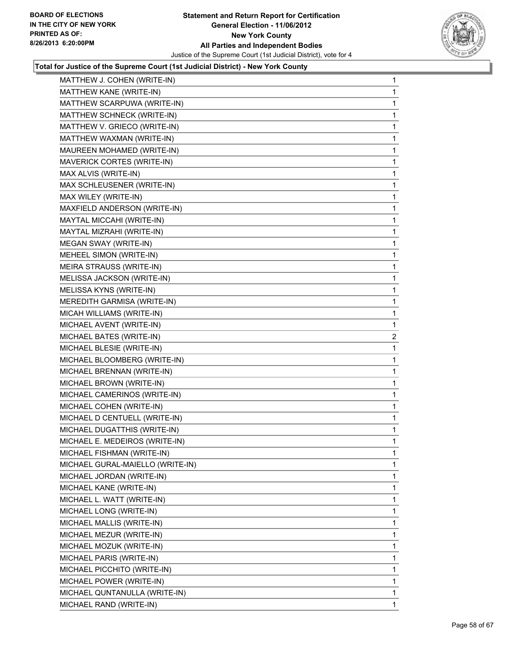

| MATTHEW J. COHEN (WRITE-IN)      | 1              |
|----------------------------------|----------------|
| MATTHEW KANE (WRITE-IN)          | 1              |
| MATTHEW SCARPUWA (WRITE-IN)      | 1              |
| MATTHEW SCHNECK (WRITE-IN)       | 1              |
| MATTHEW V. GRIECO (WRITE-IN)     | 1              |
| MATTHEW WAXMAN (WRITE-IN)        | 1              |
| MAUREEN MOHAMED (WRITE-IN)       | 1              |
| MAVERICK CORTES (WRITE-IN)       | 1              |
| MAX ALVIS (WRITE-IN)             | 1              |
| MAX SCHLEUSENER (WRITE-IN)       | 1              |
| MAX WILEY (WRITE-IN)             | 1              |
| MAXFIELD ANDERSON (WRITE-IN)     | 1              |
| MAYTAL MICCAHI (WRITE-IN)        | 1              |
| MAYTAL MIZRAHI (WRITE-IN)        | 1              |
| MEGAN SWAY (WRITE-IN)            | 1              |
| MEHEEL SIMON (WRITE-IN)          | 1              |
| MEIRA STRAUSS (WRITE-IN)         | 1              |
| MELISSA JACKSON (WRITE-IN)       | 1              |
| MELISSA KYNS (WRITE-IN)          | 1              |
| MEREDITH GARMISA (WRITE-IN)      | 1              |
| MICAH WILLIAMS (WRITE-IN)        | 1              |
| MICHAEL AVENT (WRITE-IN)         | 1              |
| MICHAEL BATES (WRITE-IN)         | $\overline{c}$ |
| MICHAEL BLESIE (WRITE-IN)        | 1              |
| MICHAEL BLOOMBERG (WRITE-IN)     | 1              |
| MICHAEL BRENNAN (WRITE-IN)       | 1              |
| MICHAEL BROWN (WRITE-IN)         | 1              |
| MICHAEL CAMERINOS (WRITE-IN)     | 1              |
| MICHAEL COHEN (WRITE-IN)         | 1              |
| MICHAEL D CENTUELL (WRITE-IN)    | 1              |
| MICHAEL DUGATTHIS (WRITE-IN)     | 1              |
| MICHAEL E. MEDEIROS (WRITE-IN)   | 1              |
| MICHAEL FISHMAN (WRITE-IN)       | 1              |
| MICHAEL GURAL-MAIELLO (WRITE-IN) | 1              |
| MICHAEL JORDAN (WRITE-IN)        | 1              |
| MICHAEL KANE (WRITE-IN)          | 1              |
| MICHAEL L. WATT (WRITE-IN)       | 1              |
| MICHAEL LONG (WRITE-IN)          | 1              |
| MICHAEL MALLIS (WRITE-IN)        | 1              |
| MICHAEL MEZUR (WRITE-IN)         | 1              |
| MICHAEL MOZUK (WRITE-IN)         | 1              |
| MICHAEL PARIS (WRITE-IN)         | 1              |
| MICHAEL PICCHITO (WRITE-IN)      | 1              |
| MICHAEL POWER (WRITE-IN)         | $\mathbf{1}$   |
| MICHAEL QUNTANULLA (WRITE-IN)    | 1              |
| MICHAEL RAND (WRITE-IN)          | $\mathbf{1}$   |
|                                  |                |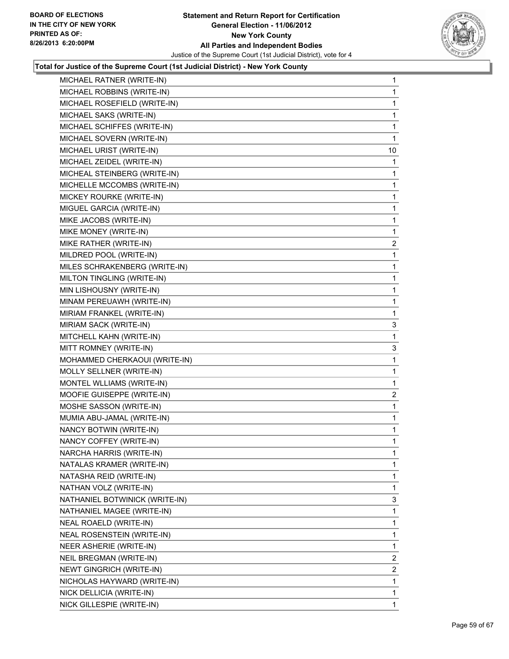

| MICHAEL RATNER (WRITE-IN)      | 1              |
|--------------------------------|----------------|
| MICHAEL ROBBINS (WRITE-IN)     | 1              |
| MICHAEL ROSEFIELD (WRITE-IN)   | 1              |
| MICHAEL SAKS (WRITE-IN)        | 1              |
| MICHAEL SCHIFFES (WRITE-IN)    | 1              |
| MICHAEL SOVERN (WRITE-IN)      | 1              |
| MICHAEL URIST (WRITE-IN)       | 10             |
| MICHAEL ZEIDEL (WRITE-IN)      | 1              |
| MICHEAL STEINBERG (WRITE-IN)   | 1              |
| MICHELLE MCCOMBS (WRITE-IN)    | 1              |
| MICKEY ROURKE (WRITE-IN)       | 1              |
| MIGUEL GARCIA (WRITE-IN)       | 1              |
| MIKE JACOBS (WRITE-IN)         | 1              |
| MIKE MONEY (WRITE-IN)          | 1              |
| MIKE RATHER (WRITE-IN)         | $\overline{2}$ |
| MILDRED POOL (WRITE-IN)        | 1              |
| MILES SCHRAKENBERG (WRITE-IN)  | 1              |
| MILTON TINGLING (WRITE-IN)     | 1              |
| MIN LISHOUSNY (WRITE-IN)       | 1              |
| MINAM PEREUAWH (WRITE-IN)      | 1              |
| MIRIAM FRANKEL (WRITE-IN)      | 1              |
| MIRIAM SACK (WRITE-IN)         | 3              |
| MITCHELL KAHN (WRITE-IN)       | 1              |
| MITT ROMNEY (WRITE-IN)         | 3              |
| MOHAMMED CHERKAOUI (WRITE-IN)  | 1              |
| MOLLY SELLNER (WRITE-IN)       | 1              |
| MONTEL WLLIAMS (WRITE-IN)      | 1              |
| MOOFIE GUISEPPE (WRITE-IN)     | $\mathbf{2}$   |
| MOSHE SASSON (WRITE-IN)        | 1              |
| MUMIA ABU-JAMAL (WRITE-IN)     | 1              |
| NANCY BOTWIN (WRITE-IN)        | 1              |
| NANCY COFFEY (WRITE-IN)        | 1              |
| NARCHA HARRIS (WRITE-IN)       | 1              |
| NATALAS KRAMER (WRITE-IN)      | 1              |
| NATASHA REID (WRITE-IN)        | 1              |
| NATHAN VOLZ (WRITE-IN)         | 1              |
| NATHANIEL BOTWINICK (WRITE-IN) | 3              |
| NATHANIEL MAGEE (WRITE-IN)     | 1              |
| NEAL ROAELD (WRITE-IN)         | 1              |
| NEAL ROSENSTEIN (WRITE-IN)     | 1              |
| NEER ASHERIE (WRITE-IN)        | 1              |
| NEIL BREGMAN (WRITE-IN)        | $\overline{2}$ |
| NEWT GINGRICH (WRITE-IN)       | $\mathbf{2}$   |
| NICHOLAS HAYWARD (WRITE-IN)    | 1              |
| NICK DELLICIA (WRITE-IN)       | 1              |
| NICK GILLESPIE (WRITE-IN)      | 1              |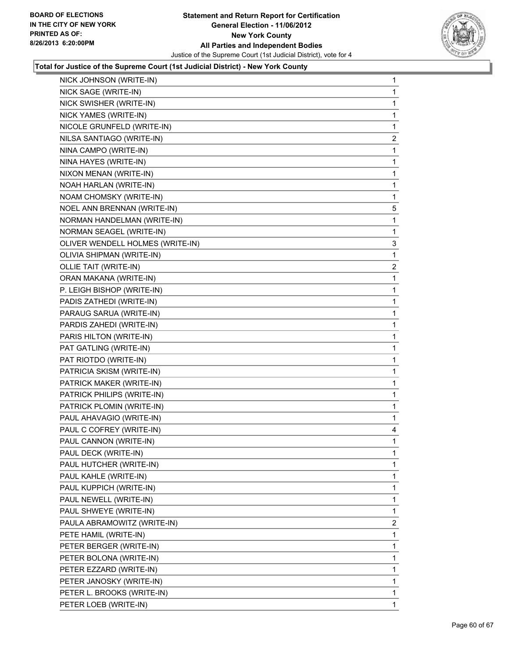

| NICK JOHNSON (WRITE-IN)          | 1            |
|----------------------------------|--------------|
| NICK SAGE (WRITE-IN)             | $\mathbf{1}$ |
| NICK SWISHER (WRITE-IN)          | 1            |
| NICK YAMES (WRITE-IN)            | 1            |
| NICOLE GRUNFELD (WRITE-IN)       | 1            |
| NILSA SANTIAGO (WRITE-IN)        | $\mathbf{2}$ |
| NINA CAMPO (WRITE-IN)            | 1            |
| NINA HAYES (WRITE-IN)            | 1            |
| NIXON MENAN (WRITE-IN)           | 1            |
| NOAH HARLAN (WRITE-IN)           | 1            |
| NOAM CHOMSKY (WRITE-IN)          | 1            |
| NOEL ANN BRENNAN (WRITE-IN)      | 5            |
| NORMAN HANDELMAN (WRITE-IN)      | 1            |
| NORMAN SEAGEL (WRITE-IN)         | 1            |
| OLIVER WENDELL HOLMES (WRITE-IN) | 3            |
| OLIVIA SHIPMAN (WRITE-IN)        | 1            |
| OLLIE TAIT (WRITE-IN)            | 2            |
| ORAN MAKANA (WRITE-IN)           | 1            |
| P. LEIGH BISHOP (WRITE-IN)       | 1            |
| PADIS ZATHEDI (WRITE-IN)         | 1            |
| PARAUG SARUA (WRITE-IN)          | 1            |
| PARDIS ZAHEDI (WRITE-IN)         | 1            |
| PARIS HILTON (WRITE-IN)          | 1            |
| PAT GATLING (WRITE-IN)           | 1            |
| PAT RIOTDO (WRITE-IN)            | 1            |
| PATRICIA SKISM (WRITE-IN)        | 1            |
| PATRICK MAKER (WRITE-IN)         | 1            |
| PATRICK PHILIPS (WRITE-IN)       | 1            |
| PATRICK PLOMIN (WRITE-IN)        | 1            |
| PAUL AHAVAGIO (WRITE-IN)         | 1            |
| PAUL C COFREY (WRITE-IN)         | 4            |
| PAUL CANNON (WRITE-IN)           | 1            |
| PAUL DECK (WRITE-IN)             | 1            |
| PAUL HUTCHER (WRITE-IN)          | 1            |
| PAUL KAHLE (WRITE-IN)            | 1            |
| PAUL KUPPICH (WRITE-IN)          | 1            |
| PAUL NEWELL (WRITE-IN)           | 1            |
| PAUL SHWEYE (WRITE-IN)           | 1            |
| PAULA ABRAMOWITZ (WRITE-IN)      | 2            |
| PETE HAMIL (WRITE-IN)            | 1            |
| PETER BERGER (WRITE-IN)          | 1            |
| PETER BOLONA (WRITE-IN)          | 1            |
| PETER EZZARD (WRITE-IN)          | 1            |
| PETER JANOSKY (WRITE-IN)         | 1            |
| PETER L. BROOKS (WRITE-IN)       | 1            |
| PETER LOEB (WRITE-IN)            | $\mathbf{1}$ |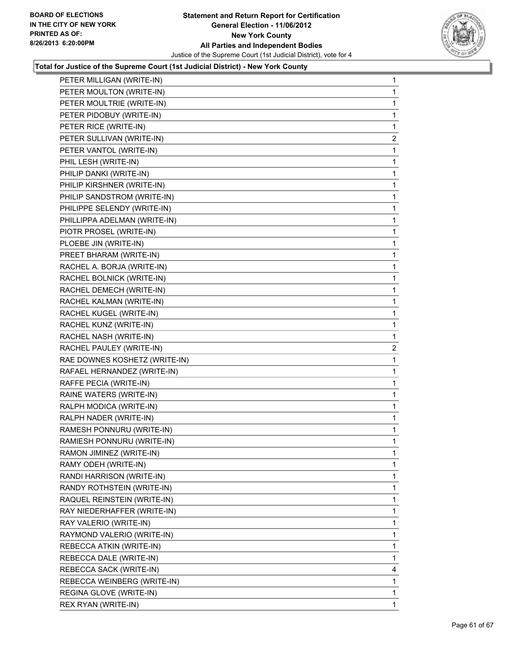

| PETER MILLIGAN (WRITE-IN)     | 1              |
|-------------------------------|----------------|
| PETER MOULTON (WRITE-IN)      | $\mathbf{1}$   |
| PETER MOULTRIE (WRITE-IN)     | 1              |
| PETER PIDOBUY (WRITE-IN)      | 1              |
| PETER RICE (WRITE-IN)         | 1              |
| PETER SULLIVAN (WRITE-IN)     | $\mathbf{2}$   |
| PETER VANTOL (WRITE-IN)       | 1              |
| PHIL LESH (WRITE-IN)          | 1              |
| PHILIP DANKI (WRITE-IN)       | 1              |
| PHILIP KIRSHNER (WRITE-IN)    | 1              |
| PHILIP SANDSTROM (WRITE-IN)   | 1              |
| PHILIPPE SELENDY (WRITE-IN)   | 1              |
| PHILLIPPA ADELMAN (WRITE-IN)  | 1              |
| PIOTR PROSEL (WRITE-IN)       | 1              |
| PLOEBE JIN (WRITE-IN)         | 1              |
| PREET BHARAM (WRITE-IN)       | 1              |
| RACHEL A. BORJA (WRITE-IN)    | 1              |
| RACHEL BOLNICK (WRITE-IN)     | 1              |
| RACHEL DEMECH (WRITE-IN)      | 1              |
| RACHEL KALMAN (WRITE-IN)      | 1              |
| RACHEL KUGEL (WRITE-IN)       | 1              |
| RACHEL KUNZ (WRITE-IN)        | 1              |
| RACHEL NASH (WRITE-IN)        | 1              |
| RACHEL PAULEY (WRITE-IN)      | $\overline{2}$ |
| RAE DOWNES KOSHETZ (WRITE-IN) | 1              |
| RAFAEL HERNANDEZ (WRITE-IN)   | 1              |
| RAFFE PECIA (WRITE-IN)        | 1              |
| RAINE WATERS (WRITE-IN)       | 1              |
| RALPH MODICA (WRITE-IN)       | 1              |
| RALPH NADER (WRITE-IN)        | 1              |
| RAMESH PONNURU (WRITE-IN)     | 1              |
| RAMIESH PONNURU (WRITE-IN)    | 1              |
| RAMON JIMINEZ (WRITE-IN)      | 1              |
| RAMY ODEH (WRITE-IN)          | 1              |
| RANDI HARRISON (WRITE-IN)     | 1              |
| RANDY ROTHSTEIN (WRITE-IN)    | 1              |
| RAQUEL REINSTEIN (WRITE-IN)   | 1              |
| RAY NIEDERHAFFER (WRITE-IN)   | 1              |
| RAY VALERIO (WRITE-IN)        | 1              |
| RAYMOND VALERIO (WRITE-IN)    | 1              |
| REBECCA ATKIN (WRITE-IN)      | 1              |
| REBECCA DALE (WRITE-IN)       | 1              |
| REBECCA SACK (WRITE-IN)       | 4              |
| REBECCA WEINBERG (WRITE-IN)   | 1              |
| REGINA GLOVE (WRITE-IN)       | 1              |
| REX RYAN (WRITE-IN)           | 1              |
|                               |                |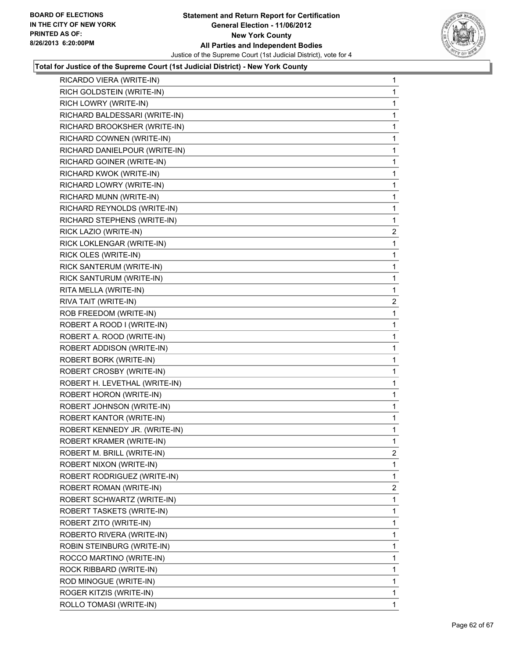

| RICARDO VIERA (WRITE-IN)      | 1              |
|-------------------------------|----------------|
| RICH GOLDSTEIN (WRITE-IN)     | 1              |
| RICH LOWRY (WRITE-IN)         | 1              |
| RICHARD BALDESSARI (WRITE-IN) | 1              |
| RICHARD BROOKSHER (WRITE-IN)  | 1              |
| RICHARD COWNEN (WRITE-IN)     | 1              |
| RICHARD DANIELPOUR (WRITE-IN) | 1              |
| RICHARD GOINER (WRITE-IN)     | 1              |
| RICHARD KWOK (WRITE-IN)       | 1              |
| RICHARD LOWRY (WRITE-IN)      | 1              |
| RICHARD MUNN (WRITE-IN)       | 1              |
| RICHARD REYNOLDS (WRITE-IN)   | 1              |
| RICHARD STEPHENS (WRITE-IN)   | 1              |
| RICK LAZIO (WRITE-IN)         | $\overline{c}$ |
| RICK LOKLENGAR (WRITE-IN)     | 1              |
| RICK OLES (WRITE-IN)          | 1              |
| RICK SANTERUM (WRITE-IN)      | 1              |
| RICK SANTURUM (WRITE-IN)      | 1              |
| RITA MELLA (WRITE-IN)         | 1              |
| RIVA TAIT (WRITE-IN)          | $\overline{c}$ |
| ROB FREEDOM (WRITE-IN)        | 1              |
| ROBERT A ROOD I (WRITE-IN)    | 1              |
| ROBERT A. ROOD (WRITE-IN)     | 1              |
| ROBERT ADDISON (WRITE-IN)     | 1              |
| ROBERT BORK (WRITE-IN)        | 1              |
| ROBERT CROSBY (WRITE-IN)      | 1              |
| ROBERT H. LEVETHAL (WRITE-IN) | 1              |
| ROBERT HORON (WRITE-IN)       | 1              |
| ROBERT JOHNSON (WRITE-IN)     | 1              |
| ROBERT KANTOR (WRITE-IN)      | 1              |
| ROBERT KENNEDY JR. (WRITE-IN) | 1              |
| ROBERT KRAMER (WRITE-IN)      | 1              |
| ROBERT M. BRILL (WRITE-IN)    | 2              |
| ROBERT NIXON (WRITE-IN)       | 1              |
| ROBERT RODRIGUEZ (WRITE-IN)   | 1              |
| ROBERT ROMAN (WRITE-IN)       | 2              |
| ROBERT SCHWARTZ (WRITE-IN)    | 1              |
| ROBERT TASKETS (WRITE-IN)     | 1              |
| ROBERT ZITO (WRITE-IN)        | 1              |
| ROBERTO RIVERA (WRITE-IN)     | 1              |
| ROBIN STEINBURG (WRITE-IN)    | 1              |
| ROCCO MARTINO (WRITE-IN)      | 1              |
| ROCK RIBBARD (WRITE-IN)       | 1              |
| ROD MINOGUE (WRITE-IN)        | 1              |
| ROGER KITZIS (WRITE-IN)       | 1              |
| ROLLO TOMASI (WRITE-IN)       | 1              |
|                               |                |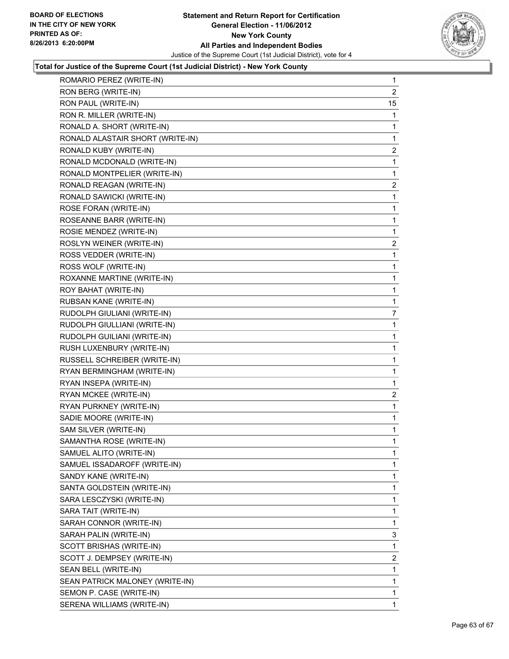

| ROMARIO PEREZ (WRITE-IN)         | 1              |
|----------------------------------|----------------|
| RON BERG (WRITE-IN)              | $\overline{2}$ |
| RON PAUL (WRITE-IN)              | 15             |
| RON R. MILLER (WRITE-IN)         | 1              |
| RONALD A. SHORT (WRITE-IN)       | 1              |
| RONALD ALASTAIR SHORT (WRITE-IN) | 1              |
| RONALD KUBY (WRITE-IN)           | $\overline{2}$ |
| RONALD MCDONALD (WRITE-IN)       | 1              |
| RONALD MONTPELIER (WRITE-IN)     | 1              |
| RONALD REAGAN (WRITE-IN)         | $\overline{2}$ |
| RONALD SAWICKI (WRITE-IN)        | 1              |
| ROSE FORAN (WRITE-IN)            | 1              |
| ROSEANNE BARR (WRITE-IN)         | 1              |
| ROSIE MENDEZ (WRITE-IN)          | 1              |
| ROSLYN WEINER (WRITE-IN)         | 2              |
| ROSS VEDDER (WRITE-IN)           | 1              |
| ROSS WOLF (WRITE-IN)             | 1              |
| ROXANNE MARTINE (WRITE-IN)       | 1              |
| ROY BAHAT (WRITE-IN)             | 1              |
| RUBSAN KANE (WRITE-IN)           | 1              |
| RUDOLPH GIULIANI (WRITE-IN)      | 7              |
| RUDOLPH GIULLIANI (WRITE-IN)     | 1              |
| RUDOLPH GUILIANI (WRITE-IN)      | 1              |
| RUSH LUXENBURY (WRITE-IN)        | 1              |
| RUSSELL SCHREIBER (WRITE-IN)     | 1              |
| RYAN BERMINGHAM (WRITE-IN)       | 1              |
| RYAN INSEPA (WRITE-IN)           | 1              |
| RYAN MCKEE (WRITE-IN)            | $\overline{2}$ |
| RYAN PURKNEY (WRITE-IN)          | 1              |
| SADIE MOORE (WRITE-IN)           | 1              |
| SAM SILVER (WRITE-IN)            | 1              |
| SAMANTHA ROSE (WRITE-IN)         | 1              |
| SAMUEL ALITO (WRITE-IN)          | 1              |
| SAMUEL ISSADAROFF (WRITE-IN)     | 1              |
| SANDY KANE (WRITE-IN)            | 1              |
| SANTA GOLDSTEIN (WRITE-IN)       | 1              |
| SARA LESCZYSKI (WRITE-IN)        | 1              |
| SARA TAIT (WRITE-IN)             | 1              |
| SARAH CONNOR (WRITE-IN)          | 1              |
| SARAH PALIN (WRITE-IN)           | 3              |
| SCOTT BRISHAS (WRITE-IN)         | 1              |
| SCOTT J. DEMPSEY (WRITE-IN)      | 2              |
| SEAN BELL (WRITE-IN)             | 1              |
| SEAN PATRICK MALONEY (WRITE-IN)  | 1              |
| SEMON P. CASE (WRITE-IN)         | 1              |
| SERENA WILLIAMS (WRITE-IN)       | 1              |
|                                  |                |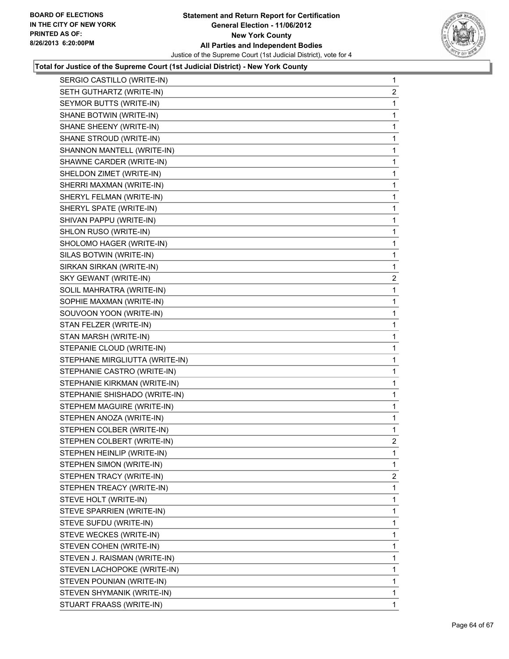

| SERGIO CASTILLO (WRITE-IN)     | 1              |
|--------------------------------|----------------|
| SETH GUTHARTZ (WRITE-IN)       | 2              |
| SEYMOR BUTTS (WRITE-IN)        | 1              |
| SHANE BOTWIN (WRITE-IN)        | 1              |
| SHANE SHEENY (WRITE-IN)        | 1              |
| SHANE STROUD (WRITE-IN)        | 1              |
| SHANNON MANTELL (WRITE-IN)     | 1              |
| SHAWNE CARDER (WRITE-IN)       | 1              |
| SHELDON ZIMET (WRITE-IN)       | 1              |
| SHERRI MAXMAN (WRITE-IN)       | 1              |
| SHERYL FELMAN (WRITE-IN)       | 1              |
| SHERYL SPATE (WRITE-IN)        | 1              |
| SHIVAN PAPPU (WRITE-IN)        | 1              |
| SHLON RUSO (WRITE-IN)          | 1              |
| SHOLOMO HAGER (WRITE-IN)       | 1              |
| SILAS BOTWIN (WRITE-IN)        | 1              |
| SIRKAN SIRKAN (WRITE-IN)       | 1              |
| SKY GEWANT (WRITE-IN)          | $\mathbf{2}$   |
| SOLIL MAHRATRA (WRITE-IN)      | 1              |
| SOPHIE MAXMAN (WRITE-IN)       | 1              |
| SOUVOON YOON (WRITE-IN)        | 1              |
| STAN FELZER (WRITE-IN)         | 1              |
| STAN MARSH (WRITE-IN)          | 1              |
| STEPANIE CLOUD (WRITE-IN)      | 1              |
| STEPHANE MIRGLIUTTA (WRITE-IN) | 1              |
| STEPHANIE CASTRO (WRITE-IN)    | 1              |
| STEPHANIE KIRKMAN (WRITE-IN)   | 1              |
| STEPHANIE SHISHADO (WRITE-IN)  | 1              |
| STEPHEM MAGUIRE (WRITE-IN)     | 1              |
| STEPHEN ANOZA (WRITE-IN)       | 1              |
| STEPHEN COLBER (WRITE-IN)      | 1              |
| STEPHEN COLBERT (WRITE-IN)     | $\overline{2}$ |
| STEPHEN HEINLIP (WRITE-IN)     | 1              |
| STEPHEN SIMON (WRITE-IN)       | 1              |
| STEPHEN TRACY (WRITE-IN)       | $\overline{2}$ |
| STEPHEN TREACY (WRITE-IN)      | 1              |
| STEVE HOLT (WRITE-IN)          | 1              |
| STEVE SPARRIEN (WRITE-IN)      | 1              |
| STEVE SUFDU (WRITE-IN)         | 1              |
| STEVE WECKES (WRITE-IN)        | 1              |
| STEVEN COHEN (WRITE-IN)        | $\mathbf{1}$   |
| STEVEN J. RAISMAN (WRITE-IN)   | 1              |
| STEVEN LACHOPOKE (WRITE-IN)    | 1              |
| STEVEN POUNIAN (WRITE-IN)      | 1              |
| STEVEN SHYMANIK (WRITE-IN)     | 1              |
| STUART FRAASS (WRITE-IN)       | $\mathbf{1}$   |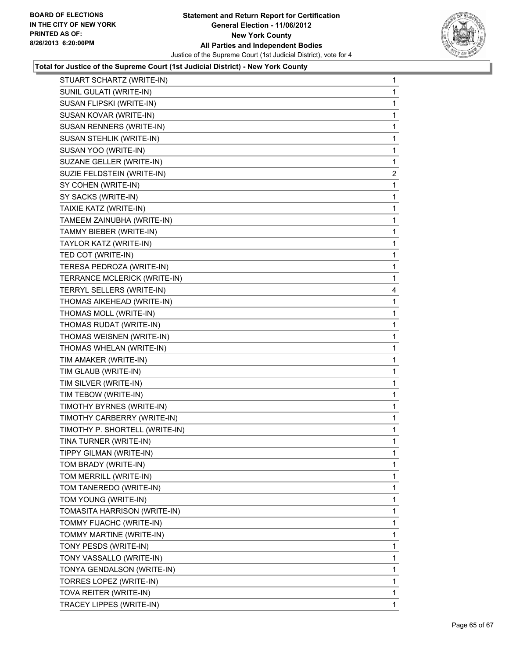

| STUART SCHARTZ (WRITE-IN)      | 1              |
|--------------------------------|----------------|
| SUNIL GULATI (WRITE-IN)        | 1              |
| SUSAN FLIPSKI (WRITE-IN)       | 1              |
| SUSAN KOVAR (WRITE-IN)         | 1              |
| SUSAN RENNERS (WRITE-IN)       | 1              |
| SUSAN STEHLIK (WRITE-IN)       | 1              |
| SUSAN YOO (WRITE-IN)           | 1              |
| SUZANE GELLER (WRITE-IN)       | 1              |
| SUZIE FELDSTEIN (WRITE-IN)     | $\overline{2}$ |
| SY COHEN (WRITE-IN)            | 1              |
| SY SACKS (WRITE-IN)            | 1              |
| TAIXIE KATZ (WRITE-IN)         | 1              |
| TAMEEM ZAINUBHA (WRITE-IN)     | 1              |
| TAMMY BIEBER (WRITE-IN)        | 1              |
| TAYLOR KATZ (WRITE-IN)         | 1              |
| TED COT (WRITE-IN)             | 1              |
| TERESA PEDROZA (WRITE-IN)      | 1              |
| TERRANCE MCLERICK (WRITE-IN)   | 1              |
| TERRYL SELLERS (WRITE-IN)      | 4              |
| THOMAS AIKEHEAD (WRITE-IN)     | 1              |
| THOMAS MOLL (WRITE-IN)         | 1              |
| THOMAS RUDAT (WRITE-IN)        | 1              |
| THOMAS WEISNEN (WRITE-IN)      | 1              |
| THOMAS WHELAN (WRITE-IN)       | 1              |
| TIM AMAKER (WRITE-IN)          | 1              |
| TIM GLAUB (WRITE-IN)           | 1              |
| TIM SILVER (WRITE-IN)          | 1              |
| TIM TEBOW (WRITE-IN)           | 1              |
| TIMOTHY BYRNES (WRITE-IN)      | 1              |
| TIMOTHY CARBERRY (WRITE-IN)    | 1              |
| TIMOTHY P. SHORTELL (WRITE-IN) | 1              |
| TINA TURNER (WRITE-IN)         | 1              |
| TIPPY GILMAN (WRITE-IN)        | 1              |
| TOM BRADY (WRITE-IN)           | 1              |
| TOM MERRILL (WRITE-IN)         | 1              |
| TOM TANEREDO (WRITE-IN)        | 1              |
| TOM YOUNG (WRITE-IN)           | 1              |
| TOMASITA HARRISON (WRITE-IN)   | 1              |
| TOMMY FIJACHC (WRITE-IN)       | 1              |
| TOMMY MARTINE (WRITE-IN)       | 1              |
| TONY PESDS (WRITE-IN)          | 1              |
| TONY VASSALLO (WRITE-IN)       | 1              |
| TONYA GENDALSON (WRITE-IN)     | 1              |
| TORRES LOPEZ (WRITE-IN)        | 1              |
| TOVA REITER (WRITE-IN)         | 1              |
| TRACEY LIPPES (WRITE-IN)       | 1              |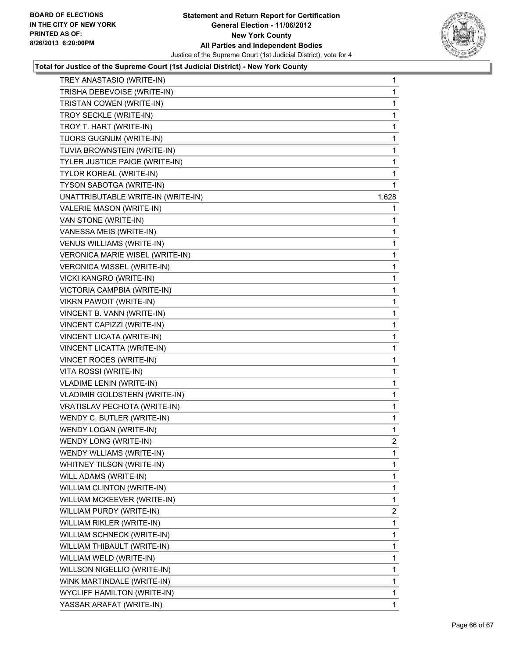

| TREY ANASTASIO (WRITE-IN)              | $\mathbf{1}$   |
|----------------------------------------|----------------|
| TRISHA DEBEVOISE (WRITE-IN)            | 1              |
| TRISTAN COWEN (WRITE-IN)               | 1              |
| TROY SECKLE (WRITE-IN)                 | 1              |
| TROY T. HART (WRITE-IN)                | 1              |
| TUORS GUGNUM (WRITE-IN)                | 1              |
| TUVIA BROWNSTEIN (WRITE-IN)            | 1              |
| TYLER JUSTICE PAIGE (WRITE-IN)         | 1              |
| TYLOR KOREAL (WRITE-IN)                | 1              |
| TYSON SABOTGA (WRITE-IN)               | 1              |
| UNATTRIBUTABLE WRITE-IN (WRITE-IN)     | 1,628          |
| VALERIE MASON (WRITE-IN)               | 1              |
| VAN STONE (WRITE-IN)                   | 1              |
| VANESSA MEIS (WRITE-IN)                | 1              |
| VENUS WILLIAMS (WRITE-IN)              | 1              |
| <b>VERONICA MARIE WISEL (WRITE-IN)</b> | 1              |
| VERONICA WISSEL (WRITE-IN)             | 1              |
| VICKI KANGRO (WRITE-IN)                | 1              |
| VICTORIA CAMPBIA (WRITE-IN)            | 1              |
| <b>VIKRN PAWOIT (WRITE-IN)</b>         | 1              |
| VINCENT B. VANN (WRITE-IN)             | 1              |
| VINCENT CAPIZZI (WRITE-IN)             | 1              |
| VINCENT LICATA (WRITE-IN)              | 1              |
| VINCENT LICATTA (WRITE-IN)             | 1              |
| VINCET ROCES (WRITE-IN)                | 1              |
| VITA ROSSI (WRITE-IN)                  | 1              |
| VLADIME LENIN (WRITE-IN)               | 1              |
| VLADIMIR GOLDSTERN (WRITE-IN)          | 1              |
| VRATISLAV PECHOTA (WRITE-IN)           | 1              |
| WENDY C. BUTLER (WRITE-IN)             | 1              |
| WENDY LOGAN (WRITE-IN)                 | 1              |
| WENDY LONG (WRITE-IN)                  | $\overline{c}$ |
| WENDY WLLIAMS (WRITE-IN)               | 1              |
| WHITNEY TILSON (WRITE-IN)              | $\mathbf{1}$   |
| WILL ADAMS (WRITE-IN)                  | 1              |
| WILLIAM CLINTON (WRITE-IN)             | 1              |
| WILLIAM MCKEEVER (WRITE-IN)            | 1              |
| WILLIAM PURDY (WRITE-IN)               | $\overline{2}$ |
| WILLIAM RIKLER (WRITE-IN)              | 1              |
| WILLIAM SCHNECK (WRITE-IN)             | 1              |
| WILLIAM THIBAULT (WRITE-IN)            | 1              |
| WILLIAM WELD (WRITE-IN)                | 1              |
| WILLSON NIGELLIO (WRITE-IN)            | 1              |
| WINK MARTINDALE (WRITE-IN)             | $\mathbf{1}$   |
| <b>WYCLIFF HAMILTON (WRITE-IN)</b>     | 1              |
| YASSAR ARAFAT (WRITE-IN)               | $\mathbf 1$    |
|                                        |                |